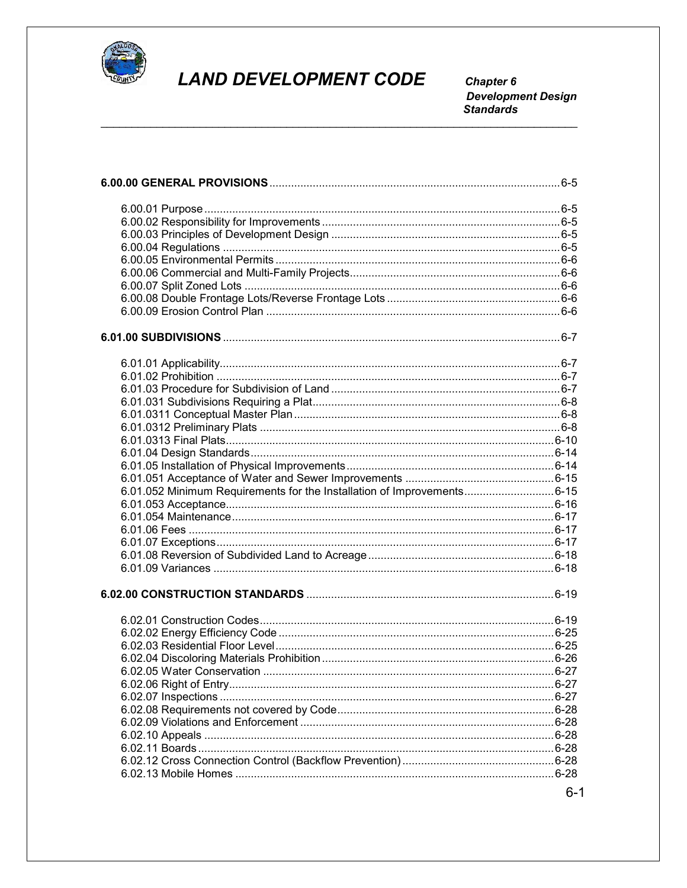

Chapter 6<br>Development Design<br>Standards

| 6.01.052 Minimum Requirements for the Installation of Improvements6-15 |  |
|------------------------------------------------------------------------|--|
|                                                                        |  |
|                                                                        |  |
|                                                                        |  |
|                                                                        |  |
|                                                                        |  |
|                                                                        |  |
|                                                                        |  |
|                                                                        |  |
|                                                                        |  |
|                                                                        |  |
|                                                                        |  |
|                                                                        |  |
|                                                                        |  |
|                                                                        |  |
|                                                                        |  |
|                                                                        |  |
|                                                                        |  |
|                                                                        |  |
|                                                                        |  |
|                                                                        |  |
|                                                                        |  |
|                                                                        |  |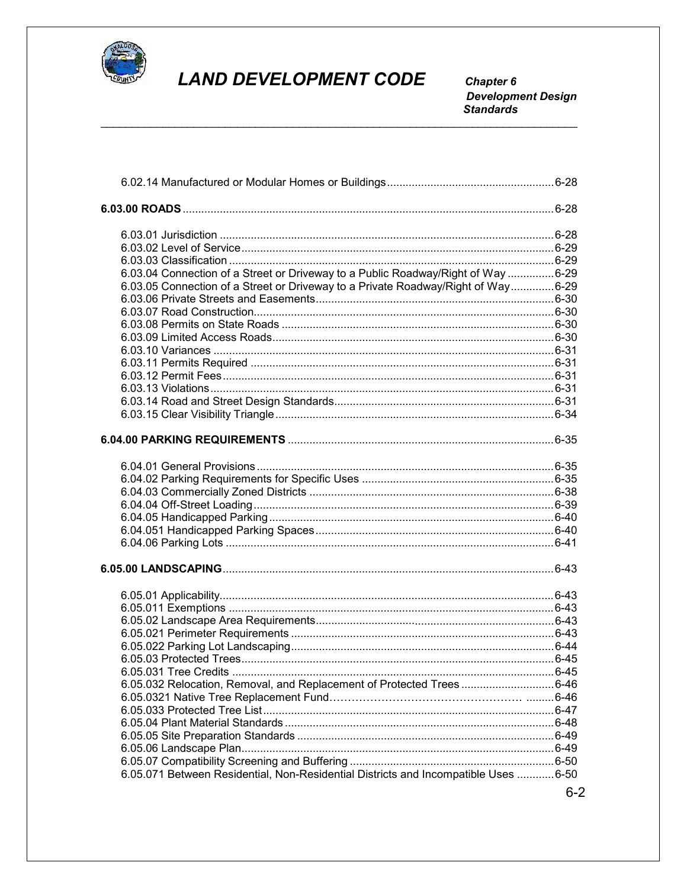

**Chapter 6<br>Development Design<br>Standards** 

| 6.03.04 Connection of a Street or Driveway to a Public Roadway/Right of Way 6-29   |  |
|------------------------------------------------------------------------------------|--|
| 6.03.05 Connection of a Street or Driveway to a Private Roadway/Right of Way6-29   |  |
|                                                                                    |  |
|                                                                                    |  |
|                                                                                    |  |
|                                                                                    |  |
|                                                                                    |  |
|                                                                                    |  |
|                                                                                    |  |
|                                                                                    |  |
|                                                                                    |  |
|                                                                                    |  |
|                                                                                    |  |
|                                                                                    |  |
|                                                                                    |  |
|                                                                                    |  |
|                                                                                    |  |
|                                                                                    |  |
|                                                                                    |  |
|                                                                                    |  |
|                                                                                    |  |
|                                                                                    |  |
|                                                                                    |  |
|                                                                                    |  |
|                                                                                    |  |
|                                                                                    |  |
|                                                                                    |  |
|                                                                                    |  |
| 6.05.032 Relocation, Removal, and Replacement of Protected Trees6-46               |  |
|                                                                                    |  |
|                                                                                    |  |
|                                                                                    |  |
|                                                                                    |  |
|                                                                                    |  |
| 6.05.071 Between Residential, Non-Residential Districts and Incompatible Uses 6-50 |  |
|                                                                                    |  |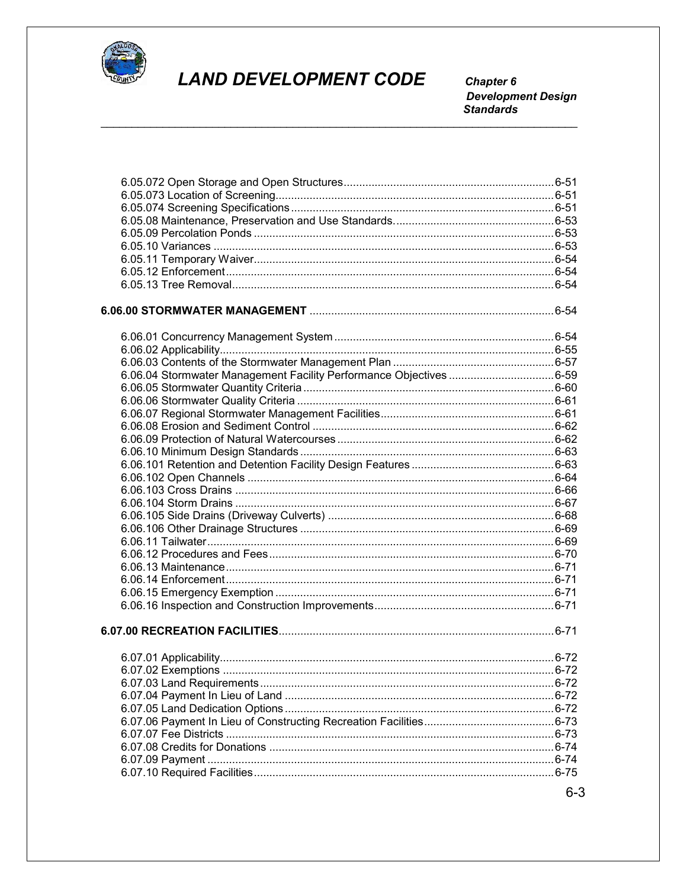

**Chapter 6<br>Development Design<br>Standards** 

| 6.06.04 Stormwater Management Facility Performance Objectives 6-59 |  |
|--------------------------------------------------------------------|--|
|                                                                    |  |
|                                                                    |  |
|                                                                    |  |
|                                                                    |  |
|                                                                    |  |
|                                                                    |  |
|                                                                    |  |
|                                                                    |  |
|                                                                    |  |
|                                                                    |  |
|                                                                    |  |
|                                                                    |  |
|                                                                    |  |
|                                                                    |  |
|                                                                    |  |
|                                                                    |  |
|                                                                    |  |
|                                                                    |  |
|                                                                    |  |
|                                                                    |  |
|                                                                    |  |
|                                                                    |  |
|                                                                    |  |
|                                                                    |  |
|                                                                    |  |
|                                                                    |  |
|                                                                    |  |
|                                                                    |  |
|                                                                    |  |
|                                                                    |  |
|                                                                    |  |
|                                                                    |  |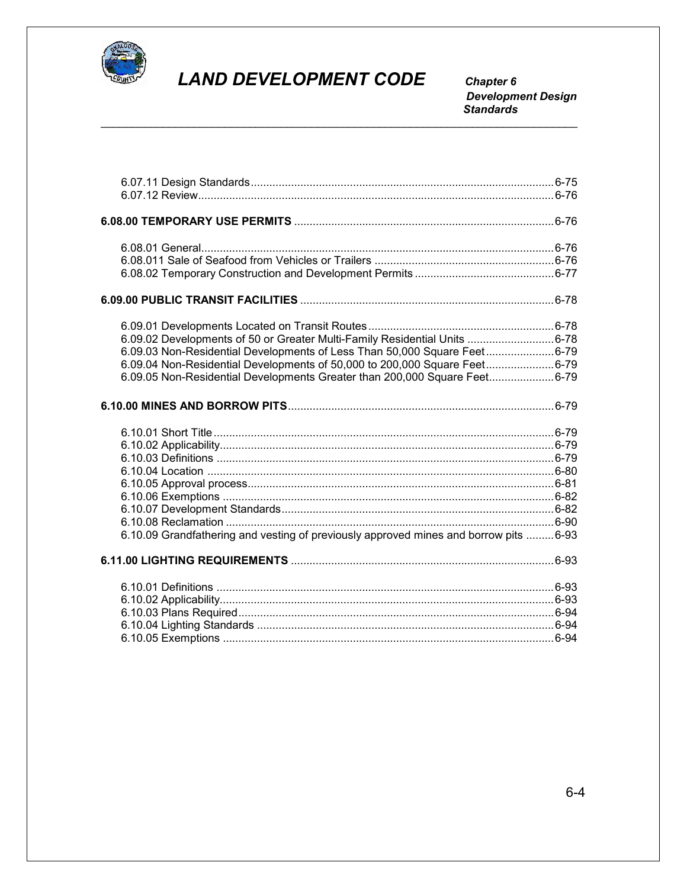

Chapter 6<br>Development Design<br>Standards

| 6.09.02 Developments of 50 or Greater Multi-Family Residential Units 6-78            |  |
|--------------------------------------------------------------------------------------|--|
| 6.09.03 Non-Residential Developments of Less Than 50,000 Square Feet6-79             |  |
| 6.09.04 Non-Residential Developments of 50,000 to 200,000 Square Feet6-79            |  |
| 6.09.05 Non-Residential Developments Greater than 200,000 Square Feet6-79            |  |
|                                                                                      |  |
|                                                                                      |  |
|                                                                                      |  |
|                                                                                      |  |
|                                                                                      |  |
|                                                                                      |  |
|                                                                                      |  |
|                                                                                      |  |
|                                                                                      |  |
| 6.10.09 Grandfathering and vesting of previously approved mines and borrow pits 6-93 |  |
|                                                                                      |  |
|                                                                                      |  |
|                                                                                      |  |
|                                                                                      |  |
|                                                                                      |  |
|                                                                                      |  |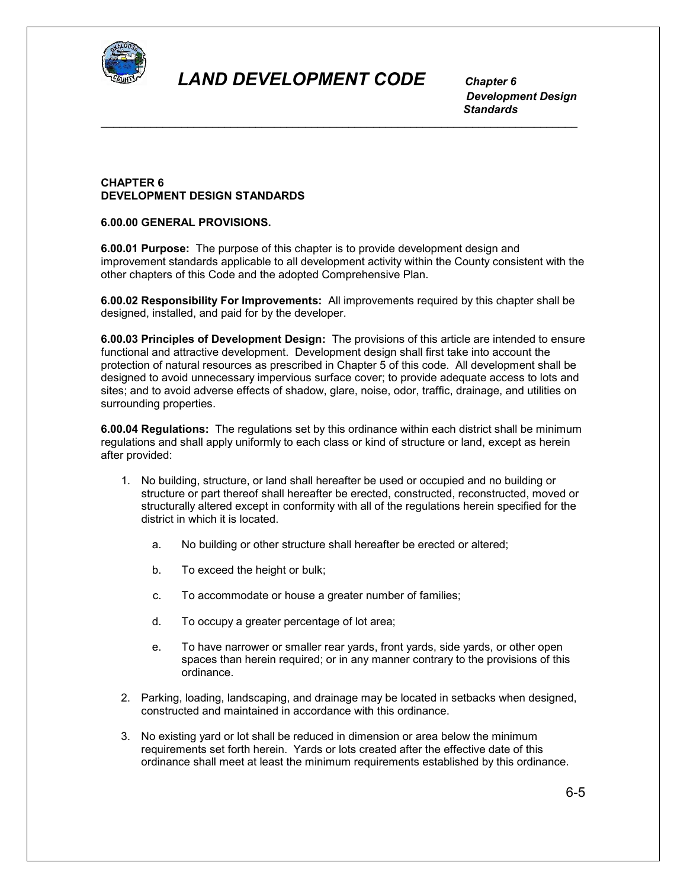

 *Development Design Standards* \_\_\_\_\_\_\_\_\_\_\_\_\_\_\_\_\_\_\_\_\_\_\_\_\_\_\_\_\_\_\_\_\_\_\_\_\_\_\_\_\_\_\_\_\_\_\_\_\_\_\_\_\_\_\_\_\_\_\_\_\_\_\_\_\_\_\_\_\_\_\_\_\_\_\_\_\_

#### **CHAPTER 6 DEVELOPMENT DESIGN STANDARDS**

#### **6.00.00 GENERAL PROVISIONS.**

**6.00.01 Purpose:** The purpose of this chapter is to provide development design and improvement standards applicable to all development activity within the County consistent with the other chapters of this Code and the adopted Comprehensive Plan.

**6.00.02 Responsibility For Improvements:** All improvements required by this chapter shall be designed, installed, and paid for by the developer.

**6.00.03 Principles of Development Design:** The provisions of this article are intended to ensure functional and attractive development. Development design shall first take into account the protection of natural resources as prescribed in Chapter 5 of this code. All development shall be designed to avoid unnecessary impervious surface cover; to provide adequate access to lots and sites; and to avoid adverse effects of shadow, glare, noise, odor, traffic, drainage, and utilities on surrounding properties.

**6.00.04 Regulations:** The regulations set by this ordinance within each district shall be minimum regulations and shall apply uniformly to each class or kind of structure or land, except as herein after provided:

- 1. No building, structure, or land shall hereafter be used or occupied and no building or structure or part thereof shall hereafter be erected, constructed, reconstructed, moved or structurally altered except in conformity with all of the regulations herein specified for the district in which it is located.
	- a. No building or other structure shall hereafter be erected or altered;
	- b. To exceed the height or bulk;
	- c. To accommodate or house a greater number of families;
	- d. To occupy a greater percentage of lot area;
	- e. To have narrower or smaller rear yards, front yards, side yards, or other open spaces than herein required; or in any manner contrary to the provisions of this ordinance.
- 2. Parking, loading, landscaping, and drainage may be located in setbacks when designed, constructed and maintained in accordance with this ordinance.
- 3. No existing yard or lot shall be reduced in dimension or area below the minimum requirements set forth herein. Yards or lots created after the effective date of this ordinance shall meet at least the minimum requirements established by this ordinance.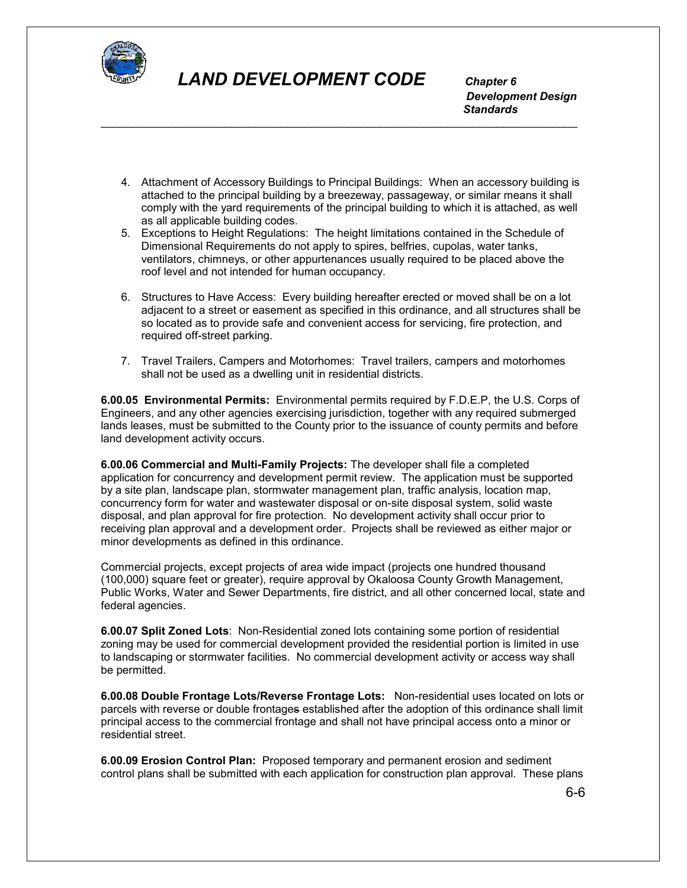

 *Development Design Standards*

4. Attachment of Accessory Buildings to Principal Buildings: When an accessory building is attached to the principal building by a breezeway, passageway, or similar means it shall comply with the yard requirements of the principal building to which it is attached, as well as all applicable building codes.

\_\_\_\_\_\_\_\_\_\_\_\_\_\_\_\_\_\_\_\_\_\_\_\_\_\_\_\_\_\_\_\_\_\_\_\_\_\_\_\_\_\_\_\_\_\_\_\_\_\_\_\_\_\_\_\_\_\_\_\_\_\_\_\_\_\_\_\_\_\_\_\_\_\_\_\_\_

- 5. Exceptions to Height Regulations: The height limitations contained in the Schedule of Dimensional Requirements do not apply to spires, belfries, cupolas, water tanks, ventilators, chimneys, or other appurtenances usually required to be placed above the roof level and not intended for human occupancy.
- 6. Structures to Have Access: Every building hereafter erected or moved shall be on a lot adjacent to a street or easement as specified in this ordinance, and all structures shall be so located as to provide safe and convenient access for servicing, fire protection, and required off-street parking.
- 7. Travel Trailers, Campers and Motorhomes: Travel trailers, campers and motorhomes shall not be used as a dwelling unit in residential districts.

**6.00.05 Environmental Permits:** Environmental permits required by F.D.E.P, the U.S. Corps of Engineers, and any other agencies exercising jurisdiction, together with any required submerged lands leases, must be submitted to the County prior to the issuance of county permits and before land development activity occurs.

**6.00.06 Commercial and Multi-Family Projects:** The developer shall file a completed application for concurrency and development permit review. The application must be supported by a site plan, landscape plan, stormwater management plan, traffic analysis, location map, concurrency form for water and wastewater disposal or on-site disposal system, solid waste disposal, and plan approval for fire protection. No development activity shall occur prior to receiving plan approval and a development order. Projects shall be reviewed as either major or minor developments as defined in this ordinance.

Commercial projects, except projects of area wide impact (projects one hundred thousand (100,000) square feet or greater), require approval by Okaloosa County Growth Management, Public Works, Water and Sewer Departments, fire district, and all other concerned local, state and federal agencies.

**6.00.07 Split Zoned Lots**: Non-Residential zoned lots containing some portion of residential zoning may be used for commercial development provided the residential portion is limited in use to landscaping or stormwater facilities. No commercial development activity or access way shall be permitted.

**6.00.08 Double Frontage Lots/Reverse Frontage Lots:** Non-residential uses located on lots or parcels with reverse or double frontages established after the adoption of this ordinance shall limit principal access to the commercial frontage and shall not have principal access onto a minor or residential street.

**6.00.09 Erosion Control Plan:** Proposed temporary and permanent erosion and sediment control plans shall be submitted with each application for construction plan approval. These plans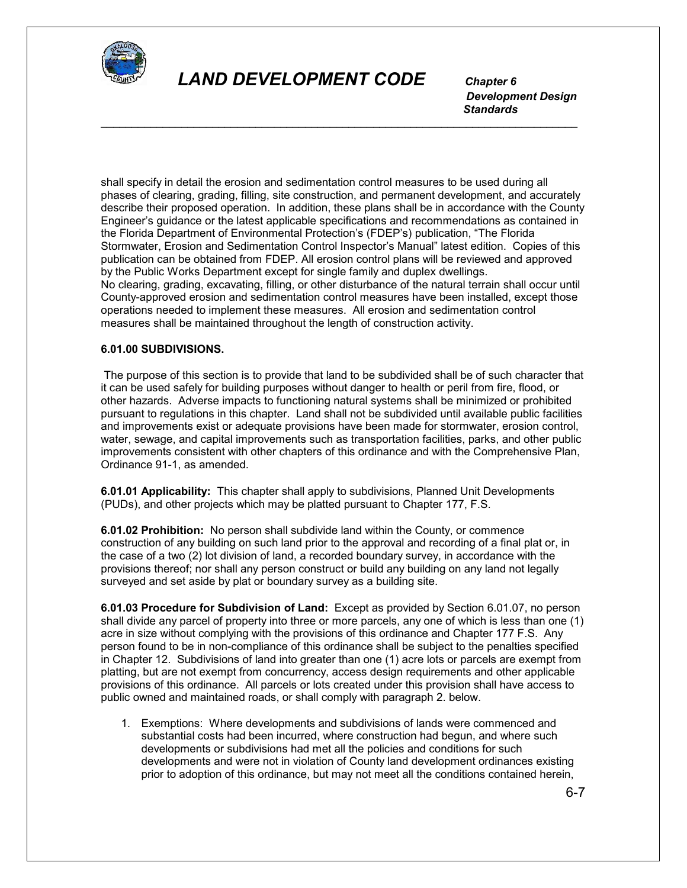

 *Development Design Standards* \_\_\_\_\_\_\_\_\_\_\_\_\_\_\_\_\_\_\_\_\_\_\_\_\_\_\_\_\_\_\_\_\_\_\_\_\_\_\_\_\_\_\_\_\_\_\_\_\_\_\_\_\_\_\_\_\_\_\_\_\_\_\_\_\_\_\_\_\_\_\_\_\_\_\_\_\_

shall specify in detail the erosion and sedimentation control measures to be used during all phases of clearing, grading, filling, site construction, and permanent development, and accurately describe their proposed operation. In addition, these plans shall be in accordance with the County Engineer's guidance or the latest applicable specifications and recommendations as contained in the Florida Department of Environmental Protection's (FDEP's) publication, "The Florida Stormwater, Erosion and Sedimentation Control Inspector's Manual" latest edition. Copies of this publication can be obtained from FDEP. All erosion control plans will be reviewed and approved by the Public Works Department except for single family and duplex dwellings. No clearing, grading, excavating, filling, or other disturbance of the natural terrain shall occur until County-approved erosion and sedimentation control measures have been installed, except those operations needed to implement these measures. All erosion and sedimentation control measures shall be maintained throughout the length of construction activity.

#### **6.01.00 SUBDIVISIONS.**

The purpose of this section is to provide that land to be subdivided shall be of such character that it can be used safely for building purposes without danger to health or peril from fire, flood, or other hazards. Adverse impacts to functioning natural systems shall be minimized or prohibited pursuant to regulations in this chapter. Land shall not be subdivided until available public facilities and improvements exist or adequate provisions have been made for stormwater, erosion control, water, sewage, and capital improvements such as transportation facilities, parks, and other public improvements consistent with other chapters of this ordinance and with the Comprehensive Plan, Ordinance 91-1, as amended.

**6.01.01 Applicability:** This chapter shall apply to subdivisions, Planned Unit Developments (PUDs), and other projects which may be platted pursuant to Chapter 177, F.S.

**6.01.02 Prohibition:** No person shall subdivide land within the County, or commence construction of any building on such land prior to the approval and recording of a final plat or, in the case of a two (2) lot division of land, a recorded boundary survey, in accordance with the provisions thereof; nor shall any person construct or build any building on any land not legally surveyed and set aside by plat or boundary survey as a building site.

**6.01.03 Procedure for Subdivision of Land:** Except as provided by Section 6.01.07, no person shall divide any parcel of property into three or more parcels, any one of which is less than one (1) acre in size without complying with the provisions of this ordinance and Chapter 177 F.S. Any person found to be in non-compliance of this ordinance shall be subject to the penalties specified in Chapter 12. Subdivisions of land into greater than one (1) acre lots or parcels are exempt from platting, but are not exempt from concurrency, access design requirements and other applicable provisions of this ordinance. All parcels or lots created under this provision shall have access to public owned and maintained roads, or shall comply with paragraph 2. below.

1. Exemptions: Where developments and subdivisions of lands were commenced and substantial costs had been incurred, where construction had begun, and where such developments or subdivisions had met all the policies and conditions for such developments and were not in violation of County land development ordinances existing prior to adoption of this ordinance, but may not meet all the conditions contained herein,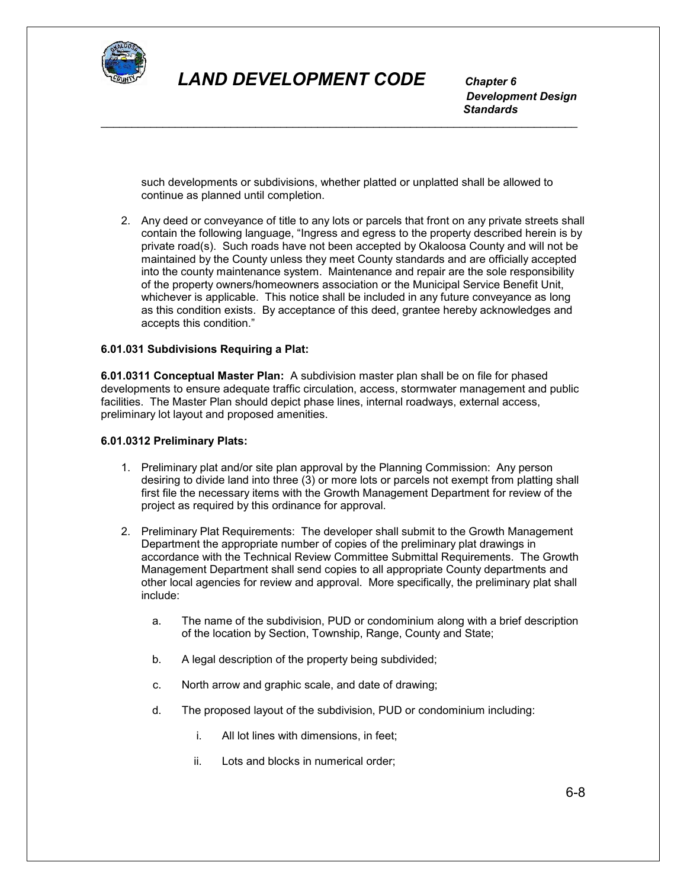

 *Development Design Standards*

such developments or subdivisions, whether platted or unplatted shall be allowed to continue as planned until completion.

\_\_\_\_\_\_\_\_\_\_\_\_\_\_\_\_\_\_\_\_\_\_\_\_\_\_\_\_\_\_\_\_\_\_\_\_\_\_\_\_\_\_\_\_\_\_\_\_\_\_\_\_\_\_\_\_\_\_\_\_\_\_\_\_\_\_\_\_\_\_\_\_\_\_\_\_\_

2. Any deed or conveyance of title to any lots or parcels that front on any private streets shall contain the following language, "Ingress and egress to the property described herein is by private road(s). Such roads have not been accepted by Okaloosa County and will not be maintained by the County unless they meet County standards and are officially accepted into the county maintenance system. Maintenance and repair are the sole responsibility of the property owners/homeowners association or the Municipal Service Benefit Unit, whichever is applicable. This notice shall be included in any future conveyance as long as this condition exists. By acceptance of this deed, grantee hereby acknowledges and accepts this condition."

#### **6.01.031 Subdivisions Requiring a Plat:**

**6.01.0311 Conceptual Master Plan:** A subdivision master plan shall be on file for phased developments to ensure adequate traffic circulation, access, stormwater management and public facilities. The Master Plan should depict phase lines, internal roadways, external access, preliminary lot layout and proposed amenities.

#### **6.01.0312 Preliminary Plats:**

- 1. Preliminary plat and/or site plan approval by the Planning Commission: Any person desiring to divide land into three (3) or more lots or parcels not exempt from platting shall first file the necessary items with the Growth Management Department for review of the project as required by this ordinance for approval.
- 2. Preliminary Plat Requirements: The developer shall submit to the Growth Management Department the appropriate number of copies of the preliminary plat drawings in accordance with the Technical Review Committee Submittal Requirements. The Growth Management Department shall send copies to all appropriate County departments and other local agencies for review and approval. More specifically, the preliminary plat shall include:
	- a. The name of the subdivision, PUD or condominium along with a brief description of the location by Section, Township, Range, County and State;
	- b. A legal description of the property being subdivided;
	- c. North arrow and graphic scale, and date of drawing;
	- d. The proposed layout of the subdivision, PUD or condominium including:
		- i. All lot lines with dimensions, in feet;
		- ii. Lots and blocks in numerical order;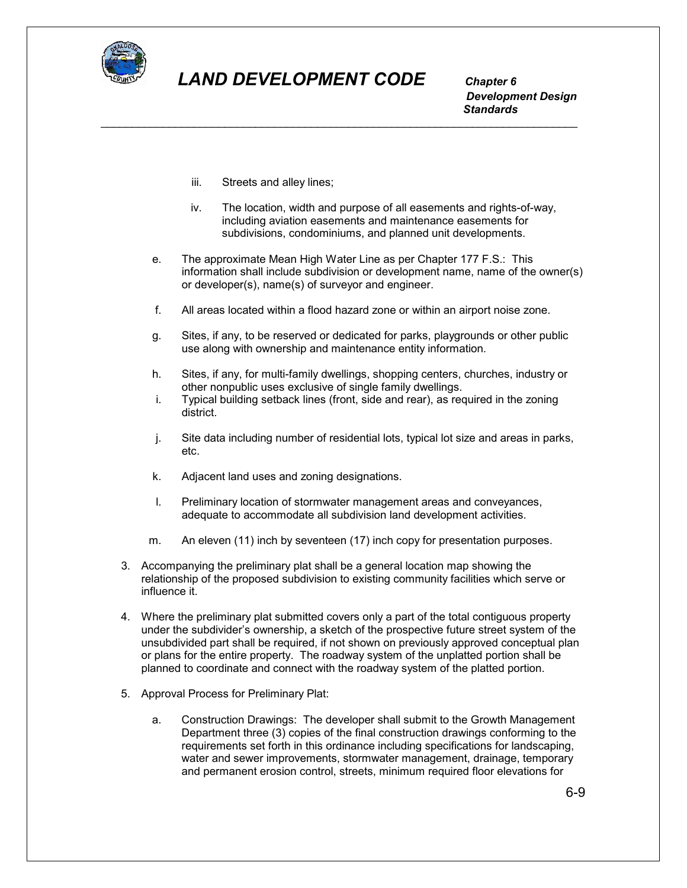

 *Development Design Standards* \_\_\_\_\_\_\_\_\_\_\_\_\_\_\_\_\_\_\_\_\_\_\_\_\_\_\_\_\_\_\_\_\_\_\_\_\_\_\_\_\_\_\_\_\_\_\_\_\_\_\_\_\_\_\_\_\_\_\_\_\_\_\_\_\_\_\_\_\_\_\_\_\_\_\_\_\_

- iii. Streets and alley lines;
- iv. The location, width and purpose of all easements and rights-of-way, including aviation easements and maintenance easements for subdivisions, condominiums, and planned unit developments.
- e. The approximate Mean High Water Line as per Chapter 177 F.S.: This information shall include subdivision or development name, name of the owner(s) or developer(s), name(s) of surveyor and engineer.
- f. All areas located within a flood hazard zone or within an airport noise zone.
- g. Sites, if any, to be reserved or dedicated for parks, playgrounds or other public use along with ownership and maintenance entity information.
- h. Sites, if any, for multi-family dwellings, shopping centers, churches, industry or other nonpublic uses exclusive of single family dwellings.
- i. Typical building setback lines (front, side and rear), as required in the zoning district.
- j. Site data including number of residential lots, typical lot size and areas in parks, etc.
- k. Adjacent land uses and zoning designations.
- l. Preliminary location of stormwater management areas and conveyances, adequate to accommodate all subdivision land development activities.
- m. An eleven (11) inch by seventeen (17) inch copy for presentation purposes.
- 3. Accompanying the preliminary plat shall be a general location map showing the relationship of the proposed subdivision to existing community facilities which serve or influence it.
- 4. Where the preliminary plat submitted covers only a part of the total contiguous property under the subdivider's ownership, a sketch of the prospective future street system of the unsubdivided part shall be required, if not shown on previously approved conceptual plan or plans for the entire property. The roadway system of the unplatted portion shall be planned to coordinate and connect with the roadway system of the platted portion.
- 5. Approval Process for Preliminary Plat:
	- a. Construction Drawings: The developer shall submit to the Growth Management Department three (3) copies of the final construction drawings conforming to the requirements set forth in this ordinance including specifications for landscaping, water and sewer improvements, stormwater management, drainage, temporary and permanent erosion control, streets, minimum required floor elevations for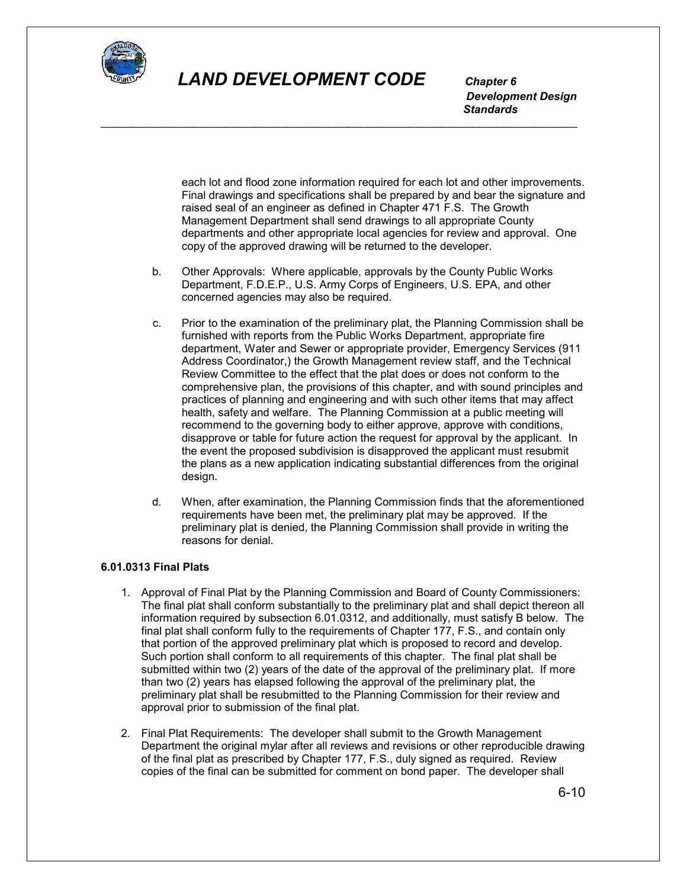

 *Development Design Standards* \_\_\_\_\_\_\_\_\_\_\_\_\_\_\_\_\_\_\_\_\_\_\_\_\_\_\_\_\_\_\_\_\_\_\_\_\_\_\_\_\_\_\_\_\_\_\_\_\_\_\_\_\_\_\_\_\_\_\_\_\_\_\_\_\_\_\_\_\_\_\_\_\_\_\_\_\_

> each lot and flood zone information required for each lot and other improvements. Final drawings and specifications shall be prepared by and bear the signature and raised seal of an engineer as defined in Chapter 471 F.S. The Growth Management Department shall send drawings to all appropriate County departments and other appropriate local agencies for review and approval. One copy of the approved drawing will be returned to the developer.

- b. Other Approvals: Where applicable, approvals by the County Public Works Department, F.D.E.P., U.S. Army Corps of Engineers, U.S. EPA, and other concerned agencies may also be required.
- c. Prior to the examination of the preliminary plat, the Planning Commission shall be furnished with reports from the Public Works Department, appropriate fire department, Water and Sewer or appropriate provider, Emergency Services (911 Address Coordinator,) the Growth Management review staff, and the Technical Review Committee to the effect that the plat does or does not conform to the comprehensive plan, the provisions of this chapter, and with sound principles and practices of planning and engineering and with such other items that may affect health, safety and welfare. The Planning Commission at a public meeting will recommend to the governing body to either approve, approve with conditions, disapprove or table for future action the request for approval by the applicant. In the event the proposed subdivision is disapproved the applicant must resubmit the plans as a new application indicating substantial differences from the original design.
- d. When, after examination, the Planning Commission finds that the aforementioned requirements have been met, the preliminary plat may be approved. If the preliminary plat is denied, the Planning Commission shall provide in writing the reasons for denial.

#### **6.01.0313 Final Plats**

- 1. Approval of Final Plat by the Planning Commission and Board of County Commissioners: The final plat shall conform substantially to the preliminary plat and shall depict thereon all information required by subsection 6.01.0312, and additionally, must satisfy B below. The final plat shall conform fully to the requirements of Chapter 177, F.S., and contain only that portion of the approved preliminary plat which is proposed to record and develop. Such portion shall conform to all requirements of this chapter. The final plat shall be submitted within two (2) years of the date of the approval of the preliminary plat. If more than two (2) years has elapsed following the approval of the preliminary plat, the preliminary plat shall be resubmitted to the Planning Commission for their review and approval prior to submission of the final plat.
- 2. Final Plat Requirements: The developer shall submit to the Growth Management Department the original mylar after all reviews and revisions or other reproducible drawing of the final plat as prescribed by Chapter 177, F.S., duly signed as required. Review copies of the final can be submitted for comment on bond paper. The developer shall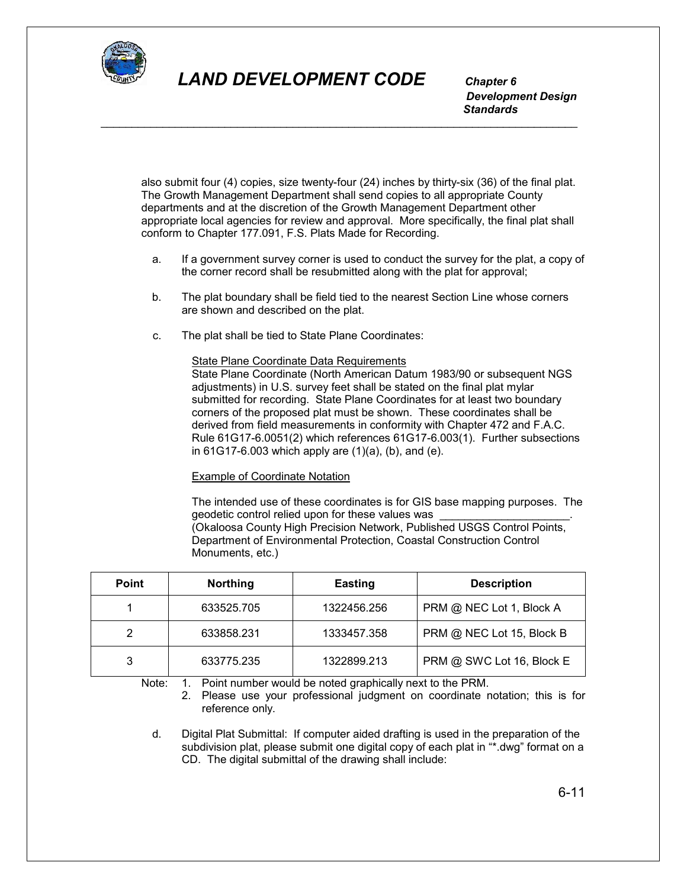

 *Development Design Standards* \_\_\_\_\_\_\_\_\_\_\_\_\_\_\_\_\_\_\_\_\_\_\_\_\_\_\_\_\_\_\_\_\_\_\_\_\_\_\_\_\_\_\_\_\_\_\_\_\_\_\_\_\_\_\_\_\_\_\_\_\_\_\_\_\_\_\_\_\_\_\_\_\_\_\_\_\_

also submit four (4) copies, size twenty-four (24) inches by thirty-six (36) of the final plat. The Growth Management Department shall send copies to all appropriate County departments and at the discretion of the Growth Management Department other appropriate local agencies for review and approval. More specifically, the final plat shall conform to Chapter 177.091, F.S. Plats Made for Recording.

- a. If a government survey corner is used to conduct the survey for the plat, a copy of the corner record shall be resubmitted along with the plat for approval;
- b. The plat boundary shall be field tied to the nearest Section Line whose corners are shown and described on the plat.
- c. The plat shall be tied to State Plane Coordinates:

#### State Plane Coordinate Data Requirements

State Plane Coordinate (North American Datum 1983/90 or subsequent NGS adjustments) in U.S. survey feet shall be stated on the final plat mylar submitted for recording. State Plane Coordinates for at least two boundary corners of the proposed plat must be shown. These coordinates shall be derived from field measurements in conformity with Chapter 472 and F.A.C. Rule 61G17-6.0051(2) which references 61G17-6.003(1). Further subsections in  $61G17-6.003$  which apply are  $(1)(a)$ ,  $(b)$ , and  $(e)$ .

#### Example of Coordinate Notation

The intended use of these coordinates is for GIS base mapping purposes. The geodetic control relied upon for these values was \_\_\_\_\_\_\_\_\_\_\_\_\_\_\_\_\_\_\_\_\_.

(Okaloosa County High Precision Network, Published USGS Control Points, Department of Environmental Protection, Coastal Construction Control Monuments, etc.)

| <b>Point</b> | <b>Northing</b> | <b>Easting</b> | <b>Description</b>        |
|--------------|-----------------|----------------|---------------------------|
|              | 633525.705      | 1322456.256    | PRM @ NEC Lot 1, Block A  |
| 2            | 633858.231      | 1333457.358    | PRM @ NEC Lot 15, Block B |
| 3            | 633775.235      | 1322899.213    | PRM @ SWC Lot 16, Block E |

Note: 1. Point number would be noted graphically next to the PRM. 2. Please use your professional judgment on coordinate notation; this is for

reference only.

d. Digital Plat Submittal: If computer aided drafting is used in the preparation of the subdivision plat, please submit one digital copy of each plat in "\*.dwg" format on a CD. The digital submittal of the drawing shall include: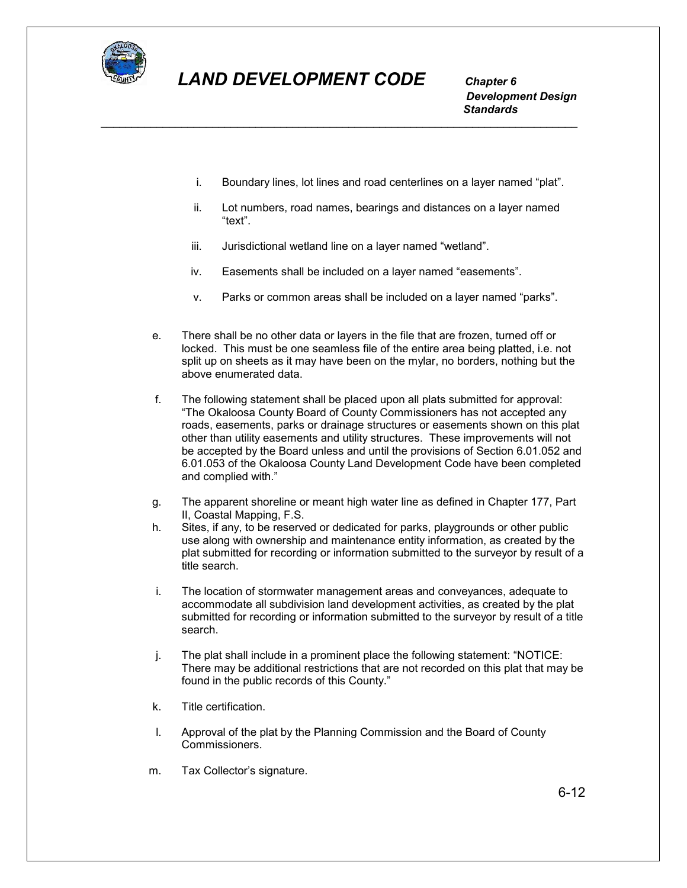

 *Development Design Standards* \_\_\_\_\_\_\_\_\_\_\_\_\_\_\_\_\_\_\_\_\_\_\_\_\_\_\_\_\_\_\_\_\_\_\_\_\_\_\_\_\_\_\_\_\_\_\_\_\_\_\_\_\_\_\_\_\_\_\_\_\_\_\_\_\_\_\_\_\_\_\_\_\_\_\_\_\_

- i. Boundary lines, lot lines and road centerlines on a layer named "plat".
- ii. Lot numbers, road names, bearings and distances on a layer named "text".
- iii. Jurisdictional wetland line on a layer named "wetland".
- iv. Easements shall be included on a layer named "easements".
- v. Parks or common areas shall be included on a layer named "parks".
- e. There shall be no other data or layers in the file that are frozen, turned off or locked. This must be one seamless file of the entire area being platted, i.e. not split up on sheets as it may have been on the mylar, no borders, nothing but the above enumerated data.
- f. The following statement shall be placed upon all plats submitted for approval: "The Okaloosa County Board of County Commissioners has not accepted any roads, easements, parks or drainage structures or easements shown on this plat other than utility easements and utility structures. These improvements will not be accepted by the Board unless and until the provisions of Section 6.01.052 and 6.01.053 of the Okaloosa County Land Development Code have been completed and complied with."
- g. The apparent shoreline or meant high water line as defined in Chapter 177, Part II, Coastal Mapping, F.S.
- h. Sites, if any, to be reserved or dedicated for parks, playgrounds or other public use along with ownership and maintenance entity information, as created by the plat submitted for recording or information submitted to the surveyor by result of a title search.
- i. The location of stormwater management areas and conveyances, adequate to accommodate all subdivision land development activities, as created by the plat submitted for recording or information submitted to the surveyor by result of a title search.
- j. The plat shall include in a prominent place the following statement: "NOTICE: There may be additional restrictions that are not recorded on this plat that may be found in the public records of this County."
- k. Title certification.
- l. Approval of the plat by the Planning Commission and the Board of County Commissioners.
- m. Tax Collector's signature.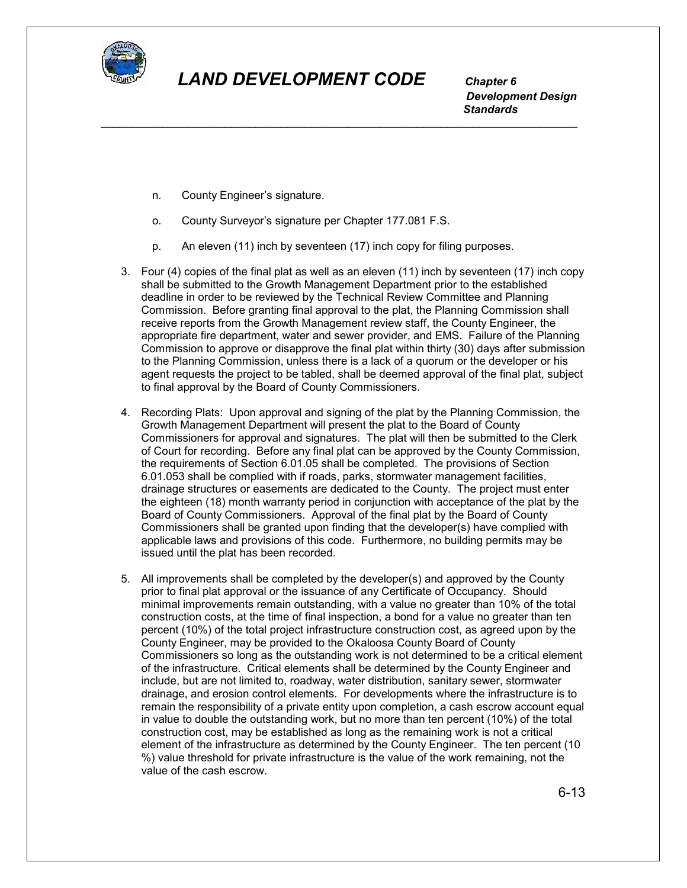

 *Development Design Standards* \_\_\_\_\_\_\_\_\_\_\_\_\_\_\_\_\_\_\_\_\_\_\_\_\_\_\_\_\_\_\_\_\_\_\_\_\_\_\_\_\_\_\_\_\_\_\_\_\_\_\_\_\_\_\_\_\_\_\_\_\_\_\_\_\_\_\_\_\_\_\_\_\_\_\_\_\_

- n. County Engineer's signature.
- o. County Surveyor's signature per Chapter 177.081 F.S.
- p. An eleven (11) inch by seventeen (17) inch copy for filing purposes.
- 3. Four (4) copies of the final plat as well as an eleven (11) inch by seventeen (17) inch copy shall be submitted to the Growth Management Department prior to the established deadline in order to be reviewed by the Technical Review Committee and Planning Commission. Before granting final approval to the plat, the Planning Commission shall receive reports from the Growth Management review staff, the County Engineer, the appropriate fire department, water and sewer provider, and EMS. Failure of the Planning Commission to approve or disapprove the final plat within thirty (30) days after submission to the Planning Commission, unless there is a lack of a quorum or the developer or his agent requests the project to be tabled, shall be deemed approval of the final plat, subject to final approval by the Board of County Commissioners.
- 4. Recording Plats: Upon approval and signing of the plat by the Planning Commission, the Growth Management Department will present the plat to the Board of County Commissioners for approval and signatures. The plat will then be submitted to the Clerk of Court for recording. Before any final plat can be approved by the County Commission, the requirements of Section 6.01.05 shall be completed. The provisions of Section 6.01.053 shall be complied with if roads, parks, stormwater management facilities, drainage structures or easements are dedicated to the County. The project must enter the eighteen (18) month warranty period in conjunction with acceptance of the plat by the Board of County Commissioners. Approval of the final plat by the Board of County Commissioners shall be granted upon finding that the developer(s) have complied with applicable laws and provisions of this code. Furthermore, no building permits may be issued until the plat has been recorded.
- 5. All improvements shall be completed by the developer(s) and approved by the County prior to final plat approval or the issuance of any Certificate of Occupancy. Should minimal improvements remain outstanding, with a value no greater than 10% of the total construction costs, at the time of final inspection, a bond for a value no greater than ten percent (10%) of the total project infrastructure construction cost, as agreed upon by the County Engineer, may be provided to the Okaloosa County Board of County Commissioners so long as the outstanding work is not determined to be a critical element of the infrastructure. Critical elements shall be determined by the County Engineer and include, but are not limited to, roadway, water distribution, sanitary sewer, stormwater drainage, and erosion control elements. For developments where the infrastructure is to remain the responsibility of a private entity upon completion, a cash escrow account equal in value to double the outstanding work, but no more than ten percent (10%) of the total construction cost, may be established as long as the remaining work is not a critical element of the infrastructure as determined by the County Engineer. The ten percent (10 %) value threshold for private infrastructure is the value of the work remaining, not the value of the cash escrow.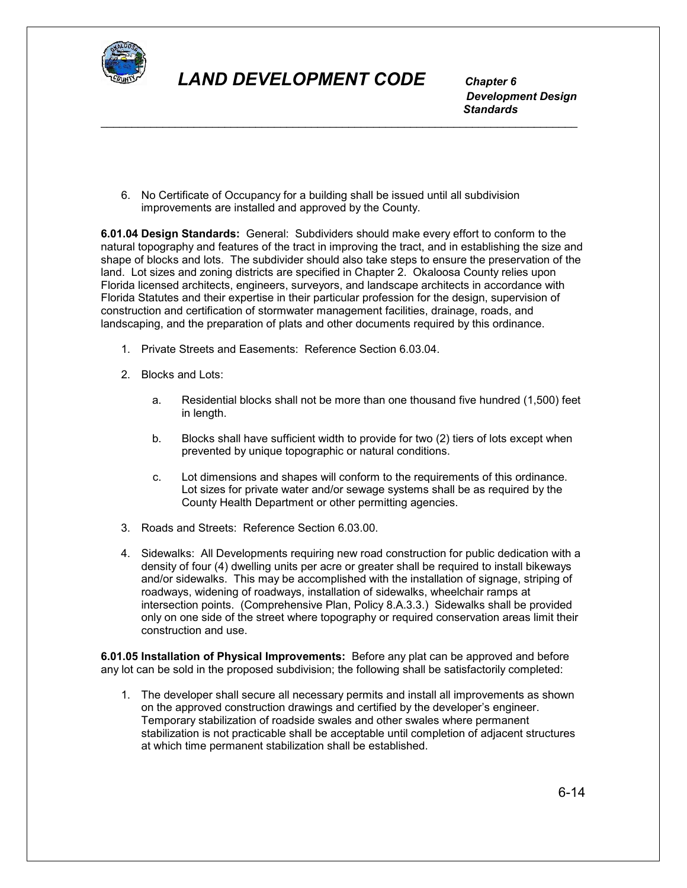

 *Development Design Standards* \_\_\_\_\_\_\_\_\_\_\_\_\_\_\_\_\_\_\_\_\_\_\_\_\_\_\_\_\_\_\_\_\_\_\_\_\_\_\_\_\_\_\_\_\_\_\_\_\_\_\_\_\_\_\_\_\_\_\_\_\_\_\_\_\_\_\_\_\_\_\_\_\_\_\_\_\_

6. No Certificate of Occupancy for a building shall be issued until all subdivision improvements are installed and approved by the County.

**6.01.04 Design Standards:** General: Subdividers should make every effort to conform to the natural topography and features of the tract in improving the tract, and in establishing the size and shape of blocks and lots. The subdivider should also take steps to ensure the preservation of the land. Lot sizes and zoning districts are specified in Chapter 2. Okaloosa County relies upon Florida licensed architects, engineers, surveyors, and landscape architects in accordance with Florida Statutes and their expertise in their particular profession for the design, supervision of construction and certification of stormwater management facilities, drainage, roads, and landscaping, and the preparation of plats and other documents required by this ordinance.

- 1. Private Streets and Easements: Reference Section 6.03.04.
- 2. Blocks and Lots:
	- a. Residential blocks shall not be more than one thousand five hundred (1,500) feet in length.
	- b. Blocks shall have sufficient width to provide for two (2) tiers of lots except when prevented by unique topographic or natural conditions.
	- c. Lot dimensions and shapes will conform to the requirements of this ordinance. Lot sizes for private water and/or sewage systems shall be as required by the County Health Department or other permitting agencies.
- 3. Roads and Streets: Reference Section 6.03.00.
- 4. Sidewalks: All Developments requiring new road construction for public dedication with a density of four (4) dwelling units per acre or greater shall be required to install bikeways and/or sidewalks. This may be accomplished with the installation of signage, striping of roadways, widening of roadways, installation of sidewalks, wheelchair ramps at intersection points. (Comprehensive Plan, Policy 8.A.3.3.) Sidewalks shall be provided only on one side of the street where topography or required conservation areas limit their construction and use.

**6.01.05 Installation of Physical Improvements:** Before any plat can be approved and before any lot can be sold in the proposed subdivision; the following shall be satisfactorily completed:

1. The developer shall secure all necessary permits and install all improvements as shown on the approved construction drawings and certified by the developer's engineer. Temporary stabilization of roadside swales and other swales where permanent stabilization is not practicable shall be acceptable until completion of adjacent structures at which time permanent stabilization shall be established.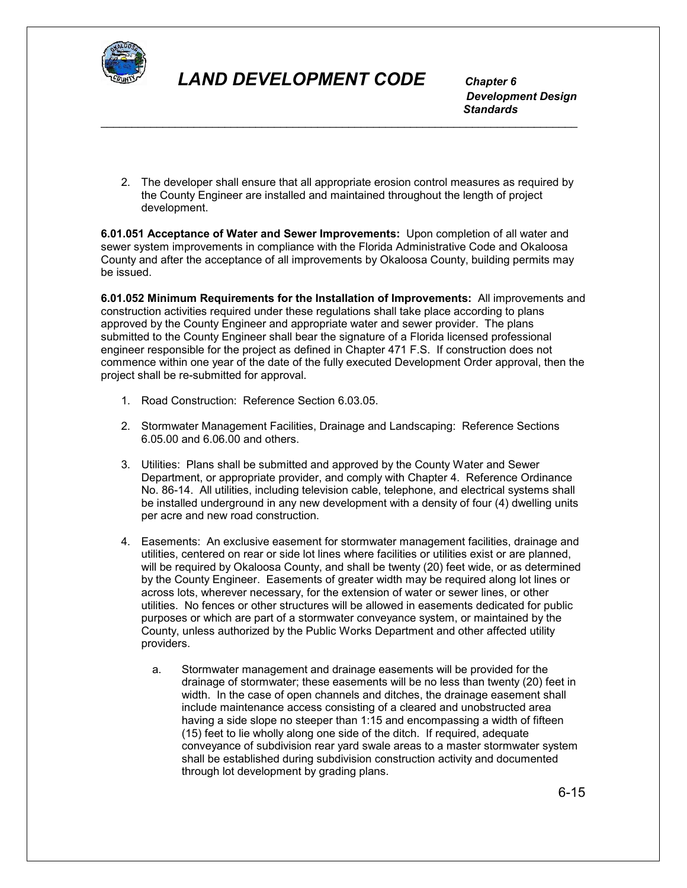

 *Development Design Standards*

2. The developer shall ensure that all appropriate erosion control measures as required by the County Engineer are installed and maintained throughout the length of project development.

\_\_\_\_\_\_\_\_\_\_\_\_\_\_\_\_\_\_\_\_\_\_\_\_\_\_\_\_\_\_\_\_\_\_\_\_\_\_\_\_\_\_\_\_\_\_\_\_\_\_\_\_\_\_\_\_\_\_\_\_\_\_\_\_\_\_\_\_\_\_\_\_\_\_\_\_\_

**6.01.051 Acceptance of Water and Sewer Improvements:** Upon completion of all water and sewer system improvements in compliance with the Florida Administrative Code and Okaloosa County and after the acceptance of all improvements by Okaloosa County, building permits may be issued.

**6.01.052 Minimum Requirements for the Installation of Improvements:** All improvements and construction activities required under these regulations shall take place according to plans approved by the County Engineer and appropriate water and sewer provider. The plans submitted to the County Engineer shall bear the signature of a Florida licensed professional engineer responsible for the project as defined in Chapter 471 F.S. If construction does not commence within one year of the date of the fully executed Development Order approval, then the project shall be re-submitted for approval.

- 1. Road Construction: Reference Section 6.03.05.
- 2. Stormwater Management Facilities, Drainage and Landscaping: Reference Sections 6.05.00 and 6.06.00 and others.
- 3. Utilities: Plans shall be submitted and approved by the County Water and Sewer Department, or appropriate provider, and comply with Chapter 4. Reference Ordinance No. 86-14. All utilities, including television cable, telephone, and electrical systems shall be installed underground in any new development with a density of four (4) dwelling units per acre and new road construction.
- 4. Easements: An exclusive easement for stormwater management facilities, drainage and utilities, centered on rear or side lot lines where facilities or utilities exist or are planned, will be required by Okaloosa County, and shall be twenty (20) feet wide, or as determined by the County Engineer. Easements of greater width may be required along lot lines or across lots, wherever necessary, for the extension of water or sewer lines, or other utilities. No fences or other structures will be allowed in easements dedicated for public purposes or which are part of a stormwater conveyance system, or maintained by the County, unless authorized by the Public Works Department and other affected utility providers.
	- a. Stormwater management and drainage easements will be provided for the drainage of stormwater; these easements will be no less than twenty (20) feet in width. In the case of open channels and ditches, the drainage easement shall include maintenance access consisting of a cleared and unobstructed area having a side slope no steeper than 1:15 and encompassing a width of fifteen (15) feet to lie wholly along one side of the ditch. If required, adequate conveyance of subdivision rear yard swale areas to a master stormwater system shall be established during subdivision construction activity and documented through lot development by grading plans.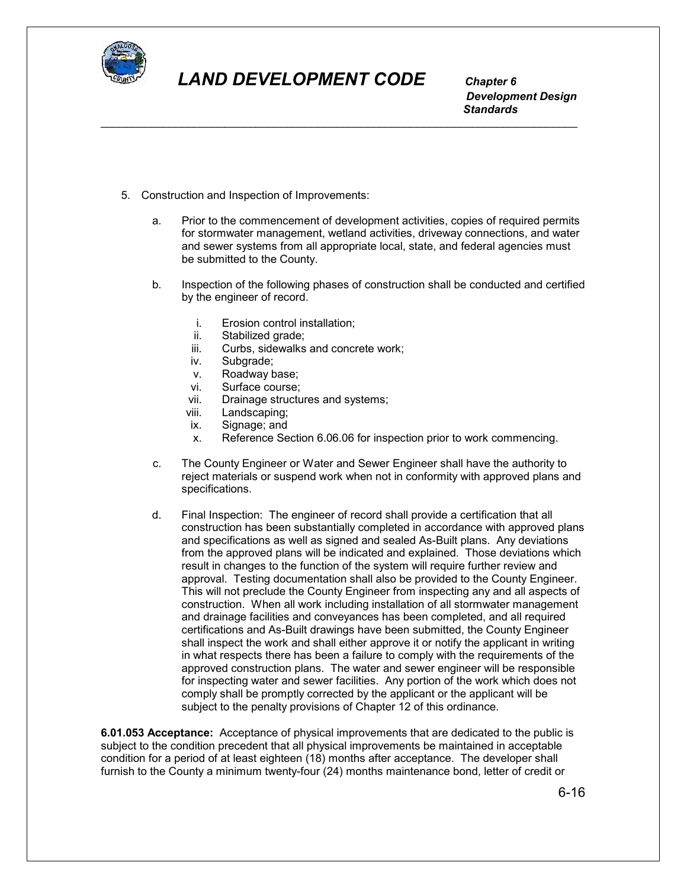

 *Development Design Standards* \_\_\_\_\_\_\_\_\_\_\_\_\_\_\_\_\_\_\_\_\_\_\_\_\_\_\_\_\_\_\_\_\_\_\_\_\_\_\_\_\_\_\_\_\_\_\_\_\_\_\_\_\_\_\_\_\_\_\_\_\_\_\_\_\_\_\_\_\_\_\_\_\_\_\_\_\_

- 5. Construction and Inspection of Improvements:
	- a. Prior to the commencement of development activities, copies of required permits for stormwater management, wetland activities, driveway connections, and water and sewer systems from all appropriate local, state, and federal agencies must be submitted to the County.
	- b. Inspection of the following phases of construction shall be conducted and certified by the engineer of record.
		- i. Erosion control installation;
		- ii. Stabilized grade;
		- iii. Curbs, sidewalks and concrete work;
		- iv. Subgrade;
		- v. Roadway base;
		- vi. Surface course;
		- vii. Drainage structures and systems;<br>viii. Landscaping;
		- Landscaping;
		- ix. Signage; and
		- x. Reference Section 6.06.06 for inspection prior to work commencing.
	- c. The County Engineer or Water and Sewer Engineer shall have the authority to reject materials or suspend work when not in conformity with approved plans and specifications.
	- d. Final Inspection: The engineer of record shall provide a certification that all construction has been substantially completed in accordance with approved plans and specifications as well as signed and sealed As-Built plans. Any deviations from the approved plans will be indicated and explained. Those deviations which result in changes to the function of the system will require further review and approval. Testing documentation shall also be provided to the County Engineer. This will not preclude the County Engineer from inspecting any and all aspects of construction. When all work including installation of all stormwater management and drainage facilities and conveyances has been completed, and all required certifications and As-Built drawings have been submitted, the County Engineer shall inspect the work and shall either approve it or notify the applicant in writing in what respects there has been a failure to comply with the requirements of the approved construction plans. The water and sewer engineer will be responsible for inspecting water and sewer facilities. Any portion of the work which does not comply shall be promptly corrected by the applicant or the applicant will be subject to the penalty provisions of Chapter 12 of this ordinance.

**6.01.053 Acceptance:** Acceptance of physical improvements that are dedicated to the public is subject to the condition precedent that all physical improvements be maintained in acceptable condition for a period of at least eighteen (18) months after acceptance. The developer shall furnish to the County a minimum twenty-four (24) months maintenance bond, letter of credit or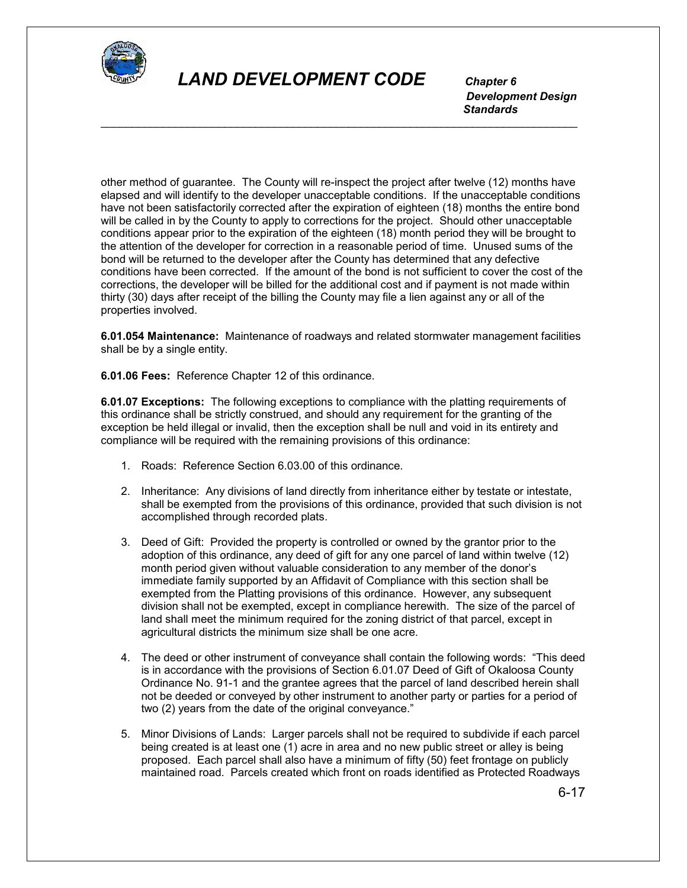

 *Development Design Standards*

other method of guarantee. The County will re-inspect the project after twelve (12) months have elapsed and will identify to the developer unacceptable conditions. If the unacceptable conditions have not been satisfactorily corrected after the expiration of eighteen (18) months the entire bond will be called in by the County to apply to corrections for the project. Should other unacceptable conditions appear prior to the expiration of the eighteen (18) month period they will be brought to the attention of the developer for correction in a reasonable period of time. Unused sums of the bond will be returned to the developer after the County has determined that any defective conditions have been corrected. If the amount of the bond is not sufficient to cover the cost of the corrections, the developer will be billed for the additional cost and if payment is not made within thirty (30) days after receipt of the billing the County may file a lien against any or all of the properties involved.

\_\_\_\_\_\_\_\_\_\_\_\_\_\_\_\_\_\_\_\_\_\_\_\_\_\_\_\_\_\_\_\_\_\_\_\_\_\_\_\_\_\_\_\_\_\_\_\_\_\_\_\_\_\_\_\_\_\_\_\_\_\_\_\_\_\_\_\_\_\_\_\_\_\_\_\_\_

**6.01.054 Maintenance:** Maintenance of roadways and related stormwater management facilities shall be by a single entity.

**6.01.06 Fees:** Reference Chapter 12 of this ordinance.

**6.01.07 Exceptions:** The following exceptions to compliance with the platting requirements of this ordinance shall be strictly construed, and should any requirement for the granting of the exception be held illegal or invalid, then the exception shall be null and void in its entirety and compliance will be required with the remaining provisions of this ordinance:

- 1. Roads: Reference Section 6.03.00 of this ordinance.
- 2. Inheritance: Any divisions of land directly from inheritance either by testate or intestate, shall be exempted from the provisions of this ordinance, provided that such division is not accomplished through recorded plats.
- 3. Deed of Gift: Provided the property is controlled or owned by the grantor prior to the adoption of this ordinance, any deed of gift for any one parcel of land within twelve (12) month period given without valuable consideration to any member of the donor's immediate family supported by an Affidavit of Compliance with this section shall be exempted from the Platting provisions of this ordinance. However, any subsequent division shall not be exempted, except in compliance herewith. The size of the parcel of land shall meet the minimum required for the zoning district of that parcel, except in agricultural districts the minimum size shall be one acre.
- 4. The deed or other instrument of conveyance shall contain the following words: "This deed is in accordance with the provisions of Section 6.01.07 Deed of Gift of Okaloosa County Ordinance No. 91-1 and the grantee agrees that the parcel of land described herein shall not be deeded or conveyed by other instrument to another party or parties for a period of two (2) years from the date of the original conveyance."
- 5. Minor Divisions of Lands: Larger parcels shall not be required to subdivide if each parcel being created is at least one (1) acre in area and no new public street or alley is being proposed. Each parcel shall also have a minimum of fifty (50) feet frontage on publicly maintained road. Parcels created which front on roads identified as Protected Roadways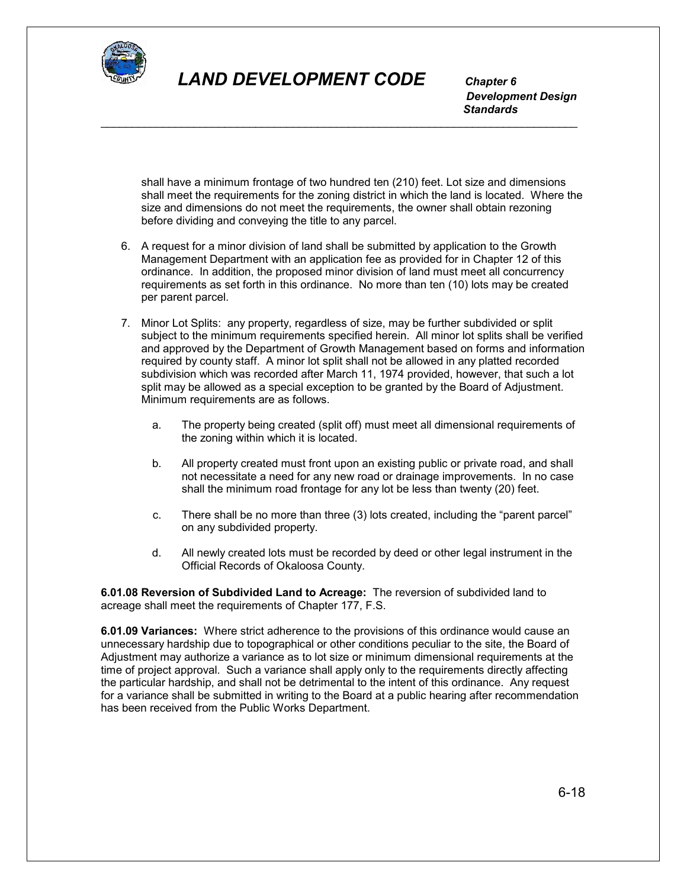

 *Development Design Standards*

shall have a minimum frontage of two hundred ten (210) feet. Lot size and dimensions shall meet the requirements for the zoning district in which the land is located. Where the size and dimensions do not meet the requirements, the owner shall obtain rezoning before dividing and conveying the title to any parcel.

6. A request for a minor division of land shall be submitted by application to the Growth Management Department with an application fee as provided for in Chapter 12 of this ordinance. In addition, the proposed minor division of land must meet all concurrency requirements as set forth in this ordinance. No more than ten (10) lots may be created per parent parcel.

\_\_\_\_\_\_\_\_\_\_\_\_\_\_\_\_\_\_\_\_\_\_\_\_\_\_\_\_\_\_\_\_\_\_\_\_\_\_\_\_\_\_\_\_\_\_\_\_\_\_\_\_\_\_\_\_\_\_\_\_\_\_\_\_\_\_\_\_\_\_\_\_\_\_\_\_\_

- 7. Minor Lot Splits: any property, regardless of size, may be further subdivided or split subject to the minimum requirements specified herein. All minor lot splits shall be verified and approved by the Department of Growth Management based on forms and information required by county staff. A minor lot split shall not be allowed in any platted recorded subdivision which was recorded after March 11, 1974 provided, however, that such a lot split may be allowed as a special exception to be granted by the Board of Adjustment. Minimum requirements are as follows.
	- a. The property being created (split off) must meet all dimensional requirements of the zoning within which it is located.
	- b. All property created must front upon an existing public or private road, and shall not necessitate a need for any new road or drainage improvements. In no case shall the minimum road frontage for any lot be less than twenty (20) feet.
	- c. There shall be no more than three (3) lots created, including the "parent parcel" on any subdivided property.
	- d. All newly created lots must be recorded by deed or other legal instrument in the Official Records of Okaloosa County.

**6.01.08 Reversion of Subdivided Land to Acreage:** The reversion of subdivided land to acreage shall meet the requirements of Chapter 177, F.S.

**6.01.09 Variances:** Where strict adherence to the provisions of this ordinance would cause an unnecessary hardship due to topographical or other conditions peculiar to the site, the Board of Adjustment may authorize a variance as to lot size or minimum dimensional requirements at the time of project approval. Such a variance shall apply only to the requirements directly affecting the particular hardship, and shall not be detrimental to the intent of this ordinance. Any request for a variance shall be submitted in writing to the Board at a public hearing after recommendation has been received from the Public Works Department.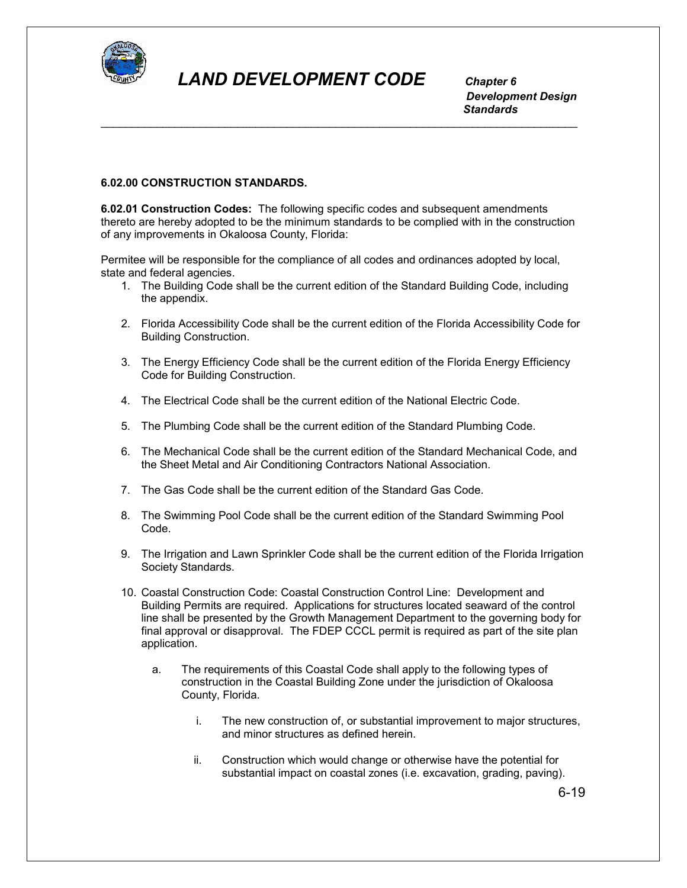

 *Development Design Standards* \_\_\_\_\_\_\_\_\_\_\_\_\_\_\_\_\_\_\_\_\_\_\_\_\_\_\_\_\_\_\_\_\_\_\_\_\_\_\_\_\_\_\_\_\_\_\_\_\_\_\_\_\_\_\_\_\_\_\_\_\_\_\_\_\_\_\_\_\_\_\_\_\_\_\_\_\_

#### **6.02.00 CONSTRUCTION STANDARDS.**

**6.02.01 Construction Codes:** The following specific codes and subsequent amendments thereto are hereby adopted to be the minimum standards to be complied with in the construction of any improvements in Okaloosa County, Florida:

Permitee will be responsible for the compliance of all codes and ordinances adopted by local, state and federal agencies.

- 1. The Building Code shall be the current edition of the Standard Building Code, including the appendix.
- 2. Florida Accessibility Code shall be the current edition of the Florida Accessibility Code for Building Construction.
- 3. The Energy Efficiency Code shall be the current edition of the Florida Energy Efficiency Code for Building Construction.
- 4. The Electrical Code shall be the current edition of the National Electric Code.
- 5. The Plumbing Code shall be the current edition of the Standard Plumbing Code.
- 6. The Mechanical Code shall be the current edition of the Standard Mechanical Code, and the Sheet Metal and Air Conditioning Contractors National Association.
- 7. The Gas Code shall be the current edition of the Standard Gas Code.
- 8. The Swimming Pool Code shall be the current edition of the Standard Swimming Pool Code.
- 9. The Irrigation and Lawn Sprinkler Code shall be the current edition of the Florida Irrigation Society Standards.
- 10. Coastal Construction Code: Coastal Construction Control Line: Development and Building Permits are required. Applications for structures located seaward of the control line shall be presented by the Growth Management Department to the governing body for final approval or disapproval. The FDEP CCCL permit is required as part of the site plan application.
	- a. The requirements of this Coastal Code shall apply to the following types of construction in the Coastal Building Zone under the jurisdiction of Okaloosa County, Florida.
		- i. The new construction of, or substantial improvement to major structures, and minor structures as defined herein.
		- ii. Construction which would change or otherwise have the potential for substantial impact on coastal zones (i.e. excavation, grading, paving).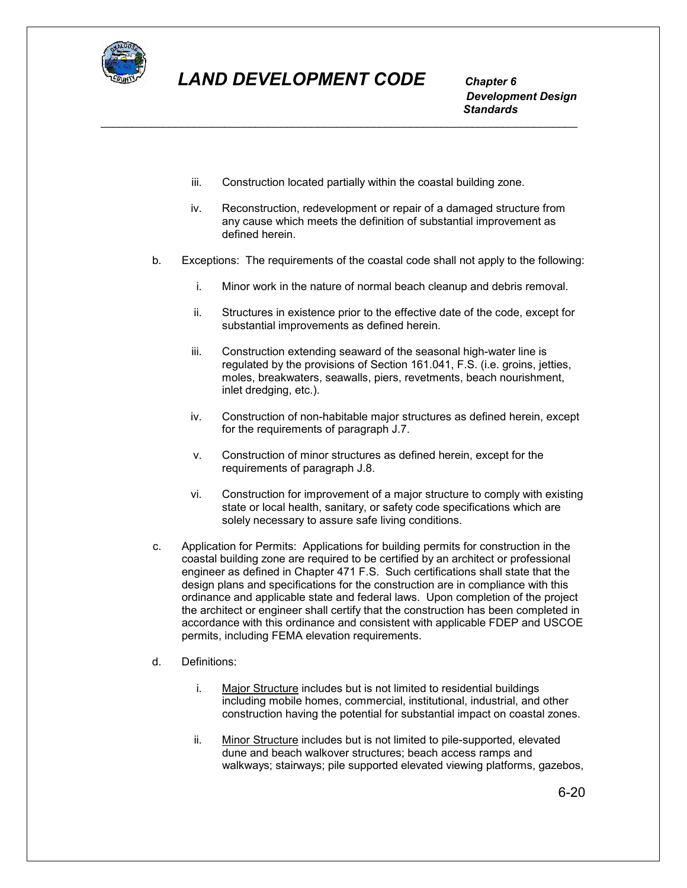

 *Development Design Standards* \_\_\_\_\_\_\_\_\_\_\_\_\_\_\_\_\_\_\_\_\_\_\_\_\_\_\_\_\_\_\_\_\_\_\_\_\_\_\_\_\_\_\_\_\_\_\_\_\_\_\_\_\_\_\_\_\_\_\_\_\_\_\_\_\_\_\_\_\_\_\_\_\_\_\_\_\_

- iii. Construction located partially within the coastal building zone.
- iv. Reconstruction, redevelopment or repair of a damaged structure from any cause which meets the definition of substantial improvement as defined herein.
- b. Exceptions: The requirements of the coastal code shall not apply to the following:
	- i. Minor work in the nature of normal beach cleanup and debris removal.
	- ii. Structures in existence prior to the effective date of the code, except for substantial improvements as defined herein.
	- iii. Construction extending seaward of the seasonal high-water line is regulated by the provisions of Section 161.041, F.S. (i.e. groins, jetties, moles, breakwaters, seawalls, piers, revetments, beach nourishment, inlet dredging, etc.).
	- iv. Construction of non-habitable major structures as defined herein, except for the requirements of paragraph J.7.
	- v. Construction of minor structures as defined herein, except for the requirements of paragraph J.8.
	- vi. Construction for improvement of a major structure to comply with existing state or local health, sanitary, or safety code specifications which are solely necessary to assure safe living conditions.
- c. Application for Permits: Applications for building permits for construction in the coastal building zone are required to be certified by an architect or professional engineer as defined in Chapter 471 F.S. Such certifications shall state that the design plans and specifications for the construction are in compliance with this ordinance and applicable state and federal laws. Upon completion of the project the architect or engineer shall certify that the construction has been completed in accordance with this ordinance and consistent with applicable FDEP and USCOE permits, including FEMA elevation requirements.
- d. Definitions:
	- i. Major Structure includes but is not limited to residential buildings including mobile homes, commercial, institutional, industrial, and other construction having the potential for substantial impact on coastal zones.
	- ii. Minor Structure includes but is not limited to pile-supported, elevated dune and beach walkover structures; beach access ramps and walkways; stairways; pile supported elevated viewing platforms, gazebos,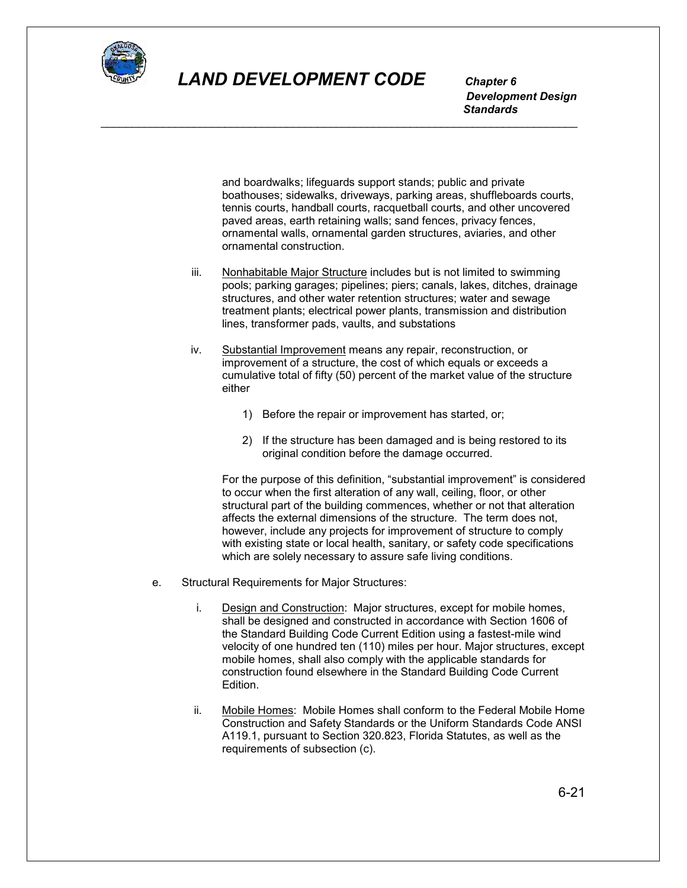

 *Development Design Standards* \_\_\_\_\_\_\_\_\_\_\_\_\_\_\_\_\_\_\_\_\_\_\_\_\_\_\_\_\_\_\_\_\_\_\_\_\_\_\_\_\_\_\_\_\_\_\_\_\_\_\_\_\_\_\_\_\_\_\_\_\_\_\_\_\_\_\_\_\_\_\_\_\_\_\_\_\_

> and boardwalks; lifeguards support stands; public and private boathouses; sidewalks, driveways, parking areas, shuffleboards courts, tennis courts, handball courts, racquetball courts, and other uncovered paved areas, earth retaining walls; sand fences, privacy fences, ornamental walls, ornamental garden structures, aviaries, and other ornamental construction.

- iii. Nonhabitable Major Structure includes but is not limited to swimming pools; parking garages; pipelines; piers; canals, lakes, ditches, drainage structures, and other water retention structures; water and sewage treatment plants; electrical power plants, transmission and distribution lines, transformer pads, vaults, and substations
- iv. Substantial Improvement means any repair, reconstruction, or improvement of a structure, the cost of which equals or exceeds a cumulative total of fifty (50) percent of the market value of the structure either
	- 1) Before the repair or improvement has started, or;
	- 2) If the structure has been damaged and is being restored to its original condition before the damage occurred.

For the purpose of this definition, "substantial improvement" is considered to occur when the first alteration of any wall, ceiling, floor, or other structural part of the building commences, whether or not that alteration affects the external dimensions of the structure. The term does not, however, include any projects for improvement of structure to comply with existing state or local health, sanitary, or safety code specifications which are solely necessary to assure safe living conditions.

- e. Structural Requirements for Major Structures:
	- i. Design and Construction: Major structures, except for mobile homes, shall be designed and constructed in accordance with Section 1606 of the Standard Building Code Current Edition using a fastest-mile wind velocity of one hundred ten (110) miles per hour. Major structures, except mobile homes, shall also comply with the applicable standards for construction found elsewhere in the Standard Building Code Current Edition.
	- ii. Mobile Homes: Mobile Homes shall conform to the Federal Mobile Home Construction and Safety Standards or the Uniform Standards Code ANSI A119.1, pursuant to Section 320.823, Florida Statutes, as well as the requirements of subsection (c).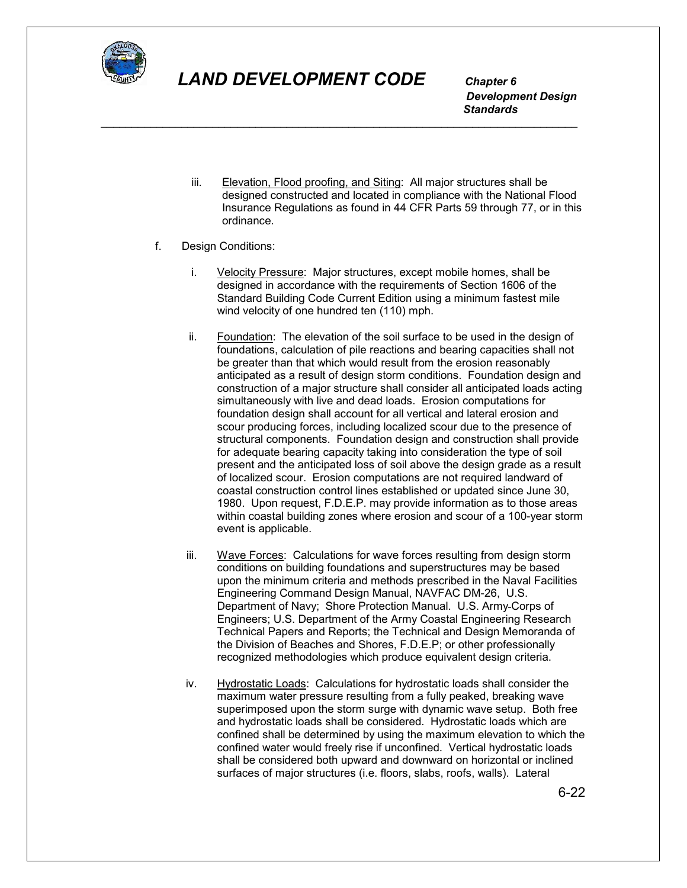

 *Development Design Standards* \_\_\_\_\_\_\_\_\_\_\_\_\_\_\_\_\_\_\_\_\_\_\_\_\_\_\_\_\_\_\_\_\_\_\_\_\_\_\_\_\_\_\_\_\_\_\_\_\_\_\_\_\_\_\_\_\_\_\_\_\_\_\_\_\_\_\_\_\_\_\_\_\_\_\_\_\_

- iii. Elevation, Flood proofing, and Siting: All major structures shall be designed constructed and located in compliance with the National Flood Insurance Regulations as found in 44 CFR Parts 59 through 77, or in this ordinance.
- f. Design Conditions:
	- i. Velocity Pressure: Major structures, except mobile homes, shall be designed in accordance with the requirements of Section 1606 of the Standard Building Code Current Edition using a minimum fastest mile wind velocity of one hundred ten (110) mph.
	- ii. Foundation: The elevation of the soil surface to be used in the design of foundations, calculation of pile reactions and bearing capacities shall not be greater than that which would result from the erosion reasonably anticipated as a result of design storm conditions. Foundation design and construction of a major structure shall consider all anticipated loads acting simultaneously with live and dead loads. Erosion computations for foundation design shall account for all vertical and lateral erosion and scour producing forces, including localized scour due to the presence of structural components. Foundation design and construction shall provide for adequate bearing capacity taking into consideration the type of soil present and the anticipated loss of soil above the design grade as a result of localized scour. Erosion computations are not required landward of coastal construction control lines established or updated since June 30, 1980. Upon request, F.D.E.P. may provide information as to those areas within coastal building zones where erosion and scour of a 100-year storm event is applicable.
	- iii. Wave Forces: Calculations for wave forces resulting from design storm conditions on building foundations and superstructures may be based upon the minimum criteria and methods prescribed in the Naval Facilities Engineering Command Design Manual, NAVFAC DM-26, U.S. Department of Navy; Shore Protection Manual. U.S. Army Corps of Engineers; U.S. Department of the Army Coastal Engineering Research Technical Papers and Reports; the Technical and Design Memoranda of the Division of Beaches and Shores, F.D.E.P; or other professionally recognized methodologies which produce equivalent design criteria.
	- iv. Hydrostatic Loads: Calculations for hydrostatic loads shall consider the maximum water pressure resulting from a fully peaked, breaking wave superimposed upon the storm surge with dynamic wave setup. Both free and hydrostatic loads shall be considered. Hydrostatic loads which are confined shall be determined by using the maximum elevation to which the confined water would freely rise if unconfined. Vertical hydrostatic loads shall be considered both upward and downward on horizontal or inclined surfaces of major structures (i.e. floors, slabs, roofs, walls). Lateral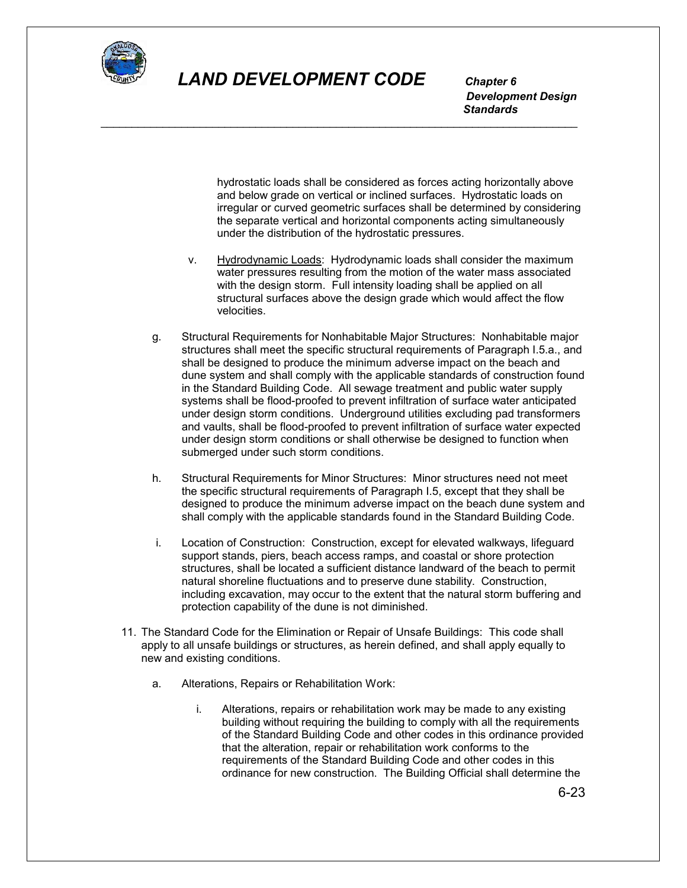

\_\_\_\_\_\_\_\_\_\_\_\_\_\_\_\_\_\_\_\_\_\_\_\_\_\_\_\_\_\_\_\_\_\_\_\_\_\_\_\_\_\_\_\_\_\_\_\_\_\_\_\_\_\_\_\_\_\_\_\_\_\_\_\_\_\_\_\_\_\_\_\_\_\_\_\_\_

 *Development Design Standards*

> hydrostatic loads shall be considered as forces acting horizontally above and below grade on vertical or inclined surfaces. Hydrostatic loads on irregular or curved geometric surfaces shall be determined by considering the separate vertical and horizontal components acting simultaneously under the distribution of the hydrostatic pressures.

- v. Hydrodynamic Loads: Hydrodynamic loads shall consider the maximum water pressures resulting from the motion of the water mass associated with the design storm. Full intensity loading shall be applied on all structural surfaces above the design grade which would affect the flow velocities.
- g. Structural Requirements for Nonhabitable Major Structures: Nonhabitable major structures shall meet the specific structural requirements of Paragraph I.5.a., and shall be designed to produce the minimum adverse impact on the beach and dune system and shall comply with the applicable standards of construction found in the Standard Building Code. All sewage treatment and public water supply systems shall be flood-proofed to prevent infiltration of surface water anticipated under design storm conditions. Underground utilities excluding pad transformers and vaults, shall be flood-proofed to prevent infiltration of surface water expected under design storm conditions or shall otherwise be designed to function when submerged under such storm conditions.
- h. Structural Requirements for Minor Structures: Minor structures need not meet the specific structural requirements of Paragraph I.5, except that they shall be designed to produce the minimum adverse impact on the beach dune system and shall comply with the applicable standards found in the Standard Building Code.
- i. Location of Construction: Construction, except for elevated walkways, lifeguard support stands, piers, beach access ramps, and coastal or shore protection structures, shall be located a sufficient distance landward of the beach to permit natural shoreline fluctuations and to preserve dune stability. Construction, including excavation, may occur to the extent that the natural storm buffering and protection capability of the dune is not diminished.
- 11. The Standard Code for the Elimination or Repair of Unsafe Buildings: This code shall apply to all unsafe buildings or structures, as herein defined, and shall apply equally to new and existing conditions.
	- a. Alterations, Repairs or Rehabilitation Work:
		- i. Alterations, repairs or rehabilitation work may be made to any existing building without requiring the building to comply with all the requirements of the Standard Building Code and other codes in this ordinance provided that the alteration, repair or rehabilitation work conforms to the requirements of the Standard Building Code and other codes in this ordinance for new construction. The Building Official shall determine the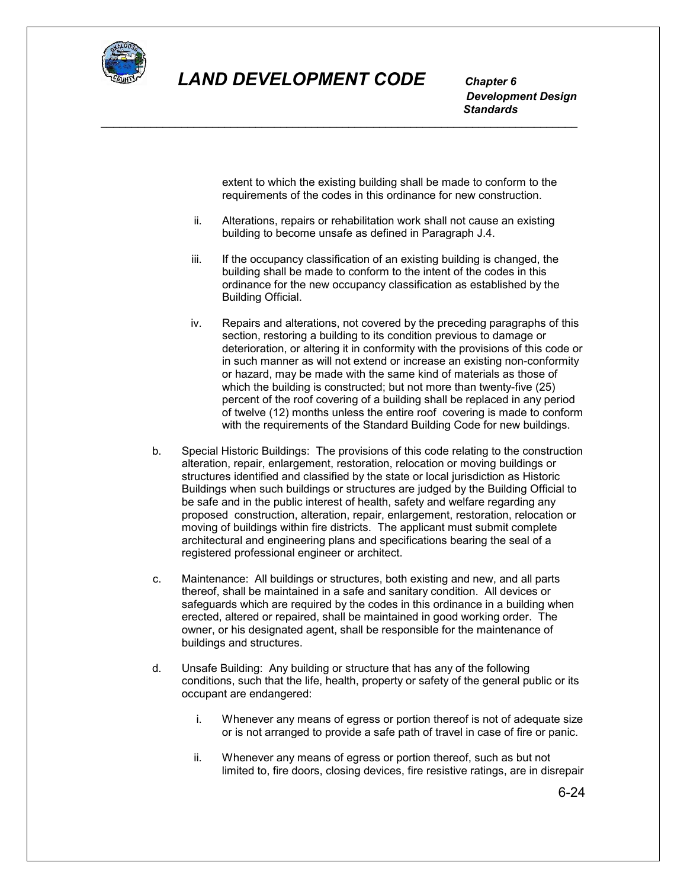

\_\_\_\_\_\_\_\_\_\_\_\_\_\_\_\_\_\_\_\_\_\_\_\_\_\_\_\_\_\_\_\_\_\_\_\_\_\_\_\_\_\_\_\_\_\_\_\_\_\_\_\_\_\_\_\_\_\_\_\_\_\_\_\_\_\_\_\_\_\_\_\_\_\_\_\_\_

 *Development Design Standards*

> extent to which the existing building shall be made to conform to the requirements of the codes in this ordinance for new construction.

- ii. Alterations, repairs or rehabilitation work shall not cause an existing building to become unsafe as defined in Paragraph J.4.
- iii. If the occupancy classification of an existing building is changed, the building shall be made to conform to the intent of the codes in this ordinance for the new occupancy classification as established by the Building Official.
- iv. Repairs and alterations, not covered by the preceding paragraphs of this section, restoring a building to its condition previous to damage or deterioration, or altering it in conformity with the provisions of this code or in such manner as will not extend or increase an existing non-conformity or hazard, may be made with the same kind of materials as those of which the building is constructed; but not more than twenty-five (25) percent of the roof covering of a building shall be replaced in any period of twelve (12) months unless the entire roof covering is made to conform with the requirements of the Standard Building Code for new buildings.
- b. Special Historic Buildings: The provisions of this code relating to the construction alteration, repair, enlargement, restoration, relocation or moving buildings or structures identified and classified by the state or local jurisdiction as Historic Buildings when such buildings or structures are judged by the Building Official to be safe and in the public interest of health, safety and welfare regarding any proposed construction, alteration, repair, enlargement, restoration, relocation or moving of buildings within fire districts. The applicant must submit complete architectural and engineering plans and specifications bearing the seal of a registered professional engineer or architect.
- c. Maintenance: All buildings or structures, both existing and new, and all parts thereof, shall be maintained in a safe and sanitary condition. All devices or safeguards which are required by the codes in this ordinance in a building when erected, altered or repaired, shall be maintained in good working order. The owner, or his designated agent, shall be responsible for the maintenance of buildings and structures.
- d. Unsafe Building: Any building or structure that has any of the following conditions, such that the life, health, property or safety of the general public or its occupant are endangered:
	- i. Whenever any means of egress or portion thereof is not of adequate size or is not arranged to provide a safe path of travel in case of fire or panic.
	- ii. Whenever any means of egress or portion thereof, such as but not limited to, fire doors, closing devices, fire resistive ratings, are in disrepair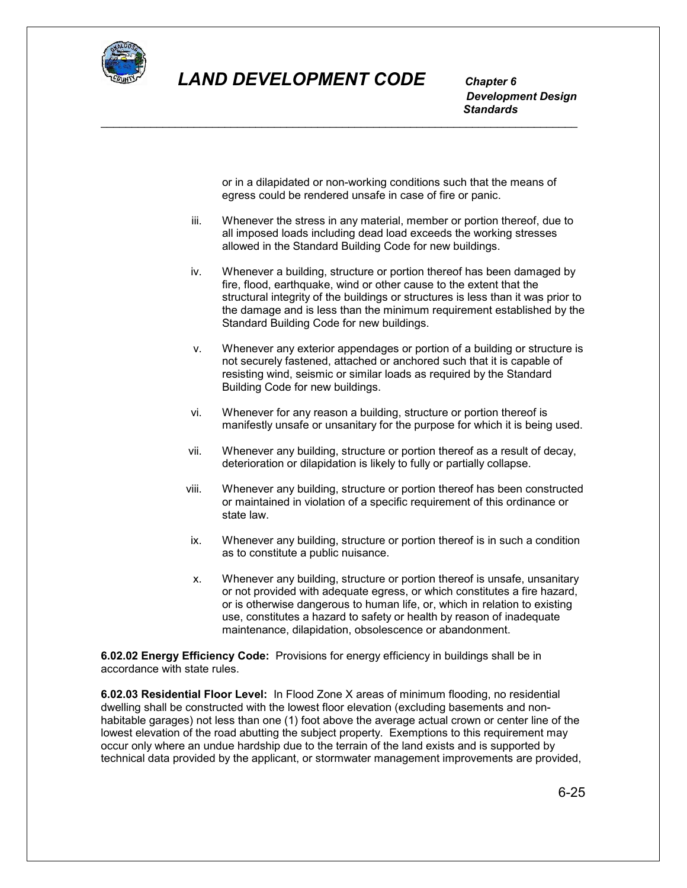

\_\_\_\_\_\_\_\_\_\_\_\_\_\_\_\_\_\_\_\_\_\_\_\_\_\_\_\_\_\_\_\_\_\_\_\_\_\_\_\_\_\_\_\_\_\_\_\_\_\_\_\_\_\_\_\_\_\_\_\_\_\_\_\_\_\_\_\_\_\_\_\_\_\_\_\_\_

 *Development Design Standards*

> or in a dilapidated or non-working conditions such that the means of egress could be rendered unsafe in case of fire or panic.

- iii. Whenever the stress in any material, member or portion thereof, due to all imposed loads including dead load exceeds the working stresses allowed in the Standard Building Code for new buildings.
- iv. Whenever a building, structure or portion thereof has been damaged by fire, flood, earthquake, wind or other cause to the extent that the structural integrity of the buildings or structures is less than it was prior to the damage and is less than the minimum requirement established by the Standard Building Code for new buildings.
- v. Whenever any exterior appendages or portion of a building or structure is not securely fastened, attached or anchored such that it is capable of resisting wind, seismic or similar loads as required by the Standard Building Code for new buildings.
- vi. Whenever for any reason a building, structure or portion thereof is manifestly unsafe or unsanitary for the purpose for which it is being used.
- vii. Whenever any building, structure or portion thereof as a result of decay, deterioration or dilapidation is likely to fully or partially collapse.
- viii. Whenever any building, structure or portion thereof has been constructed or maintained in violation of a specific requirement of this ordinance or state law.
- ix. Whenever any building, structure or portion thereof is in such a condition as to constitute a public nuisance.
- x. Whenever any building, structure or portion thereof is unsafe, unsanitary or not provided with adequate egress, or which constitutes a fire hazard, or is otherwise dangerous to human life, or, which in relation to existing use, constitutes a hazard to safety or health by reason of inadequate maintenance, dilapidation, obsolescence or abandonment.

**6.02.02 Energy Efficiency Code:** Provisions for energy efficiency in buildings shall be in accordance with state rules.

**6.02.03 Residential Floor Level:** In Flood Zone X areas of minimum flooding, no residential dwelling shall be constructed with the lowest floor elevation (excluding basements and nonhabitable garages) not less than one (1) foot above the average actual crown or center line of the lowest elevation of the road abutting the subject property. Exemptions to this requirement may occur only where an undue hardship due to the terrain of the land exists and is supported by technical data provided by the applicant, or stormwater management improvements are provided,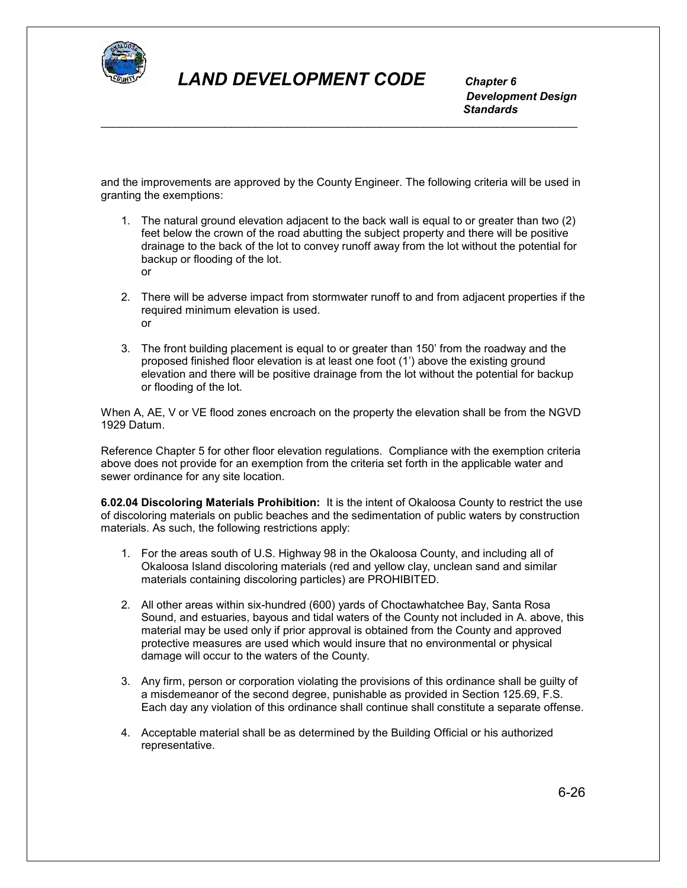

 *Development Design Standards*

and the improvements are approved by the County Engineer. The following criteria will be used in granting the exemptions:

\_\_\_\_\_\_\_\_\_\_\_\_\_\_\_\_\_\_\_\_\_\_\_\_\_\_\_\_\_\_\_\_\_\_\_\_\_\_\_\_\_\_\_\_\_\_\_\_\_\_\_\_\_\_\_\_\_\_\_\_\_\_\_\_\_\_\_\_\_\_\_\_\_\_\_\_\_

- 1. The natural ground elevation adjacent to the back wall is equal to or greater than two (2) feet below the crown of the road abutting the subject property and there will be positive drainage to the back of the lot to convey runoff away from the lot without the potential for backup or flooding of the lot. or
- 2. There will be adverse impact from stormwater runoff to and from adjacent properties if the required minimum elevation is used. or
- 3. The front building placement is equal to or greater than 150' from the roadway and the proposed finished floor elevation is at least one foot (1') above the existing ground elevation and there will be positive drainage from the lot without the potential for backup or flooding of the lot.

When A, AE, V or VE flood zones encroach on the property the elevation shall be from the NGVD 1929 Datum.

Reference Chapter 5 for other floor elevation regulations. Compliance with the exemption criteria above does not provide for an exemption from the criteria set forth in the applicable water and sewer ordinance for any site location.

**6.02.04 Discoloring Materials Prohibition:** It is the intent of Okaloosa County to restrict the use of discoloring materials on public beaches and the sedimentation of public waters by construction materials. As such, the following restrictions apply:

- 1. For the areas south of U.S. Highway 98 in the Okaloosa County, and including all of Okaloosa Island discoloring materials (red and yellow clay, unclean sand and similar materials containing discoloring particles) are PROHIBITED.
- 2. All other areas within six-hundred (600) yards of Choctawhatchee Bay, Santa Rosa Sound, and estuaries, bayous and tidal waters of the County not included in A. above, this material may be used only if prior approval is obtained from the County and approved protective measures are used which would insure that no environmental or physical damage will occur to the waters of the County.
- 3. Any firm, person or corporation violating the provisions of this ordinance shall be guilty of a misdemeanor of the second degree, punishable as provided in Section 125.69, F.S. Each day any violation of this ordinance shall continue shall constitute a separate offense.
- 4. Acceptable material shall be as determined by the Building Official or his authorized representative.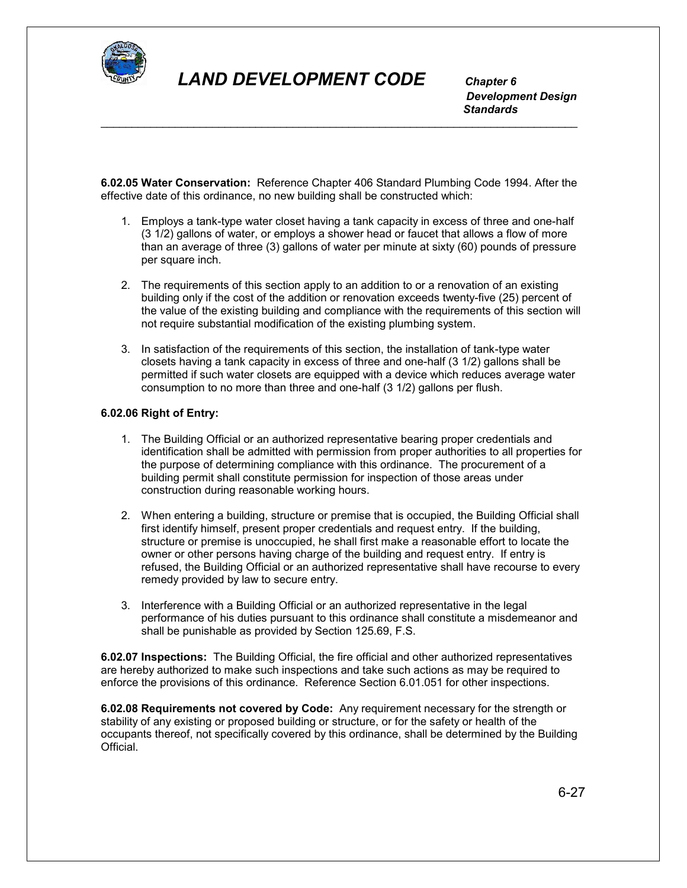

 *Development Design Standards*

**6.02.05 Water Conservation:** Reference Chapter 406 Standard Plumbing Code 1994. After the effective date of this ordinance, no new building shall be constructed which:

\_\_\_\_\_\_\_\_\_\_\_\_\_\_\_\_\_\_\_\_\_\_\_\_\_\_\_\_\_\_\_\_\_\_\_\_\_\_\_\_\_\_\_\_\_\_\_\_\_\_\_\_\_\_\_\_\_\_\_\_\_\_\_\_\_\_\_\_\_\_\_\_\_\_\_\_\_

- 1. Employs a tank-type water closet having a tank capacity in excess of three and one-half (3 1/2) gallons of water, or employs a shower head or faucet that allows a flow of more than an average of three (3) gallons of water per minute at sixty (60) pounds of pressure per square inch.
- 2. The requirements of this section apply to an addition to or a renovation of an existing building only if the cost of the addition or renovation exceeds twenty-five (25) percent of the value of the existing building and compliance with the requirements of this section will not require substantial modification of the existing plumbing system.
- 3. In satisfaction of the requirements of this section, the installation of tank-type water closets having a tank capacity in excess of three and one-half (3 1/2) gallons shall be permitted if such water closets are equipped with a device which reduces average water consumption to no more than three and one-half (3 1/2) gallons per flush.

#### **6.02.06 Right of Entry:**

- 1. The Building Official or an authorized representative bearing proper credentials and identification shall be admitted with permission from proper authorities to all properties for the purpose of determining compliance with this ordinance. The procurement of a building permit shall constitute permission for inspection of those areas under construction during reasonable working hours.
- 2. When entering a building, structure or premise that is occupied, the Building Official shall first identify himself, present proper credentials and request entry. If the building, structure or premise is unoccupied, he shall first make a reasonable effort to locate the owner or other persons having charge of the building and request entry. If entry is refused, the Building Official or an authorized representative shall have recourse to every remedy provided by law to secure entry.
- 3. Interference with a Building Official or an authorized representative in the legal performance of his duties pursuant to this ordinance shall constitute a misdemeanor and shall be punishable as provided by Section 125.69, F.S.

**6.02.07 Inspections:** The Building Official, the fire official and other authorized representatives are hereby authorized to make such inspections and take such actions as may be required to enforce the provisions of this ordinance. Reference Section 6.01.051 for other inspections.

**6.02.08 Requirements not covered by Code:** Any requirement necessary for the strength or stability of any existing or proposed building or structure, or for the safety or health of the occupants thereof, not specifically covered by this ordinance, shall be determined by the Building Official.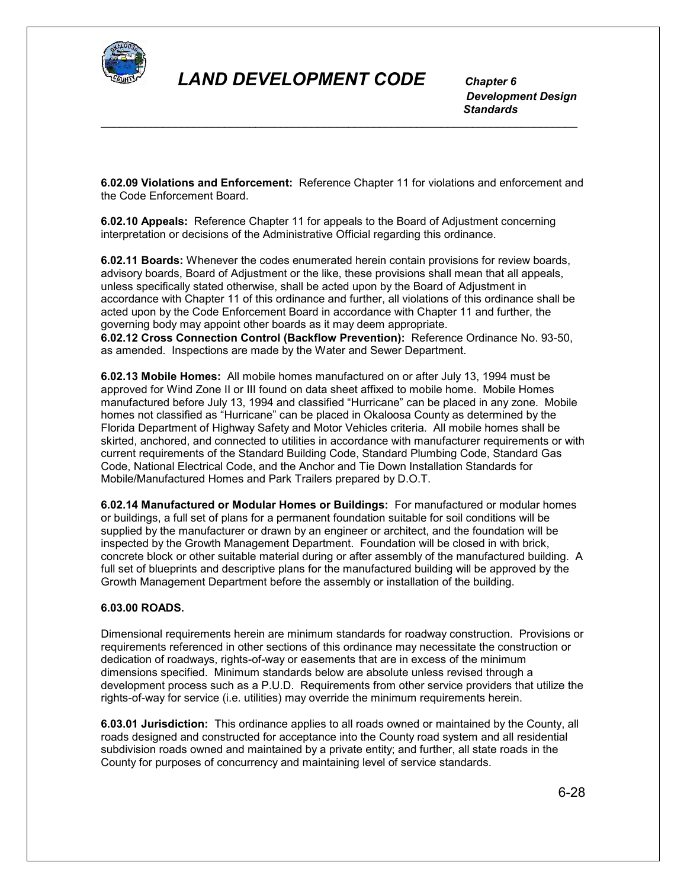

 *Development Design Standards*

**6.02.09 Violations and Enforcement:** Reference Chapter 11 for violations and enforcement and the Code Enforcement Board.

\_\_\_\_\_\_\_\_\_\_\_\_\_\_\_\_\_\_\_\_\_\_\_\_\_\_\_\_\_\_\_\_\_\_\_\_\_\_\_\_\_\_\_\_\_\_\_\_\_\_\_\_\_\_\_\_\_\_\_\_\_\_\_\_\_\_\_\_\_\_\_\_\_\_\_\_\_

**6.02.10 Appeals:** Reference Chapter 11 for appeals to the Board of Adjustment concerning interpretation or decisions of the Administrative Official regarding this ordinance.

**6.02.11 Boards:** Whenever the codes enumerated herein contain provisions for review boards, advisory boards, Board of Adjustment or the like, these provisions shall mean that all appeals, unless specifically stated otherwise, shall be acted upon by the Board of Adjustment in accordance with Chapter 11 of this ordinance and further, all violations of this ordinance shall be acted upon by the Code Enforcement Board in accordance with Chapter 11 and further, the governing body may appoint other boards as it may deem appropriate.

**6.02.12 Cross Connection Control (Backflow Prevention):** Reference Ordinance No. 93-50, as amended. Inspections are made by the Water and Sewer Department.

**6.02.13 Mobile Homes:** All mobile homes manufactured on or after July 13, 1994 must be approved for Wind Zone II or III found on data sheet affixed to mobile home. Mobile Homes manufactured before July 13, 1994 and classified "Hurricane" can be placed in any zone. Mobile homes not classified as "Hurricane" can be placed in Okaloosa County as determined by the Florida Department of Highway Safety and Motor Vehicles criteria. All mobile homes shall be skirted, anchored, and connected to utilities in accordance with manufacturer requirements or with current requirements of the Standard Building Code, Standard Plumbing Code, Standard Gas Code, National Electrical Code, and the Anchor and Tie Down Installation Standards for Mobile/Manufactured Homes and Park Trailers prepared by D.O.T.

**6.02.14 Manufactured or Modular Homes or Buildings:** For manufactured or modular homes or buildings, a full set of plans for a permanent foundation suitable for soil conditions will be supplied by the manufacturer or drawn by an engineer or architect, and the foundation will be inspected by the Growth Management Department. Foundation will be closed in with brick, concrete block or other suitable material during or after assembly of the manufactured building. A full set of blueprints and descriptive plans for the manufactured building will be approved by the Growth Management Department before the assembly or installation of the building.

#### **6.03.00 ROADS.**

Dimensional requirements herein are minimum standards for roadway construction. Provisions or requirements referenced in other sections of this ordinance may necessitate the construction or dedication of roadways, rights-of-way or easements that are in excess of the minimum dimensions specified. Minimum standards below are absolute unless revised through a development process such as a P.U.D. Requirements from other service providers that utilize the rights-of-way for service (i.e. utilities) may override the minimum requirements herein.

**6.03.01 Jurisdiction:** This ordinance applies to all roads owned or maintained by the County, all roads designed and constructed for acceptance into the County road system and all residential subdivision roads owned and maintained by a private entity; and further, all state roads in the County for purposes of concurrency and maintaining level of service standards.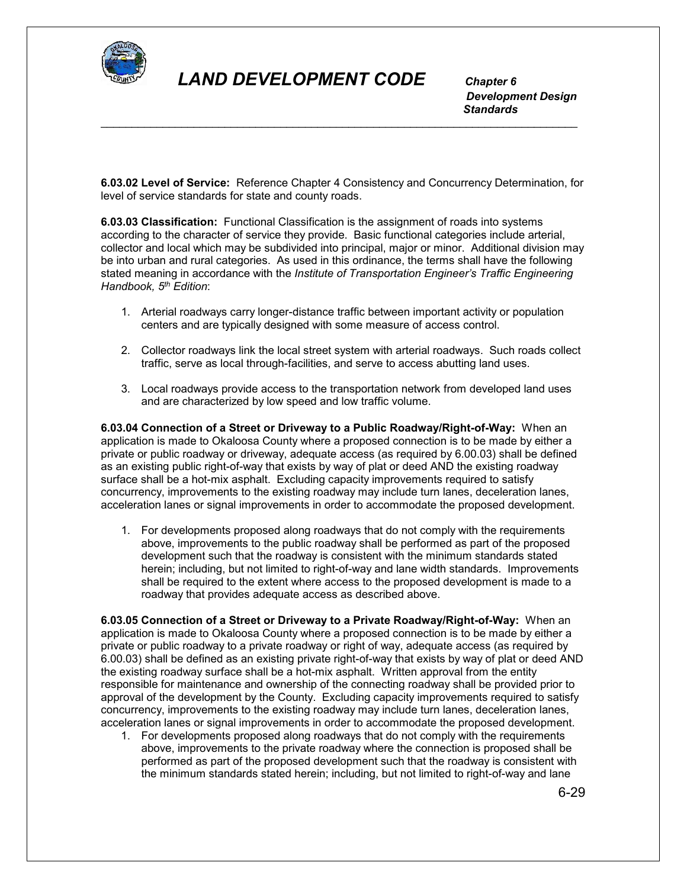

 *Development Design Standards*

**6.03.02 Level of Service:** Reference Chapter 4 Consistency and Concurrency Determination, for level of service standards for state and county roads.

\_\_\_\_\_\_\_\_\_\_\_\_\_\_\_\_\_\_\_\_\_\_\_\_\_\_\_\_\_\_\_\_\_\_\_\_\_\_\_\_\_\_\_\_\_\_\_\_\_\_\_\_\_\_\_\_\_\_\_\_\_\_\_\_\_\_\_\_\_\_\_\_\_\_\_\_\_

**6.03.03 Classification:** Functional Classification is the assignment of roads into systems according to the character of service they provide. Basic functional categories include arterial, collector and local which may be subdivided into principal, major or minor. Additional division may be into urban and rural categories. As used in this ordinance, the terms shall have the following stated meaning in accordance with the *Institute of Transportation Engineer's Traffic Engineering Handbook, 5th Edition*:

- 1. Arterial roadways carry longer-distance traffic between important activity or population centers and are typically designed with some measure of access control.
- 2. Collector roadways link the local street system with arterial roadways. Such roads collect traffic, serve as local through-facilities, and serve to access abutting land uses.
- 3. Local roadways provide access to the transportation network from developed land uses and are characterized by low speed and low traffic volume.

**6.03.04 Connection of a Street or Driveway to a Public Roadway/Right-of-Way:** When an application is made to Okaloosa County where a proposed connection is to be made by either a private or public roadway or driveway, adequate access (as required by 6.00.03) shall be defined as an existing public right-of-way that exists by way of plat or deed AND the existing roadway surface shall be a hot-mix asphalt. Excluding capacity improvements required to satisfy concurrency, improvements to the existing roadway may include turn lanes, deceleration lanes, acceleration lanes or signal improvements in order to accommodate the proposed development.

1. For developments proposed along roadways that do not comply with the requirements above, improvements to the public roadway shall be performed as part of the proposed development such that the roadway is consistent with the minimum standards stated herein; including, but not limited to right-of-way and lane width standards. Improvements shall be required to the extent where access to the proposed development is made to a roadway that provides adequate access as described above.

**6.03.05 Connection of a Street or Driveway to a Private Roadway/Right-of-Way:** When an application is made to Okaloosa County where a proposed connection is to be made by either a private or public roadway to a private roadway or right of way, adequate access (as required by 6.00.03) shall be defined as an existing private right-of-way that exists by way of plat or deed AND the existing roadway surface shall be a hot-mix asphalt. Written approval from the entity responsible for maintenance and ownership of the connecting roadway shall be provided prior to approval of the development by the County. Excluding capacity improvements required to satisfy concurrency, improvements to the existing roadway may include turn lanes, deceleration lanes, acceleration lanes or signal improvements in order to accommodate the proposed development.

1. For developments proposed along roadways that do not comply with the requirements above, improvements to the private roadway where the connection is proposed shall be performed as part of the proposed development such that the roadway is consistent with the minimum standards stated herein; including, but not limited to right-of-way and lane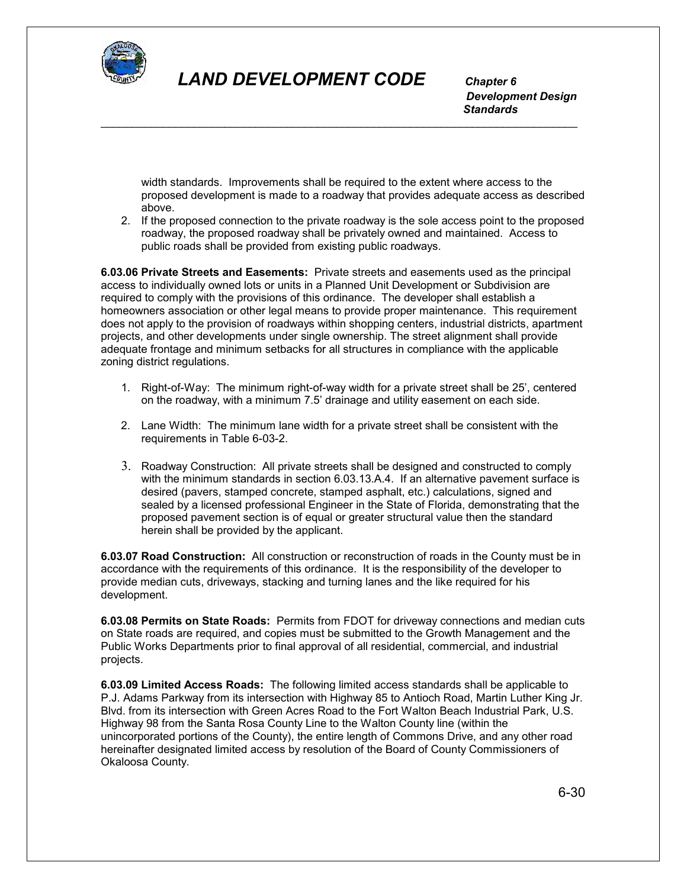

 *Development Design Standards*

width standards. Improvements shall be required to the extent where access to the proposed development is made to a roadway that provides adequate access as described above.

2. If the proposed connection to the private roadway is the sole access point to the proposed roadway, the proposed roadway shall be privately owned and maintained. Access to public roads shall be provided from existing public roadways.

\_\_\_\_\_\_\_\_\_\_\_\_\_\_\_\_\_\_\_\_\_\_\_\_\_\_\_\_\_\_\_\_\_\_\_\_\_\_\_\_\_\_\_\_\_\_\_\_\_\_\_\_\_\_\_\_\_\_\_\_\_\_\_\_\_\_\_\_\_\_\_\_\_\_\_\_\_

**6.03.06 Private Streets and Easements:** Private streets and easements used as the principal access to individually owned lots or units in a Planned Unit Development or Subdivision are required to comply with the provisions of this ordinance. The developer shall establish a homeowners association or other legal means to provide proper maintenance. This requirement does not apply to the provision of roadways within shopping centers, industrial districts, apartment projects, and other developments under single ownership. The street alignment shall provide adequate frontage and minimum setbacks for all structures in compliance with the applicable zoning district regulations.

- 1. Right-of-Way: The minimum right-of-way width for a private street shall be 25', centered on the roadway, with a minimum 7.5' drainage and utility easement on each side.
- 2. Lane Width: The minimum lane width for a private street shall be consistent with the requirements in Table 6-03-2.
- 3. Roadway Construction: All private streets shall be designed and constructed to comply with the minimum standards in section 6.03.13.A.4. If an alternative pavement surface is desired (pavers, stamped concrete, stamped asphalt, etc.) calculations, signed and sealed by a licensed professional Engineer in the State of Florida, demonstrating that the proposed pavement section is of equal or greater structural value then the standard herein shall be provided by the applicant.

**6.03.07 Road Construction:** All construction or reconstruction of roads in the County must be in accordance with the requirements of this ordinance. It is the responsibility of the developer to provide median cuts, driveways, stacking and turning lanes and the like required for his development.

**6.03.08 Permits on State Roads:** Permits from FDOT for driveway connections and median cuts on State roads are required, and copies must be submitted to the Growth Management and the Public Works Departments prior to final approval of all residential, commercial, and industrial projects.

**6.03.09 Limited Access Roads:** The following limited access standards shall be applicable to P.J. Adams Parkway from its intersection with Highway 85 to Antioch Road, Martin Luther King Jr. Blvd. from its intersection with Green Acres Road to the Fort Walton Beach Industrial Park, U.S. Highway 98 from the Santa Rosa County Line to the Walton County line (within the unincorporated portions of the County), the entire length of Commons Drive, and any other road hereinafter designated limited access by resolution of the Board of County Commissioners of Okaloosa County.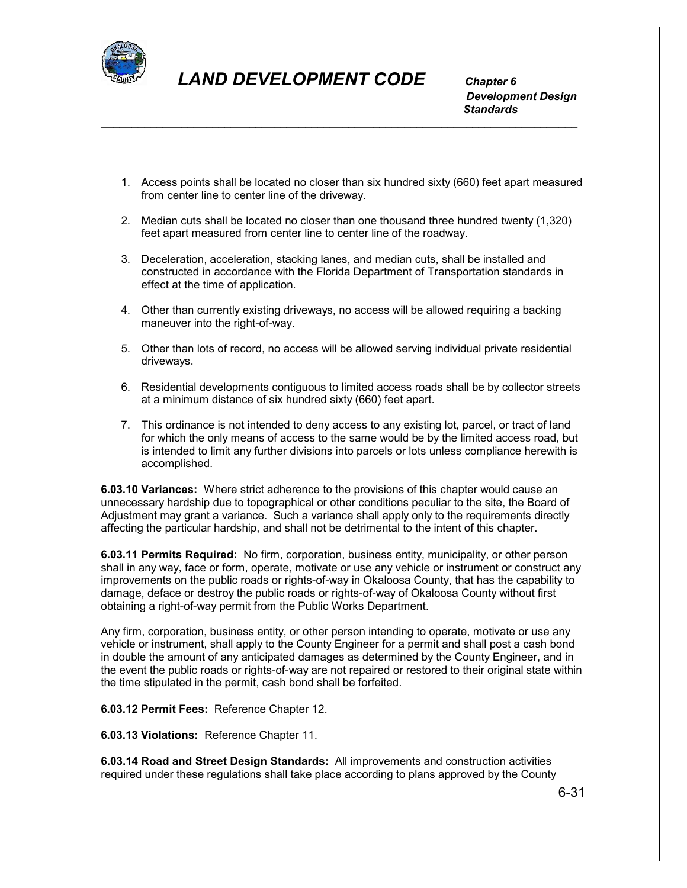

 *Development Design Standards*

1. Access points shall be located no closer than six hundred sixty (660) feet apart measured from center line to center line of the driveway.

\_\_\_\_\_\_\_\_\_\_\_\_\_\_\_\_\_\_\_\_\_\_\_\_\_\_\_\_\_\_\_\_\_\_\_\_\_\_\_\_\_\_\_\_\_\_\_\_\_\_\_\_\_\_\_\_\_\_\_\_\_\_\_\_\_\_\_\_\_\_\_\_\_\_\_\_\_

- 2. Median cuts shall be located no closer than one thousand three hundred twenty (1,320) feet apart measured from center line to center line of the roadway.
- 3. Deceleration, acceleration, stacking lanes, and median cuts, shall be installed and constructed in accordance with the Florida Department of Transportation standards in effect at the time of application.
- 4. Other than currently existing driveways, no access will be allowed requiring a backing maneuver into the right-of-way.
- 5. Other than lots of record, no access will be allowed serving individual private residential driveways.
- 6. Residential developments contiguous to limited access roads shall be by collector streets at a minimum distance of six hundred sixty (660) feet apart.
- 7. This ordinance is not intended to deny access to any existing lot, parcel, or tract of land for which the only means of access to the same would be by the limited access road, but is intended to limit any further divisions into parcels or lots unless compliance herewith is accomplished.

**6.03.10 Variances:** Where strict adherence to the provisions of this chapter would cause an unnecessary hardship due to topographical or other conditions peculiar to the site, the Board of Adjustment may grant a variance. Such a variance shall apply only to the requirements directly affecting the particular hardship, and shall not be detrimental to the intent of this chapter.

**6.03.11 Permits Required:** No firm, corporation, business entity, municipality, or other person shall in any way, face or form, operate, motivate or use any vehicle or instrument or construct any improvements on the public roads or rights-of-way in Okaloosa County, that has the capability to damage, deface or destroy the public roads or rights-of-way of Okaloosa County without first obtaining a right-of-way permit from the Public Works Department.

Any firm, corporation, business entity, or other person intending to operate, motivate or use any vehicle or instrument, shall apply to the County Engineer for a permit and shall post a cash bond in double the amount of any anticipated damages as determined by the County Engineer, and in the event the public roads or rights-of-way are not repaired or restored to their original state within the time stipulated in the permit, cash bond shall be forfeited.

**6.03.12 Permit Fees:** Reference Chapter 12.

**6.03.13 Violations:** Reference Chapter 11.

**6.03.14 Road and Street Design Standards:** All improvements and construction activities required under these regulations shall take place according to plans approved by the County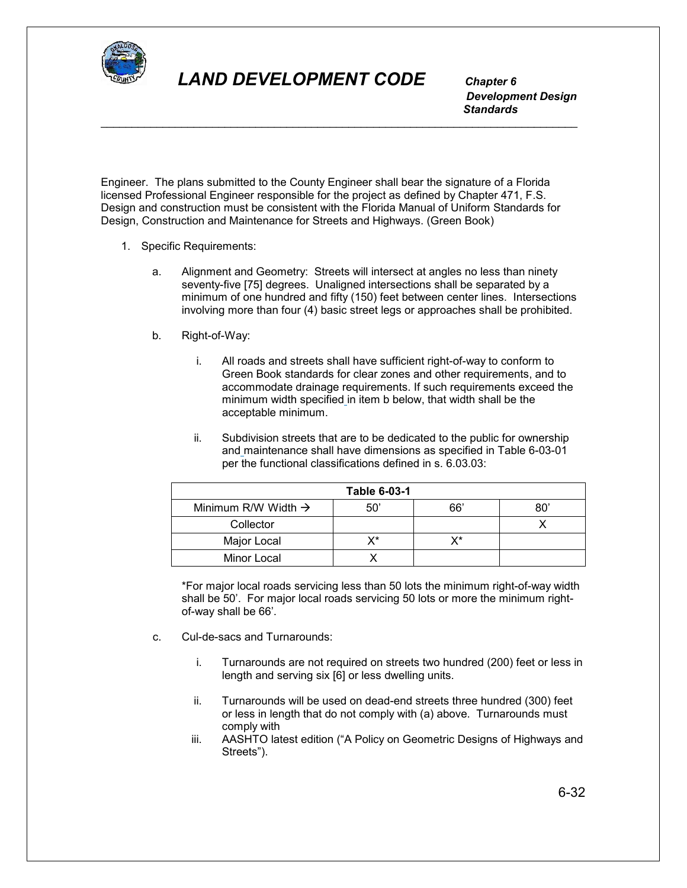

 *Development Design Standards* \_\_\_\_\_\_\_\_\_\_\_\_\_\_\_\_\_\_\_\_\_\_\_\_\_\_\_\_\_\_\_\_\_\_\_\_\_\_\_\_\_\_\_\_\_\_\_\_\_\_\_\_\_\_\_\_\_\_\_\_\_\_\_\_\_\_\_\_\_\_\_\_\_\_\_\_\_

Engineer. The plans submitted to the County Engineer shall bear the signature of a Florida licensed Professional Engineer responsible for the project as defined by Chapter 471, F.S. Design and construction must be consistent with the Florida Manual of Uniform Standards for Design, Construction and Maintenance for Streets and Highways. (Green Book)

- 1. Specific Requirements:
	- a. Alignment and Geometry: Streets will intersect at angles no less than ninety seventy-five [75] degrees. Unaligned intersections shall be separated by a minimum of one hundred and fifty (150) feet between center lines. Intersections involving more than four (4) basic street legs or approaches shall be prohibited.
	- b. Right-of-Way:
		- i. All roads and streets shall have sufficient right-of-way to conform to Green Book standards for clear zones and other requirements, and to accommodate drainage requirements. If such requirements exceed the minimum width specified in item b below, that width shall be the acceptable minimum.
		- ii. Subdivision streets that are to be dedicated to the public for ownership and maintenance shall have dimensions as specified in Table 6-03-01 per the functional classifications defined in s. 6.03.03:

| Table 6-03-1                    |              |     |     |
|---------------------------------|--------------|-----|-----|
| Minimum R/W Width $\rightarrow$ | $50^{\circ}$ | 66' | 80' |
| Collector                       |              |     |     |
| Major Local                     | v*           | v*  |     |
| Minor Local                     |              |     |     |

\*For major local roads servicing less than 50 lots the minimum right-of-way width shall be 50'. For major local roads servicing 50 lots or more the minimum rightof-way shall be 66'.

- c. Cul-de-sacs and Turnarounds:
	- i. Turnarounds are not required on streets two hundred (200) feet or less in length and serving six [6] or less dwelling units.
	- ii. Turnarounds will be used on dead-end streets three hundred (300) feet or less in length that do not comply with (a) above. Turnarounds must comply with
	- iii. AASHTO latest edition ("A Policy on Geometric Designs of Highways and Streets").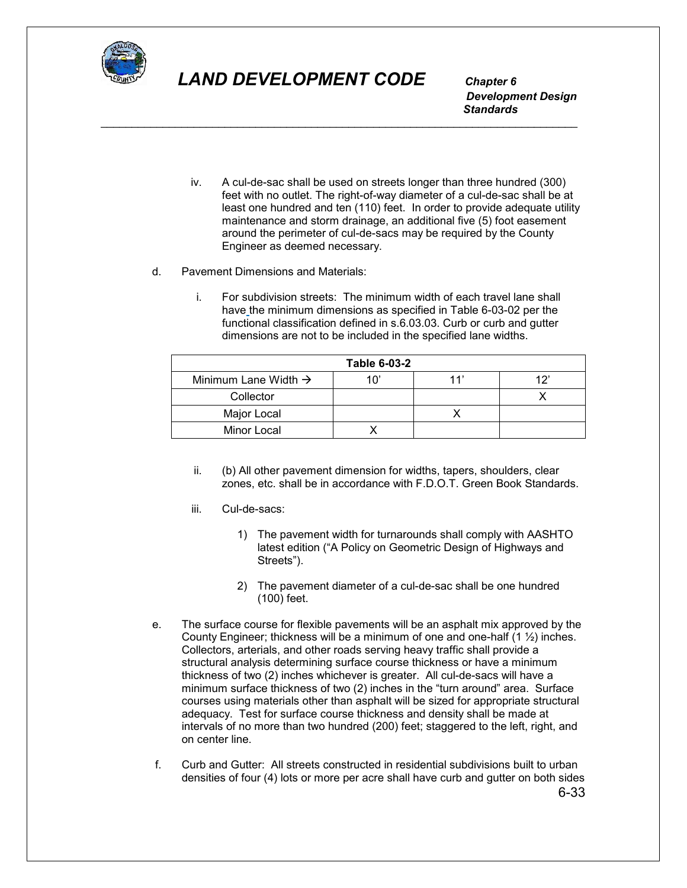

\_\_\_\_\_\_\_\_\_\_\_\_\_\_\_\_\_\_\_\_\_\_\_\_\_\_\_\_\_\_\_\_\_\_\_\_\_\_\_\_\_\_\_\_\_\_\_\_\_\_\_\_\_\_\_\_\_\_\_\_\_\_\_\_\_\_\_\_\_\_\_\_\_\_\_\_\_

 *Development Design Standards*

- iv. A cul-de-sac shall be used on streets longer than three hundred (300) feet with no outlet. The right-of-way diameter of a cul-de-sac shall be at least one hundred and ten (110) feet. In order to provide adequate utility maintenance and storm drainage, an additional five (5) foot easement around the perimeter of cul-de-sacs may be required by the County Engineer as deemed necessary.
- d. Pavement Dimensions and Materials:
	- i. For subdivision streets: The minimum width of each travel lane shall have the minimum dimensions as specified in Table 6-03-02 per the functional classification defined in s.6.03.03. Curb or curb and gutter dimensions are not to be included in the specified lane widths.

| Table 6-03-2                     |  |  |     |
|----------------------------------|--|--|-----|
| Minimum Lane Width $\rightarrow$ |  |  | 1つ" |
| Collector                        |  |  |     |
| Major Local                      |  |  |     |
| Minor Local                      |  |  |     |

- ii. (b) All other pavement dimension for widths, tapers, shoulders, clear zones, etc. shall be in accordance with F.D.O.T. Green Book Standards.
- iii. Cul-de-sacs:
	- 1) The pavement width for turnarounds shall comply with AASHTO latest edition ("A Policy on Geometric Design of Highways and Streets").
	- 2) The pavement diameter of a cul-de-sac shall be one hundred (100) feet.
- e. The surface course for flexible pavements will be an asphalt mix approved by the County Engineer; thickness will be a minimum of one and one-half (1 ½) inches. Collectors, arterials, and other roads serving heavy traffic shall provide a structural analysis determining surface course thickness or have a minimum thickness of two (2) inches whichever is greater. All cul-de-sacs will have a minimum surface thickness of two (2) inches in the "turn around" area. Surface courses using materials other than asphalt will be sized for appropriate structural adequacy. Test for surface course thickness and density shall be made at intervals of no more than two hundred (200) feet; staggered to the left, right, and on center line.
- f. Curb and Gutter: All streets constructed in residential subdivisions built to urban densities of four (4) lots or more per acre shall have curb and gutter on both sides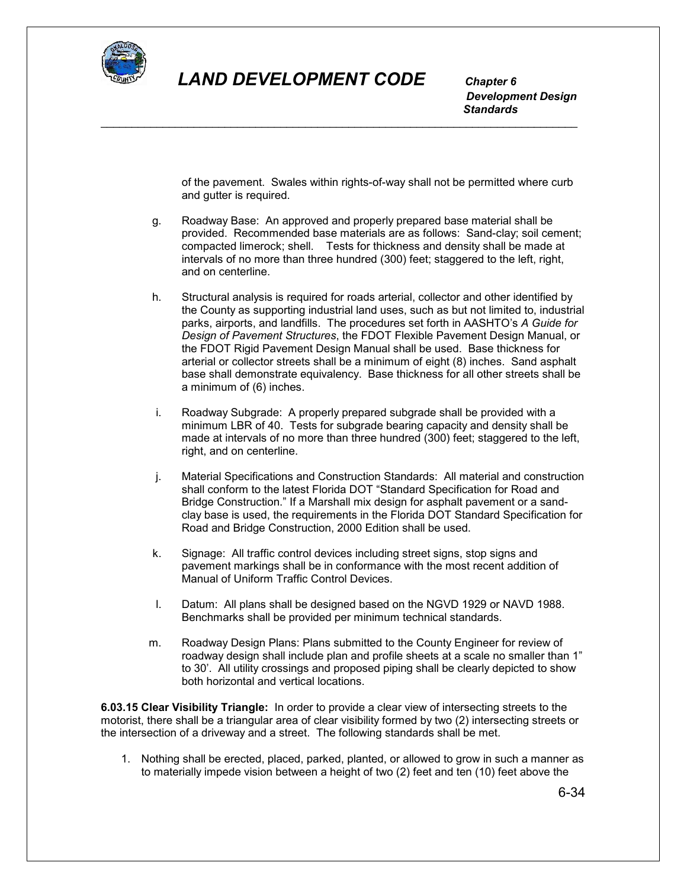

\_\_\_\_\_\_\_\_\_\_\_\_\_\_\_\_\_\_\_\_\_\_\_\_\_\_\_\_\_\_\_\_\_\_\_\_\_\_\_\_\_\_\_\_\_\_\_\_\_\_\_\_\_\_\_\_\_\_\_\_\_\_\_\_\_\_\_\_\_\_\_\_\_\_\_\_\_

 *Development Design Standards*

> of the pavement. Swales within rights-of-way shall not be permitted where curb and gutter is required.

- g. Roadway Base: An approved and properly prepared base material shall be provided. Recommended base materials are as follows: Sand-clay; soil cement; compacted limerock; shell. Tests for thickness and density shall be made at intervals of no more than three hundred (300) feet; staggered to the left, right, and on centerline.
- h. Structural analysis is required for roads arterial, collector and other identified by the County as supporting industrial land uses, such as but not limited to, industrial parks, airports, and landfills. The procedures set forth in AASHTO's *A Guide for Design of Pavement Structures*, the FDOT Flexible Pavement Design Manual, or the FDOT Rigid Pavement Design Manual shall be used. Base thickness for arterial or collector streets shall be a minimum of eight (8) inches. Sand asphalt base shall demonstrate equivalency. Base thickness for all other streets shall be a minimum of (6) inches.
- i. Roadway Subgrade: A properly prepared subgrade shall be provided with a minimum LBR of 40. Tests for subgrade bearing capacity and density shall be made at intervals of no more than three hundred (300) feet; staggered to the left, right, and on centerline.
- j. Material Specifications and Construction Standards: All material and construction shall conform to the latest Florida DOT "Standard Specification for Road and Bridge Construction." If a Marshall mix design for asphalt pavement or a sandclay base is used, the requirements in the Florida DOT Standard Specification for Road and Bridge Construction, 2000 Edition shall be used.
- k. Signage: All traffic control devices including street signs, stop signs and pavement markings shall be in conformance with the most recent addition of Manual of Uniform Traffic Control Devices.
- l. Datum: All plans shall be designed based on the NGVD 1929 or NAVD 1988. Benchmarks shall be provided per minimum technical standards.
- m. Roadway Design Plans: Plans submitted to the County Engineer for review of roadway design shall include plan and profile sheets at a scale no smaller than 1" to 30'. All utility crossings and proposed piping shall be clearly depicted to show both horizontal and vertical locations.

**6.03.15 Clear Visibility Triangle:** In order to provide a clear view of intersecting streets to the motorist, there shall be a triangular area of clear visibility formed by two (2) intersecting streets or the intersection of a driveway and a street. The following standards shall be met.

1. Nothing shall be erected, placed, parked, planted, or allowed to grow in such a manner as to materially impede vision between a height of two (2) feet and ten (10) feet above the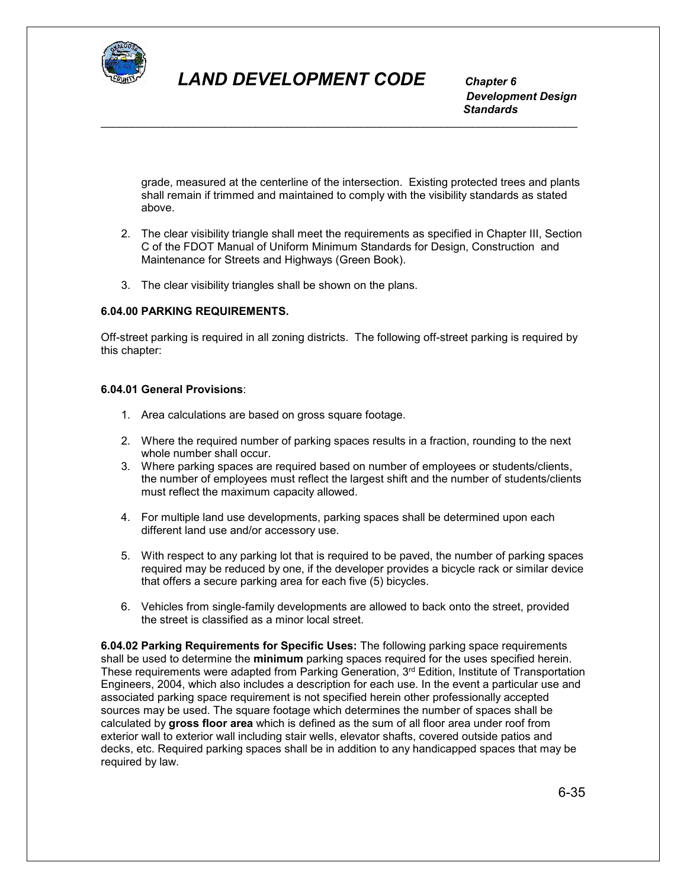

 *Development Design Standards*

grade, measured at the centerline of the intersection. Existing protected trees and plants shall remain if trimmed and maintained to comply with the visibility standards as stated above.

\_\_\_\_\_\_\_\_\_\_\_\_\_\_\_\_\_\_\_\_\_\_\_\_\_\_\_\_\_\_\_\_\_\_\_\_\_\_\_\_\_\_\_\_\_\_\_\_\_\_\_\_\_\_\_\_\_\_\_\_\_\_\_\_\_\_\_\_\_\_\_\_\_\_\_\_\_

- 2. The clear visibility triangle shall meet the requirements as specified in Chapter III, Section C of the FDOT Manual of Uniform Minimum Standards for Design, Construction and Maintenance for Streets and Highways (Green Book).
- 3. The clear visibility triangles shall be shown on the plans.

#### **6.04.00 PARKING REQUIREMENTS.**

Off-street parking is required in all zoning districts. The following off-street parking is required by this chapter:

#### **6.04.01 General Provisions**:

- 1. Area calculations are based on gross square footage.
- 2. Where the required number of parking spaces results in a fraction, rounding to the next whole number shall occur.
- 3. Where parking spaces are required based on number of employees or students/clients, the number of employees must reflect the largest shift and the number of students/clients must reflect the maximum capacity allowed.
- 4. For multiple land use developments, parking spaces shall be determined upon each different land use and/or accessory use.
- 5. With respect to any parking lot that is required to be paved, the number of parking spaces required may be reduced by one, if the developer provides a bicycle rack or similar device that offers a secure parking area for each five (5) bicycles.
- 6. Vehicles from single-family developments are allowed to back onto the street, provided the street is classified as a minor local street.

**6.04.02 Parking Requirements for Specific Uses:** The following parking space requirements shall be used to determine the **minimum** parking spaces required for the uses specified herein. These requirements were adapted from Parking Generation,  $3<sup>rd</sup>$  Edition, Institute of Transportation Engineers, 2004, which also includes a description for each use. In the event a particular use and associated parking space requirement is not specified herein other professionally accepted sources may be used. The square footage which determines the number of spaces shall be calculated by **gross floor area** which is defined as the sum of all floor area under roof from exterior wall to exterior wall including stair wells, elevator shafts, covered outside patios and decks, etc. Required parking spaces shall be in addition to any handicapped spaces that may be required by law.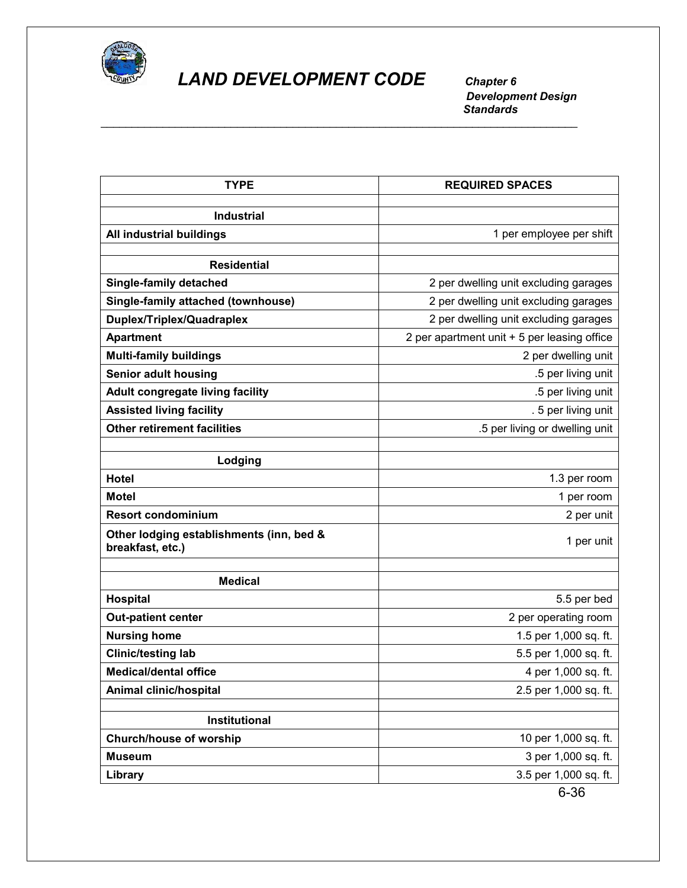

 *Development Design Standards* \_\_\_\_\_\_\_\_\_\_\_\_\_\_\_\_\_\_\_\_\_\_\_\_\_\_\_\_\_\_\_\_\_\_\_\_\_\_\_\_\_\_\_\_\_\_\_\_\_\_\_\_\_\_\_\_\_\_\_\_\_\_\_\_\_\_\_\_\_\_\_\_\_\_\_\_\_

| <b>TYPE</b>                                                  | <b>REQUIRED SPACES</b>                      |
|--------------------------------------------------------------|---------------------------------------------|
|                                                              |                                             |
| <b>Industrial</b>                                            |                                             |
| All industrial buildings                                     | 1 per employee per shift                    |
| <b>Residential</b>                                           |                                             |
| <b>Single-family detached</b>                                | 2 per dwelling unit excluding garages       |
| Single-family attached (townhouse)                           | 2 per dwelling unit excluding garages       |
| Duplex/Triplex/Quadraplex                                    | 2 per dwelling unit excluding garages       |
|                                                              | 2 per apartment unit + 5 per leasing office |
| <b>Apartment</b>                                             |                                             |
| <b>Multi-family buildings</b>                                | 2 per dwelling unit                         |
| Senior adult housing                                         | .5 per living unit                          |
| <b>Adult congregate living facility</b>                      | .5 per living unit                          |
| <b>Assisted living facility</b>                              | . 5 per living unit                         |
| <b>Other retirement facilities</b>                           | .5 per living or dwelling unit              |
| Lodging                                                      |                                             |
| Hotel                                                        | 1.3 per room                                |
|                                                              |                                             |
| <b>Motel</b>                                                 | 1 per room                                  |
| <b>Resort condominium</b>                                    | 2 per unit                                  |
| Other lodging establishments (inn, bed &<br>breakfast, etc.) | 1 per unit                                  |
|                                                              |                                             |
| <b>Medical</b>                                               |                                             |
| <b>Hospital</b>                                              | 5.5 per bed                                 |
| <b>Out-patient center</b>                                    | 2 per operating room                        |
| <b>Nursing home</b>                                          | 1.5 per 1,000 sq. ft.                       |
| <b>Clinic/testing lab</b>                                    | 5.5 per 1,000 sq. ft.                       |
| <b>Medical/dental office</b>                                 | 4 per 1,000 sq. ft.                         |
| Animal clinic/hospital                                       | 2.5 per 1,000 sq. ft.                       |
|                                                              |                                             |
| Institutional                                                |                                             |
| <b>Church/house of worship</b>                               | 10 per 1,000 sq. ft.                        |
| <b>Museum</b>                                                | 3 per 1,000 sq. ft.                         |
| Library                                                      | 3.5 per 1,000 sq. ft.                       |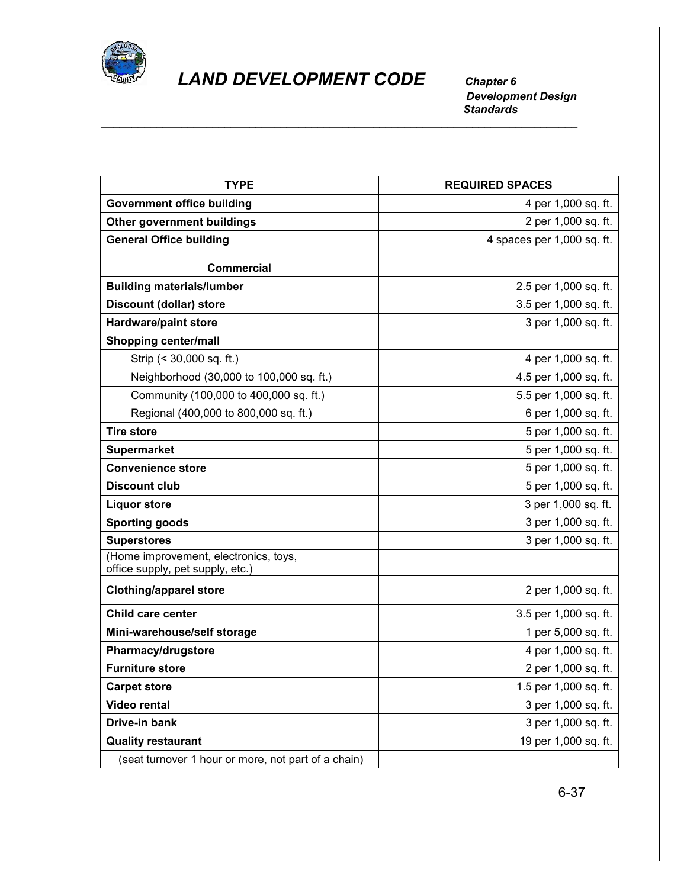

# **LAND DEVELOPMENT CODE**

 *Development Design Standards* \_\_\_\_\_\_\_\_\_\_\_\_\_\_\_\_\_\_\_\_\_\_\_\_\_\_\_\_\_\_\_\_\_\_\_\_\_\_\_\_\_\_\_\_\_\_\_\_\_\_\_\_\_\_\_\_\_\_\_\_\_\_\_\_\_\_\_\_\_\_\_\_\_\_\_\_\_

| <b>TYPE</b>                                                     | <b>REQUIRED SPACES</b>     |
|-----------------------------------------------------------------|----------------------------|
| <b>Government office building</b>                               | 4 per 1,000 sq. ft.        |
| Other government buildings                                      | 2 per 1,000 sq. ft.        |
| <b>General Office building</b>                                  | 4 spaces per 1,000 sq. ft. |
|                                                                 |                            |
| <b>Commercial</b>                                               |                            |
| <b>Building materials/lumber</b>                                | 2.5 per 1,000 sq. ft.      |
| <b>Discount (dollar) store</b>                                  | 3.5 per 1,000 sq. ft.      |
| <b>Hardware/paint store</b>                                     | 3 per 1,000 sq. ft.        |
| <b>Shopping center/mall</b>                                     |                            |
| Strip (< 30,000 sq. ft.)                                        | 4 per 1,000 sq. ft.        |
| Neighborhood (30,000 to 100,000 sq. ft.)                        | 4.5 per 1,000 sq. ft.      |
| Community (100,000 to 400,000 sq. ft.)<br>5.5 per 1,000 sq. ft. |                            |
| Regional (400,000 to 800,000 sq. ft.)                           | 6 per 1,000 sq. ft.        |
| <b>Tire store</b>                                               | 5 per 1,000 sq. ft.        |
| <b>Supermarket</b>                                              | 5 per 1,000 sq. ft.        |
| <b>Convenience store</b>                                        | 5 per 1,000 sq. ft.        |
| <b>Discount club</b>                                            | 5 per 1,000 sq. ft.        |
| <b>Liquor store</b>                                             | 3 per 1,000 sq. ft.        |
| <b>Sporting goods</b>                                           | 3 per 1,000 sq. ft.        |
| <b>Superstores</b>                                              | 3 per 1,000 sq. ft.        |
| (Home improvement, electronics, toys,                           |                            |
| office supply, pet supply, etc.)                                |                            |
| <b>Clothing/apparel store</b>                                   | 2 per 1,000 sq. ft.        |
| Child care center                                               | 3.5 per 1,000 sq. ft.      |
| Mini-warehouse/self storage                                     | 1 per 5,000 sq. ft.        |
| Pharmacy/drugstore                                              | 4 per 1,000 sq. ft.        |
| <b>Furniture store</b>                                          | 2 per 1,000 sq. ft.        |
| <b>Carpet store</b>                                             | 1.5 per 1,000 sq. ft.      |
| <b>Video rental</b>                                             | 3 per 1,000 sq. ft.        |
| Drive-in bank                                                   | 3 per 1,000 sq. ft.        |
| <b>Quality restaurant</b>                                       | 19 per 1,000 sq. ft.       |
| (seat turnover 1 hour or more, not part of a chain)             |                            |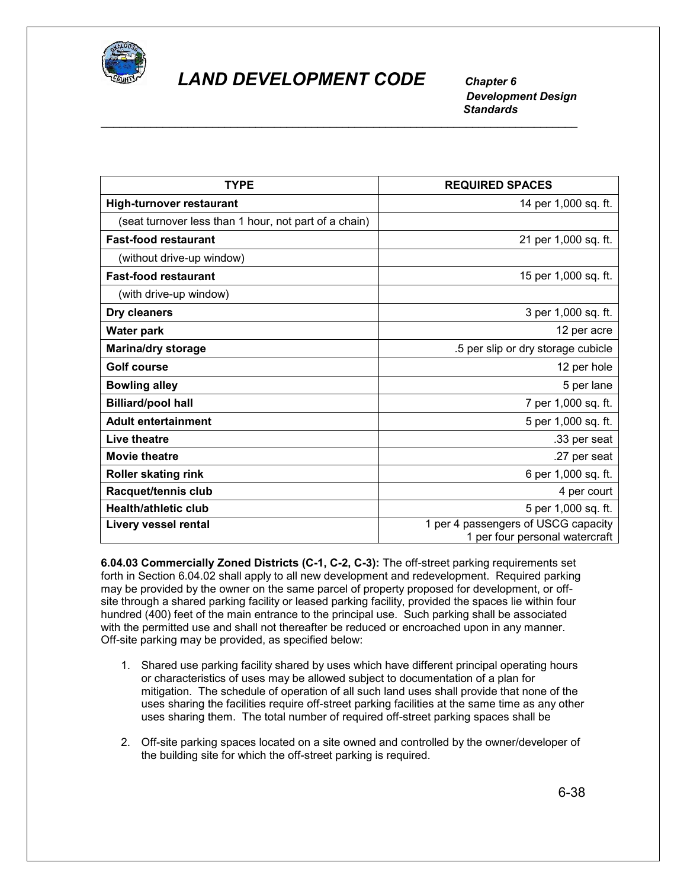

 *Development Design Standards* \_\_\_\_\_\_\_\_\_\_\_\_\_\_\_\_\_\_\_\_\_\_\_\_\_\_\_\_\_\_\_\_\_\_\_\_\_\_\_\_\_\_\_\_\_\_\_\_\_\_\_\_\_\_\_\_\_\_\_\_\_\_\_\_\_\_\_\_\_\_\_\_\_\_\_\_\_

| <b>TYPE</b>                                           | <b>REQUIRED SPACES</b>                                                |
|-------------------------------------------------------|-----------------------------------------------------------------------|
| <b>High-turnover restaurant</b>                       | 14 per 1,000 sq. ft.                                                  |
| (seat turnover less than 1 hour, not part of a chain) |                                                                       |
| <b>Fast-food restaurant</b>                           | 21 per 1,000 sq. ft.                                                  |
| (without drive-up window)                             |                                                                       |
| <b>Fast-food restaurant</b>                           | 15 per 1,000 sq. ft.                                                  |
| (with drive-up window)                                |                                                                       |
| Dry cleaners                                          | 3 per 1,000 sq. ft.                                                   |
| <b>Water park</b>                                     | 12 per acre                                                           |
| <b>Marina/dry storage</b>                             | .5 per slip or dry storage cubicle                                    |
| <b>Golf course</b>                                    | 12 per hole                                                           |
| <b>Bowling alley</b>                                  | 5 per lane                                                            |
| <b>Billiard/pool hall</b>                             | 7 per 1,000 sq. ft.                                                   |
| <b>Adult entertainment</b>                            | 5 per 1,000 sq. ft.                                                   |
| Live theatre                                          | .33 per seat                                                          |
| <b>Movie theatre</b>                                  | .27 per seat                                                          |
| <b>Roller skating rink</b>                            | 6 per 1,000 sq. ft.                                                   |
| Racquet/tennis club                                   | 4 per court                                                           |
| <b>Health/athletic club</b>                           | 5 per 1,000 sq. ft.                                                   |
| Livery vessel rental                                  | 1 per 4 passengers of USCG capacity<br>1 per four personal watercraft |

**6.04.03 Commercially Zoned Districts (C-1, C-2, C-3):** The off-street parking requirements set forth in Section 6.04.02 shall apply to all new development and redevelopment. Required parking may be provided by the owner on the same parcel of property proposed for development, or offsite through a shared parking facility or leased parking facility, provided the spaces lie within four hundred (400) feet of the main entrance to the principal use. Such parking shall be associated with the permitted use and shall not thereafter be reduced or encroached upon in any manner. Off-site parking may be provided, as specified below:

- 1. Shared use parking facility shared by uses which have different principal operating hours or characteristics of uses may be allowed subject to documentation of a plan for mitigation. The schedule of operation of all such land uses shall provide that none of the uses sharing the facilities require off-street parking facilities at the same time as any other uses sharing them. The total number of required off-street parking spaces shall be
- 2. Off-site parking spaces located on a site owned and controlled by the owner/developer of the building site for which the off-street parking is required.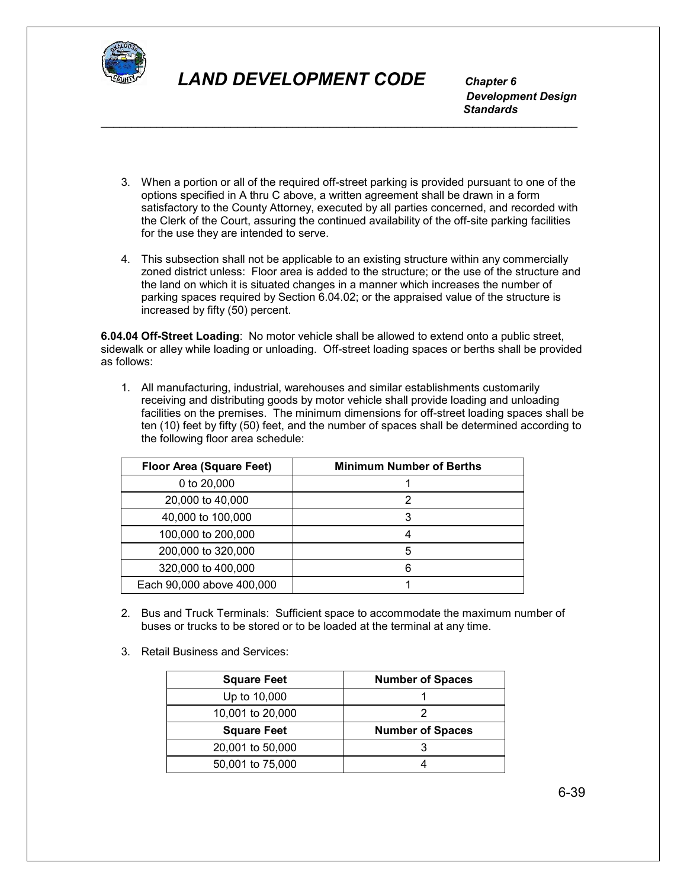

 *Development Design Standards* \_\_\_\_\_\_\_\_\_\_\_\_\_\_\_\_\_\_\_\_\_\_\_\_\_\_\_\_\_\_\_\_\_\_\_\_\_\_\_\_\_\_\_\_\_\_\_\_\_\_\_\_\_\_\_\_\_\_\_\_\_\_\_\_\_\_\_\_\_\_\_\_\_\_\_\_\_

- 3. When a portion or all of the required off-street parking is provided pursuant to one of the options specified in A thru C above, a written agreement shall be drawn in a form satisfactory to the County Attorney, executed by all parties concerned, and recorded with the Clerk of the Court, assuring the continued availability of the off-site parking facilities for the use they are intended to serve.
- 4. This subsection shall not be applicable to an existing structure within any commercially zoned district unless: Floor area is added to the structure; or the use of the structure and the land on which it is situated changes in a manner which increases the number of parking spaces required by Section 6.04.02; or the appraised value of the structure is increased by fifty (50) percent.

**6.04.04 Off-Street Loading**: No motor vehicle shall be allowed to extend onto a public street, sidewalk or alley while loading or unloading. Off-street loading spaces or berths shall be provided as follows:

1. All manufacturing, industrial, warehouses and similar establishments customarily receiving and distributing goods by motor vehicle shall provide loading and unloading facilities on the premises. The minimum dimensions for off-street loading spaces shall be ten (10) feet by fifty (50) feet, and the number of spaces shall be determined according to the following floor area schedule:

| <b>Floor Area (Square Feet)</b> | <b>Minimum Number of Berths</b> |
|---------------------------------|---------------------------------|
| 0 to 20,000                     |                                 |
| 20,000 to 40,000                |                                 |
| 40,000 to 100,000               | 3                               |
| 100,000 to 200,000              |                                 |
| 200,000 to 320,000              | 5                               |
| 320,000 to 400,000              |                                 |
| Each 90,000 above 400,000       |                                 |

- 2. Bus and Truck Terminals: Sufficient space to accommodate the maximum number of buses or trucks to be stored or to be loaded at the terminal at any time.
- 3. Retail Business and Services:

| <b>Square Feet</b> | <b>Number of Spaces</b> |
|--------------------|-------------------------|
| Up to 10,000       |                         |
| 10,001 to 20,000   |                         |
| <b>Square Feet</b> | <b>Number of Spaces</b> |
|                    |                         |
| 20,001 to 50,000   |                         |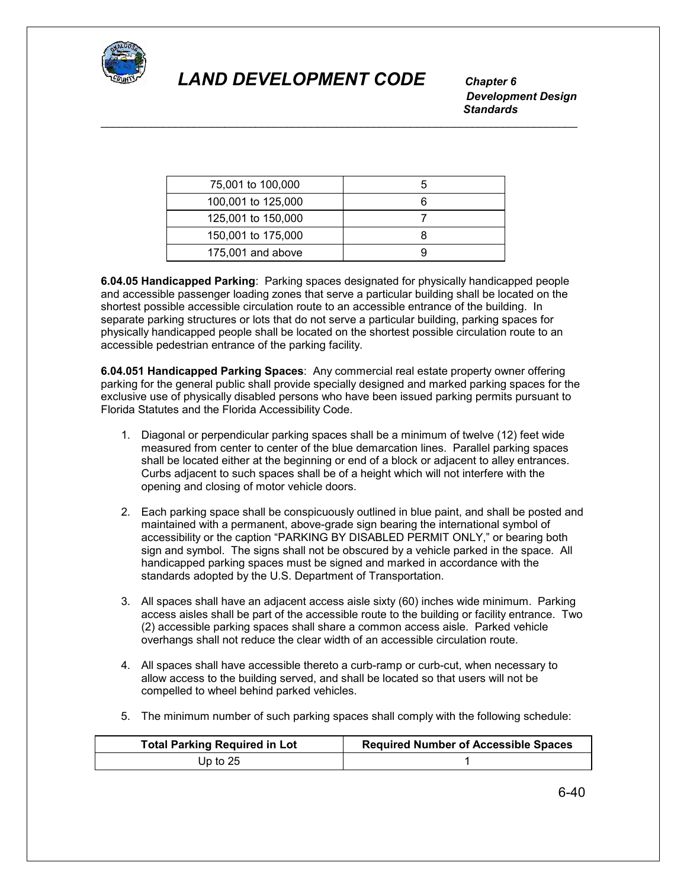

 *Development Design Standards* \_\_\_\_\_\_\_\_\_\_\_\_\_\_\_\_\_\_\_\_\_\_\_\_\_\_\_\_\_\_\_\_\_\_\_\_\_\_\_\_\_\_\_\_\_\_\_\_\_\_\_\_\_\_\_\_\_\_\_\_\_\_\_\_\_\_\_\_\_\_\_\_\_\_\_\_\_

| 75,001 to 100,000  |  |
|--------------------|--|
| 100,001 to 125,000 |  |
| 125,001 to 150,000 |  |
| 150,001 to 175,000 |  |
| 175,001 and above  |  |

**6.04.05 Handicapped Parking**: Parking spaces designated for physically handicapped people and accessible passenger loading zones that serve a particular building shall be located on the shortest possible accessible circulation route to an accessible entrance of the building. In separate parking structures or lots that do not serve a particular building, parking spaces for physically handicapped people shall be located on the shortest possible circulation route to an accessible pedestrian entrance of the parking facility.

**6.04.051 Handicapped Parking Spaces**: Any commercial real estate property owner offering parking for the general public shall provide specially designed and marked parking spaces for the exclusive use of physically disabled persons who have been issued parking permits pursuant to Florida Statutes and the Florida Accessibility Code.

- 1. Diagonal or perpendicular parking spaces shall be a minimum of twelve (12) feet wide measured from center to center of the blue demarcation lines. Parallel parking spaces shall be located either at the beginning or end of a block or adjacent to alley entrances. Curbs adjacent to such spaces shall be of a height which will not interfere with the opening and closing of motor vehicle doors.
- 2. Each parking space shall be conspicuously outlined in blue paint, and shall be posted and maintained with a permanent, above-grade sign bearing the international symbol of accessibility or the caption "PARKING BY DISABLED PERMIT ONLY," or bearing both sign and symbol. The signs shall not be obscured by a vehicle parked in the space. All handicapped parking spaces must be signed and marked in accordance with the standards adopted by the U.S. Department of Transportation.
- 3. All spaces shall have an adjacent access aisle sixty (60) inches wide minimum. Parking access aisles shall be part of the accessible route to the building or facility entrance. Two (2) accessible parking spaces shall share a common access aisle. Parked vehicle overhangs shall not reduce the clear width of an accessible circulation route.
- 4. All spaces shall have accessible thereto a curb-ramp or curb-cut, when necessary to allow access to the building served, and shall be located so that users will not be compelled to wheel behind parked vehicles.
- 5. The minimum number of such parking spaces shall comply with the following schedule:

| <b>Total Parking Required in Lot</b> | <b>Required Number of Accessible Spaces</b> |
|--------------------------------------|---------------------------------------------|
| Up to $25$                           |                                             |

6-40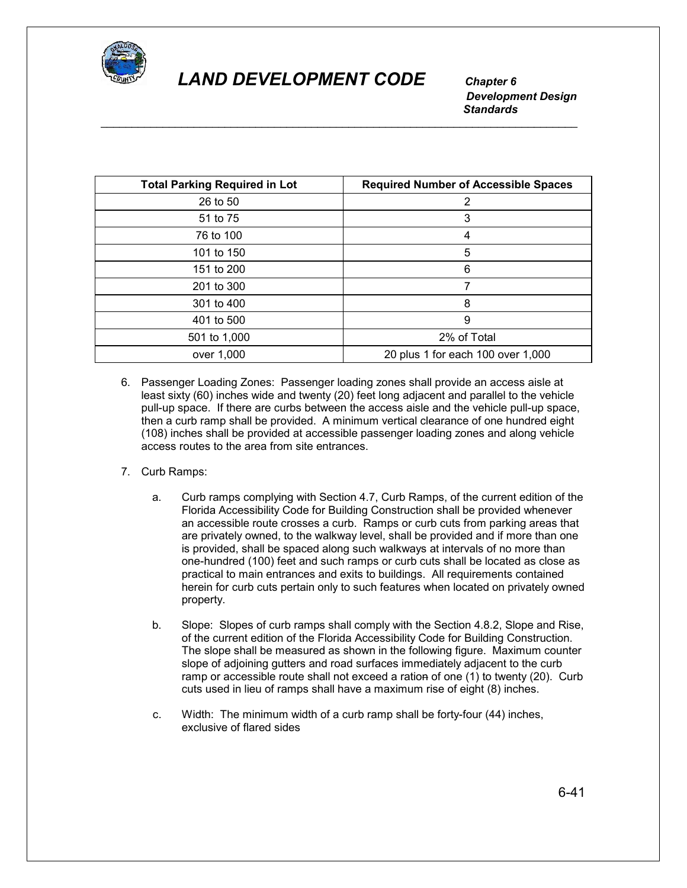

 *Development Design Standards* \_\_\_\_\_\_\_\_\_\_\_\_\_\_\_\_\_\_\_\_\_\_\_\_\_\_\_\_\_\_\_\_\_\_\_\_\_\_\_\_\_\_\_\_\_\_\_\_\_\_\_\_\_\_\_\_\_\_\_\_\_\_\_\_\_\_\_\_\_\_\_\_\_\_\_\_\_

| <b>Total Parking Required in Lot</b> | <b>Required Number of Accessible Spaces</b> |
|--------------------------------------|---------------------------------------------|
| 26 to 50                             | 2                                           |
| 51 to 75                             | 3                                           |
| 76 to 100                            | 4                                           |
| 101 to 150                           | 5                                           |
| 151 to 200                           | 6                                           |
| 201 to 300                           |                                             |
| 301 to 400                           | 8                                           |
| 401 to 500                           | 9                                           |
| 501 to 1,000                         | 2% of Total                                 |
| over 1,000                           | 20 plus 1 for each 100 over 1,000           |

- 6. Passenger Loading Zones: Passenger loading zones shall provide an access aisle at least sixty (60) inches wide and twenty (20) feet long adjacent and parallel to the vehicle pull-up space. If there are curbs between the access aisle and the vehicle pull-up space, then a curb ramp shall be provided. A minimum vertical clearance of one hundred eight (108) inches shall be provided at accessible passenger loading zones and along vehicle access routes to the area from site entrances.
- 7. Curb Ramps:
	- a. Curb ramps complying with Section 4.7, Curb Ramps, of the current edition of the Florida Accessibility Code for Building Construction shall be provided whenever an accessible route crosses a curb. Ramps or curb cuts from parking areas that are privately owned, to the walkway level, shall be provided and if more than one is provided, shall be spaced along such walkways at intervals of no more than one-hundred (100) feet and such ramps or curb cuts shall be located as close as practical to main entrances and exits to buildings. All requirements contained herein for curb cuts pertain only to such features when located on privately owned property.
	- b. Slope: Slopes of curb ramps shall comply with the Section 4.8.2, Slope and Rise, of the current edition of the Florida Accessibility Code for Building Construction. The slope shall be measured as shown in the following figure. Maximum counter slope of adjoining gutters and road surfaces immediately adjacent to the curb ramp or accessible route shall not exceed a ration of one (1) to twenty (20). Curb cuts used in lieu of ramps shall have a maximum rise of eight (8) inches.
	- c. Width: The minimum width of a curb ramp shall be forty-four (44) inches, exclusive of flared sides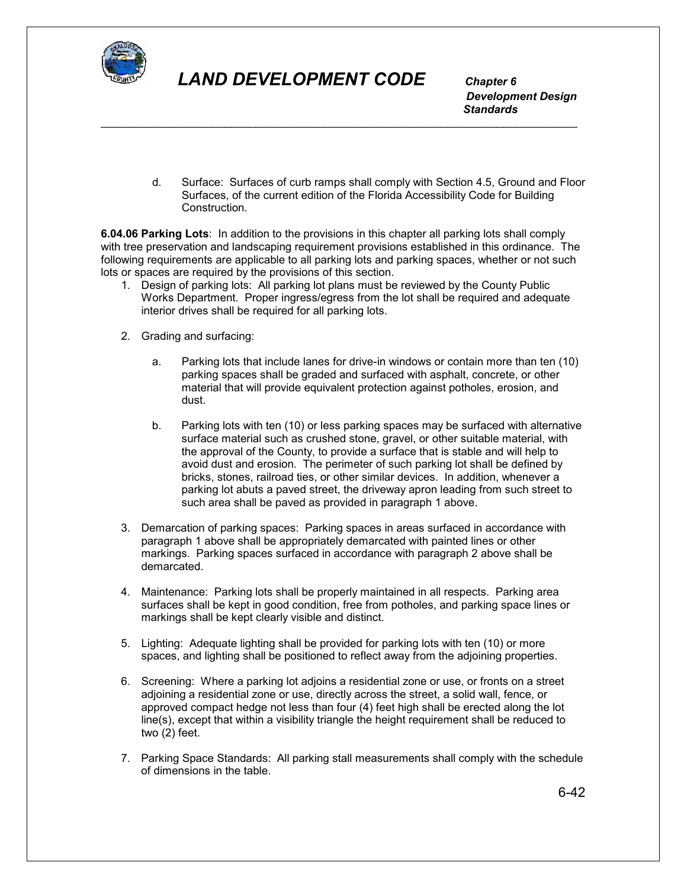

 *Development Design Standards* \_\_\_\_\_\_\_\_\_\_\_\_\_\_\_\_\_\_\_\_\_\_\_\_\_\_\_\_\_\_\_\_\_\_\_\_\_\_\_\_\_\_\_\_\_\_\_\_\_\_\_\_\_\_\_\_\_\_\_\_\_\_\_\_\_\_\_\_\_\_\_\_\_\_\_\_\_

> d. Surface: Surfaces of curb ramps shall comply with Section 4.5, Ground and Floor Surfaces, of the current edition of the Florida Accessibility Code for Building Construction.

**6.04.06 Parking Lots**: In addition to the provisions in this chapter all parking lots shall comply with tree preservation and landscaping requirement provisions established in this ordinance. The following requirements are applicable to all parking lots and parking spaces, whether or not such lots or spaces are required by the provisions of this section.

- 1. Design of parking lots: All parking lot plans must be reviewed by the County Public Works Department. Proper ingress/egress from the lot shall be required and adequate interior drives shall be required for all parking lots.
- 2. Grading and surfacing:
	- a. Parking lots that include lanes for drive-in windows or contain more than ten (10) parking spaces shall be graded and surfaced with asphalt, concrete, or other material that will provide equivalent protection against potholes, erosion, and dust.
	- b. Parking lots with ten (10) or less parking spaces may be surfaced with alternative surface material such as crushed stone, gravel, or other suitable material, with the approval of the County, to provide a surface that is stable and will help to avoid dust and erosion. The perimeter of such parking lot shall be defined by bricks, stones, railroad ties, or other similar devices. In addition, whenever a parking lot abuts a paved street, the driveway apron leading from such street to such area shall be paved as provided in paragraph 1 above.
- 3. Demarcation of parking spaces: Parking spaces in areas surfaced in accordance with paragraph 1 above shall be appropriately demarcated with painted lines or other markings. Parking spaces surfaced in accordance with paragraph 2 above shall be demarcated.
- 4. Maintenance: Parking lots shall be properly maintained in all respects. Parking area surfaces shall be kept in good condition, free from potholes, and parking space lines or markings shall be kept clearly visible and distinct.
- 5. Lighting: Adequate lighting shall be provided for parking lots with ten (10) or more spaces, and lighting shall be positioned to reflect away from the adjoining properties.
- 6. Screening: Where a parking lot adjoins a residential zone or use, or fronts on a street adjoining a residential zone or use, directly across the street, a solid wall, fence, or approved compact hedge not less than four (4) feet high shall be erected along the lot line(s), except that within a visibility triangle the height requirement shall be reduced to two (2) feet.
- 7. Parking Space Standards: All parking stall measurements shall comply with the schedule of dimensions in the table.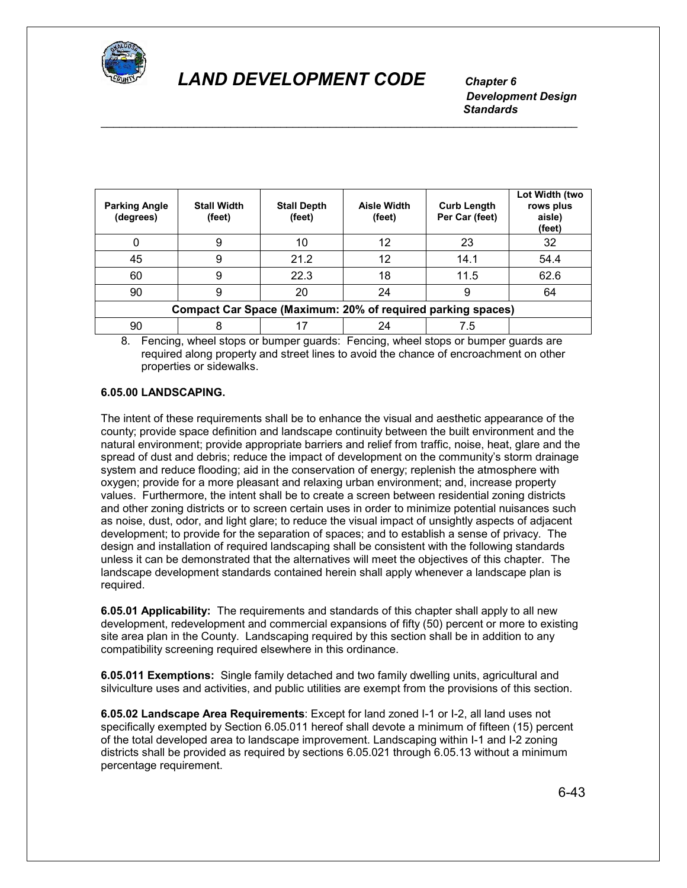

 *Development Design Standards* \_\_\_\_\_\_\_\_\_\_\_\_\_\_\_\_\_\_\_\_\_\_\_\_\_\_\_\_\_\_\_\_\_\_\_\_\_\_\_\_\_\_\_\_\_\_\_\_\_\_\_\_\_\_\_\_\_\_\_\_\_\_\_\_\_\_\_\_\_\_\_\_\_\_\_\_\_

| <b>Parking Angle</b><br>(degrees)                                  | <b>Stall Width</b><br>(feet) | <b>Stall Depth</b><br>(feet) | Aisle Width<br>(feet) | <b>Curb Length</b><br>Per Car (feet) | Lot Width (two<br>rows plus<br>aisle)<br>(feet) |
|--------------------------------------------------------------------|------------------------------|------------------------------|-----------------------|--------------------------------------|-------------------------------------------------|
|                                                                    | 9                            | 10                           | 12                    | 23                                   | 32                                              |
| 45                                                                 | 9                            | 21.2                         | 12                    | 14.1                                 | 54.4                                            |
| 60                                                                 | 9                            | 22.3                         | 18                    | 11.5                                 | 62.6                                            |
| 90                                                                 | 9                            | 20                           | 24                    | 9                                    | 64                                              |
| <b>Compact Car Space (Maximum: 20% of required parking spaces)</b> |                              |                              |                       |                                      |                                                 |
| 90                                                                 | 8                            |                              | 24                    | 7.5                                  |                                                 |

8. Fencing, wheel stops or bumper guards: Fencing, wheel stops or bumper guards are required along property and street lines to avoid the chance of encroachment on other properties or sidewalks.

#### **6.05.00 LANDSCAPING.**

The intent of these requirements shall be to enhance the visual and aesthetic appearance of the county; provide space definition and landscape continuity between the built environment and the natural environment; provide appropriate barriers and relief from traffic, noise, heat, glare and the spread of dust and debris; reduce the impact of development on the community's storm drainage system and reduce flooding; aid in the conservation of energy; replenish the atmosphere with oxygen; provide for a more pleasant and relaxing urban environment; and, increase property values. Furthermore, the intent shall be to create a screen between residential zoning districts and other zoning districts or to screen certain uses in order to minimize potential nuisances such as noise, dust, odor, and light glare; to reduce the visual impact of unsightly aspects of adjacent development; to provide for the separation of spaces; and to establish a sense of privacy. The design and installation of required landscaping shall be consistent with the following standards unless it can be demonstrated that the alternatives will meet the objectives of this chapter. The landscape development standards contained herein shall apply whenever a landscape plan is required.

**6.05.01 Applicability:** The requirements and standards of this chapter shall apply to all new development, redevelopment and commercial expansions of fifty (50) percent or more to existing site area plan in the County. Landscaping required by this section shall be in addition to any compatibility screening required elsewhere in this ordinance.

**6.05.011 Exemptions:** Single family detached and two family dwelling units, agricultural and silviculture uses and activities, and public utilities are exempt from the provisions of this section.

**6.05.02 Landscape Area Requirements**: Except for land zoned I-1 or I-2, all land uses not specifically exempted by Section 6.05.011 hereof shall devote a minimum of fifteen (15) percent of the total developed area to landscape improvement. Landscaping within I-1 and I-2 zoning districts shall be provided as required by sections 6.05.021 through 6.05.13 without a minimum percentage requirement.

6-43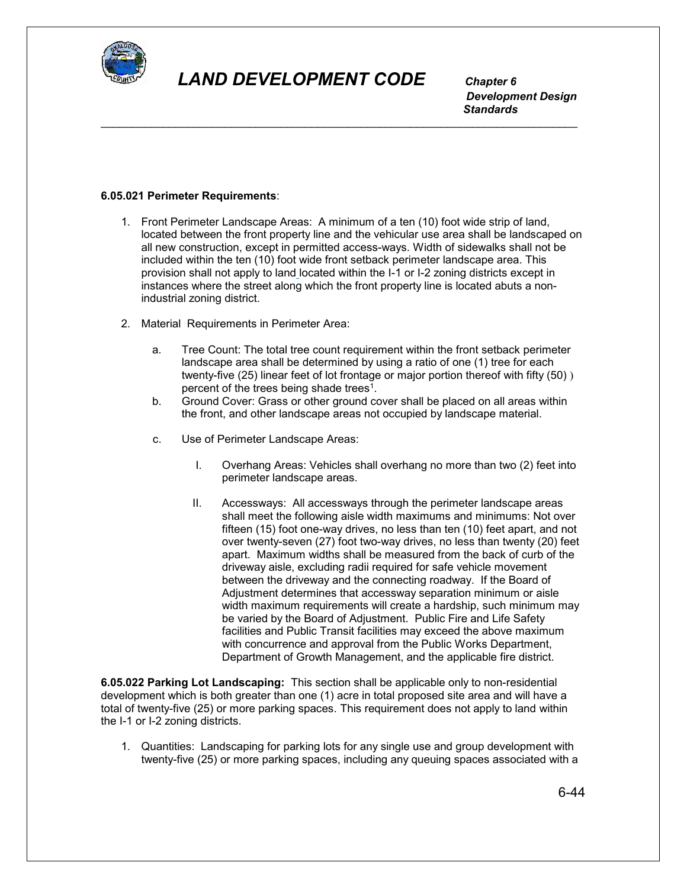

 *Development Design Standards* \_\_\_\_\_\_\_\_\_\_\_\_\_\_\_\_\_\_\_\_\_\_\_\_\_\_\_\_\_\_\_\_\_\_\_\_\_\_\_\_\_\_\_\_\_\_\_\_\_\_\_\_\_\_\_\_\_\_\_\_\_\_\_\_\_\_\_\_\_\_\_\_\_\_\_\_\_

#### **6.05.021 Perimeter Requirements**:

- 1. Front Perimeter Landscape Areas: A minimum of a ten (10) foot wide strip of land, located between the front property line and the vehicular use area shall be landscaped on all new construction, except in permitted access-ways. Width of sidewalks shall not be included within the ten (10) foot wide front setback perimeter landscape area. This provision shall not apply to land located within the I-1 or I-2 zoning districts except in instances where the street along which the front property line is located abuts a nonindustrial zoning district.
- 2. Material Requirements in Perimeter Area:
	- a. Tree Count: The total tree count requirement within the front setback perimeter landscape area shall be determined by using a ratio of one (1) tree for each twenty-five (25) linear feet of lot frontage or major portion thereof with fifty (50) ) percent of the trees being shade trees<sup>1</sup>.
	- b. Ground Cover: Grass or other ground cover shall be placed on all areas within the front, and other landscape areas not occupied by landscape material.
	- c. Use of Perimeter Landscape Areas:
		- I. Overhang Areas: Vehicles shall overhang no more than two (2) feet into perimeter landscape areas.
		- II. Accessways: All accessways through the perimeter landscape areas shall meet the following aisle width maximums and minimums: Not over fifteen (15) foot one-way drives, no less than ten (10) feet apart, and not over twenty-seven (27) foot two-way drives, no less than twenty (20) feet apart. Maximum widths shall be measured from the back of curb of the driveway aisle, excluding radii required for safe vehicle movement between the driveway and the connecting roadway. If the Board of Adjustment determines that accessway separation minimum or aisle width maximum requirements will create a hardship, such minimum may be varied by the Board of Adjustment. Public Fire and Life Safety facilities and Public Transit facilities may exceed the above maximum with concurrence and approval from the Public Works Department, Department of Growth Management, and the applicable fire district.

**6.05.022 Parking Lot Landscaping:** This section shall be applicable only to non-residential development which is both greater than one (1) acre in total proposed site area and will have a total of twenty-five (25) or more parking spaces. This requirement does not apply to land within the I-1 or I-2 zoning districts.

1. Quantities: Landscaping for parking lots for any single use and group development with twenty-five (25) or more parking spaces, including any queuing spaces associated with a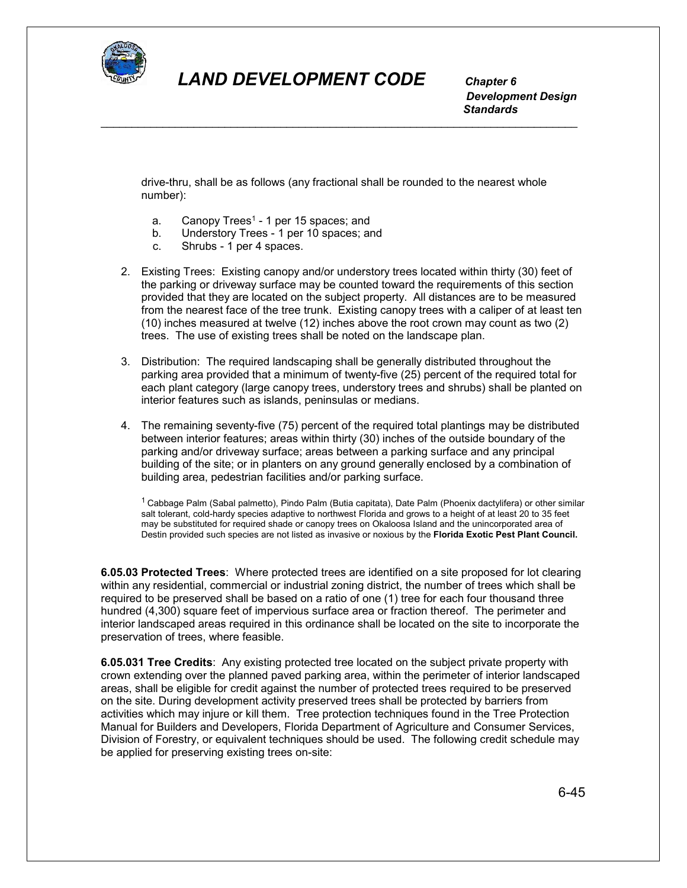

 *Development Design Standards* \_\_\_\_\_\_\_\_\_\_\_\_\_\_\_\_\_\_\_\_\_\_\_\_\_\_\_\_\_\_\_\_\_\_\_\_\_\_\_\_\_\_\_\_\_\_\_\_\_\_\_\_\_\_\_\_\_\_\_\_\_\_\_\_\_\_\_\_\_\_\_\_\_\_\_\_\_

drive-thru, shall be as follows (any fractional shall be rounded to the nearest whole number):

- a. Canopy Trees<sup>1</sup> 1 per 15 spaces; and
- b. Understory Trees 1 per 10 spaces; and
- c. Shrubs 1 per 4 spaces.
- 2. Existing Trees: Existing canopy and/or understory trees located within thirty (30) feet of the parking or driveway surface may be counted toward the requirements of this section provided that they are located on the subject property. All distances are to be measured from the nearest face of the tree trunk. Existing canopy trees with a caliper of at least ten (10) inches measured at twelve (12) inches above the root crown may count as two (2) trees. The use of existing trees shall be noted on the landscape plan.
- 3. Distribution:The required landscaping shall be generally distributed throughout the parking area provided that a minimum of twenty-five (25) percent of the required total for each plant category (large canopy trees, understory trees and shrubs) shall be planted on interior features such as islands, peninsulas or medians.
- 4. The remaining seventy-five (75) percent of the required total plantings may be distributed between interior features; areas within thirty (30) inches of the outside boundary of the parking and/or driveway surface; areas between a parking surface and any principal building of the site; or in planters on any ground generally enclosed by a combination of building area, pedestrian facilities and/or parking surface.

1 Cabbage Palm (Sabal palmetto), Pindo Palm (Butia capitata), Date Palm (Phoenix dactylifera) or other similar salt tolerant, cold-hardy species adaptive to northwest Florida and grows to a height of at least 20 to 35 feet may be substituted for required shade or canopy trees on Okaloosa Island and the unincorporated area of Destin provided such species are not listed as invasive or noxious by the **Florida Exotic Pest Plant Council.**

**6.05.03 Protected Trees**: Where protected trees are identified on a site proposed for lot clearing within any residential, commercial or industrial zoning district, the number of trees which shall be required to be preserved shall be based on a ratio of one (1) tree for each four thousand three hundred (4,300) square feet of impervious surface area or fraction thereof. The perimeter and interior landscaped areas required in this ordinance shall be located on the site to incorporate the preservation of trees, where feasible.

**6.05.031 Tree Credits**: Any existing protected tree located on the subject private property with crown extending over the planned paved parking area, within the perimeter of interior landscaped areas, shall be eligible for credit against the number of protected trees required to be preserved on the site. During development activity preserved trees shall be protected by barriers from activities which may injure or kill them. Tree protection techniques found in the Tree Protection Manual for Builders and Developers, Florida Department of Agriculture and Consumer Services, Division of Forestry, or equivalent techniques should be used. The following credit schedule may be applied for preserving existing trees on-site: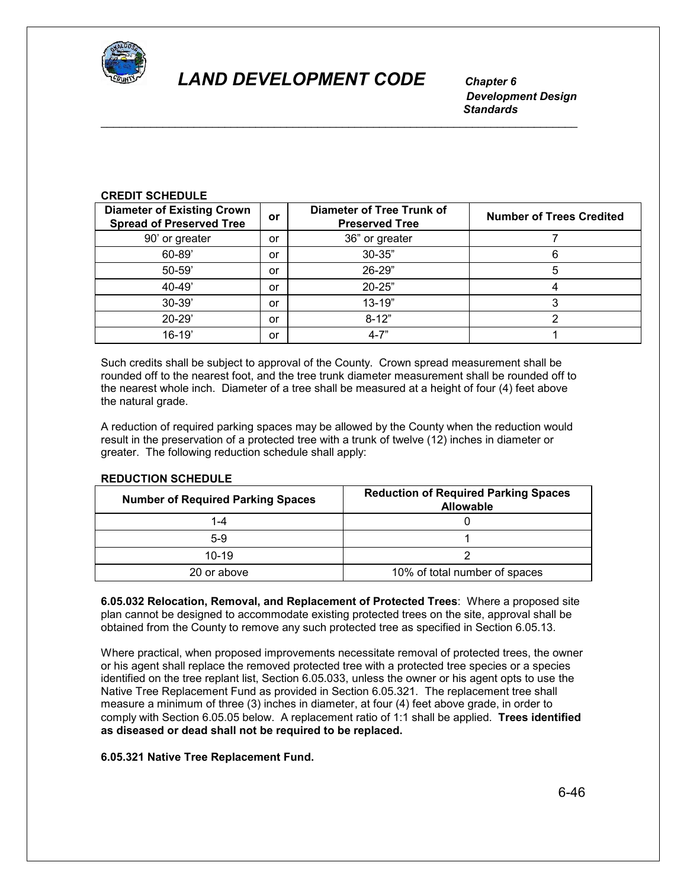

#### **CREDIT SCHEDULE**

| <b>Diameter of Existing Crown</b><br><b>Spread of Preserved Tree</b> | or | Diameter of Tree Trunk of<br><b>Preserved Tree</b> | <b>Number of Trees Credited</b> |
|----------------------------------------------------------------------|----|----------------------------------------------------|---------------------------------|
| 90' or greater                                                       | or | 36" or greater                                     |                                 |
| 60-89'                                                               | or | 30-35"                                             |                                 |
| $50 - 59'$                                                           | or | 26-29"                                             | 5                               |
| $40 - 49'$                                                           | or | 20-25"                                             |                                 |
| 30-39'                                                               | or | $13 - 19"$                                         |                                 |
| $20 - 29'$                                                           | or | $8 - 12"$                                          |                                 |
| $16 - 19'$                                                           | or | $4 - 7"$                                           |                                 |

Such credits shall be subject to approval of the County. Crown spread measurement shall be rounded off to the nearest foot, and the tree trunk diameter measurement shall be rounded off to the nearest whole inch. Diameter of a tree shall be measured at a height of four (4) feet above the natural grade.

A reduction of required parking spaces may be allowed by the County when the reduction would result in the preservation of a protected tree with a trunk of twelve (12) inches in diameter or greater. The following reduction schedule shall apply:

| <b>Number of Required Parking Spaces</b> | <b>Reduction of Required Parking Spaces</b><br><b>Allowable</b> |
|------------------------------------------|-----------------------------------------------------------------|
| 1-4                                      |                                                                 |
| $5-9$                                    |                                                                 |
| $10-19$                                  |                                                                 |
| 20 or above                              | 10% of total number of spaces                                   |

### **REDUCTION SCHEDULE**

**6.05.032 Relocation, Removal, and Replacement of Protected Trees**: Where a proposed site plan cannot be designed to accommodate existing protected trees on the site, approval shall be obtained from the County to remove any such protected tree as specified in Section 6.05.13.

Where practical, when proposed improvements necessitate removal of protected trees, the owner or his agent shall replace the removed protected tree with a protected tree species or a species identified on the tree replant list, Section 6.05.033, unless the owner or his agent opts to use the Native Tree Replacement Fund as provided in Section 6.05.321. The replacement tree shall measure a minimum of three (3) inches in diameter, at four (4) feet above grade, in order to comply with Section 6.05.05 below. A replacement ratio of 1:1 shall be applied. **Trees identified as diseased or dead shall not be required to be replaced.**

#### **6.05.321 Native Tree Replacement Fund.**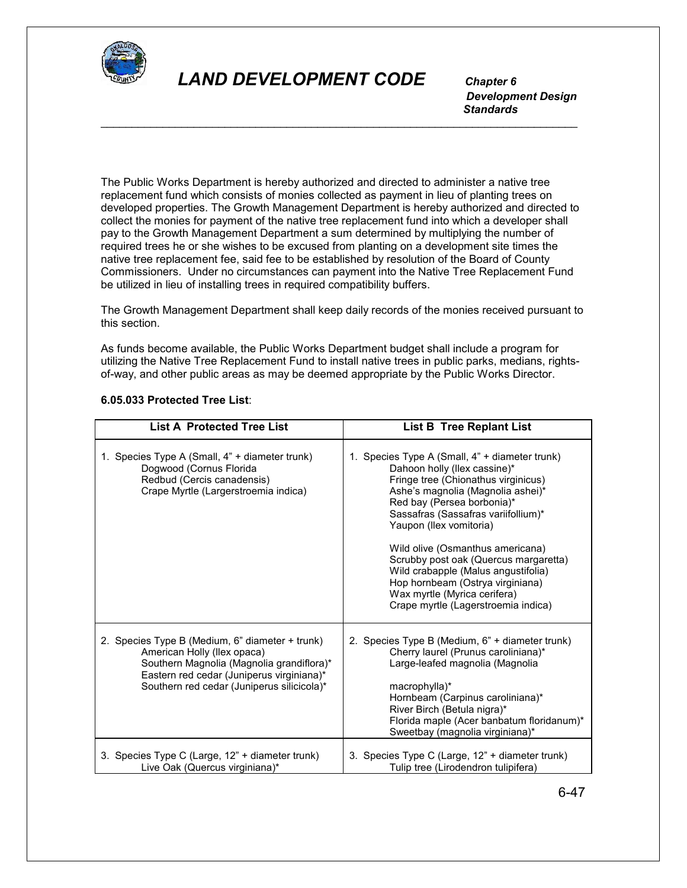

 *Development Design Standards* \_\_\_\_\_\_\_\_\_\_\_\_\_\_\_\_\_\_\_\_\_\_\_\_\_\_\_\_\_\_\_\_\_\_\_\_\_\_\_\_\_\_\_\_\_\_\_\_\_\_\_\_\_\_\_\_\_\_\_\_\_\_\_\_\_\_\_\_\_\_\_\_\_\_\_\_\_

The Public Works Department is hereby authorized and directed to administer a native tree replacement fund which consists of monies collected as payment in lieu of planting trees on developed properties. The Growth Management Department is hereby authorized and directed to collect the monies for payment of the native tree replacement fund into which a developer shall pay to the Growth Management Department a sum determined by multiplying the number of required trees he or she wishes to be excused from planting on a development site times the native tree replacement fee, said fee to be established by resolution of the Board of County Commissioners. Under no circumstances can payment into the Native Tree Replacement Fund be utilized in lieu of installing trees in required compatibility buffers.

The Growth Management Department shall keep daily records of the monies received pursuant to this section.

As funds become available, the Public Works Department budget shall include a program for utilizing the Native Tree Replacement Fund to install native trees in public parks, medians, rightsof-way, and other public areas as may be deemed appropriate by the Public Works Director.

| <b>List A Protected Tree List</b>                                                                                                                                                                                      | <b>List B Tree Replant List</b>                                                                                                                                                                                                                                                                                                                                                                                                                                                           |  |
|------------------------------------------------------------------------------------------------------------------------------------------------------------------------------------------------------------------------|-------------------------------------------------------------------------------------------------------------------------------------------------------------------------------------------------------------------------------------------------------------------------------------------------------------------------------------------------------------------------------------------------------------------------------------------------------------------------------------------|--|
| 1. Species Type A (Small, 4" + diameter trunk)<br>Dogwood (Cornus Florida<br>Redbud (Cercis canadensis)<br>Crape Myrtle (Largerstroemia indica)                                                                        | 1. Species Type A (Small, 4" + diameter trunk)<br>Dahoon holly (Ilex cassine)*<br>Fringe tree (Chionathus virginicus)<br>Ashe's magnolia (Magnolia ashei)*<br>Red bay (Persea borbonia)*<br>Sassafras (Sassafras variifollium)*<br>Yaupon (Ilex vomitoria)<br>Wild olive (Osmanthus americana)<br>Scrubby post oak (Quercus margaretta)<br>Wild crabapple (Malus angustifolia)<br>Hop hornbeam (Ostrya virginiana)<br>Wax myrtle (Myrica cerifera)<br>Crape myrtle (Lagerstroemia indica) |  |
| 2. Species Type B (Medium, 6" diameter + trunk)<br>American Holly (Ilex opaca)<br>Southern Magnolia (Magnolia grandiflora)*<br>Eastern red cedar (Juniperus virginiana)*<br>Southern red cedar (Juniperus silicicola)* | 2. Species Type B (Medium, 6" + diameter trunk)<br>Cherry laurel (Prunus caroliniana)*<br>Large-leafed magnolia (Magnolia<br>macrophylla)*<br>Hornbeam (Carpinus caroliniana)*<br>River Birch (Betula nigra)*<br>Florida maple (Acer banbatum floridanum)*<br>Sweetbay (magnolia virginiana)*                                                                                                                                                                                             |  |
| 3. Species Type C (Large, 12" + diameter trunk)<br>Live Oak (Quercus virginiana)*                                                                                                                                      | 3. Species Type C (Large, 12" + diameter trunk)<br>Tulip tree (Lirodendron tulipifera)                                                                                                                                                                                                                                                                                                                                                                                                    |  |

### **6.05.033 Protected Tree List**: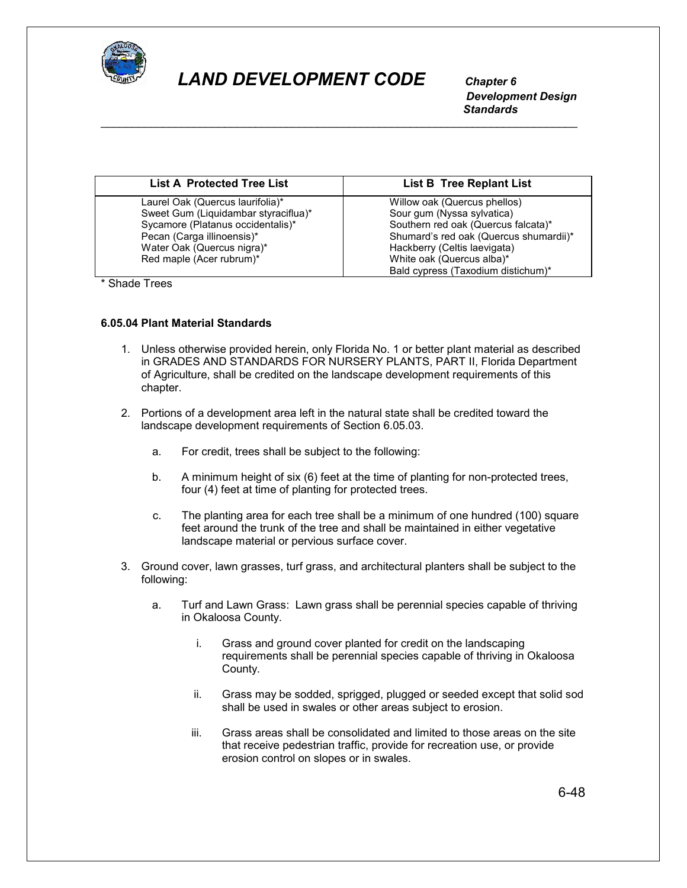

 *Development Design Standards* \_\_\_\_\_\_\_\_\_\_\_\_\_\_\_\_\_\_\_\_\_\_\_\_\_\_\_\_\_\_\_\_\_\_\_\_\_\_\_\_\_\_\_\_\_\_\_\_\_\_\_\_\_\_\_\_\_\_\_\_\_\_\_\_\_\_\_\_\_\_\_\_\_\_\_\_\_

| <b>List A Protected Tree List</b>    | <b>List B Tree Replant List</b>        |
|--------------------------------------|----------------------------------------|
| Laurel Oak (Quercus laurifolia)*     | Willow oak (Quercus phellos)           |
| Sweet Gum (Liquidambar styraciflua)* | Sour gum (Nyssa sylvatica)             |
| Sycamore (Platanus occidentalis)*    | Southern red oak (Quercus falcata)*    |
| Pecan (Carga illinoensis)*           | Shumard's red oak (Quercus shumardii)* |
| Water Oak (Quercus nigra)*           | Hackberry (Celtis laevigata)           |
| Red maple (Acer rubrum)*             | White oak (Quercus alba)*              |
|                                      | Bald cypress (Taxodium distichum)*     |

Shade Trees

#### **6.05.04 Plant Material Standards**

- 1. Unless otherwise provided herein, only Florida No. 1 or better plant material as described in GRADES AND STANDARDS FOR NURSERY PLANTS, PART II, Florida Department of Agriculture, shall be credited on the landscape development requirements of this chapter.
- 2. Portions of a development area left in the natural state shall be credited toward the landscape development requirements of Section 6.05.03.
	- a. For credit, trees shall be subject to the following:
	- b. A minimum height of six (6) feet at the time of planting for non-protected trees, four (4) feet at time of planting for protected trees.
	- c. The planting area for each tree shall be a minimum of one hundred (100) square feet around the trunk of the tree and shall be maintained in either vegetative landscape material or pervious surface cover.
- 3. Ground cover, lawn grasses, turf grass, and architectural planters shall be subject to the following:
	- a. Turf and Lawn Grass: Lawn grass shall be perennial species capable of thriving in Okaloosa County.
		- i. Grass and ground cover planted for credit on the landscaping requirements shall be perennial species capable of thriving in Okaloosa County.
		- ii. Grass may be sodded, sprigged, plugged or seeded except that solid sod shall be used in swales or other areas subject to erosion.
		- iii. Grass areas shall be consolidated and limited to those areas on the site that receive pedestrian traffic, provide for recreation use, or provide erosion control on slopes or in swales.

6-48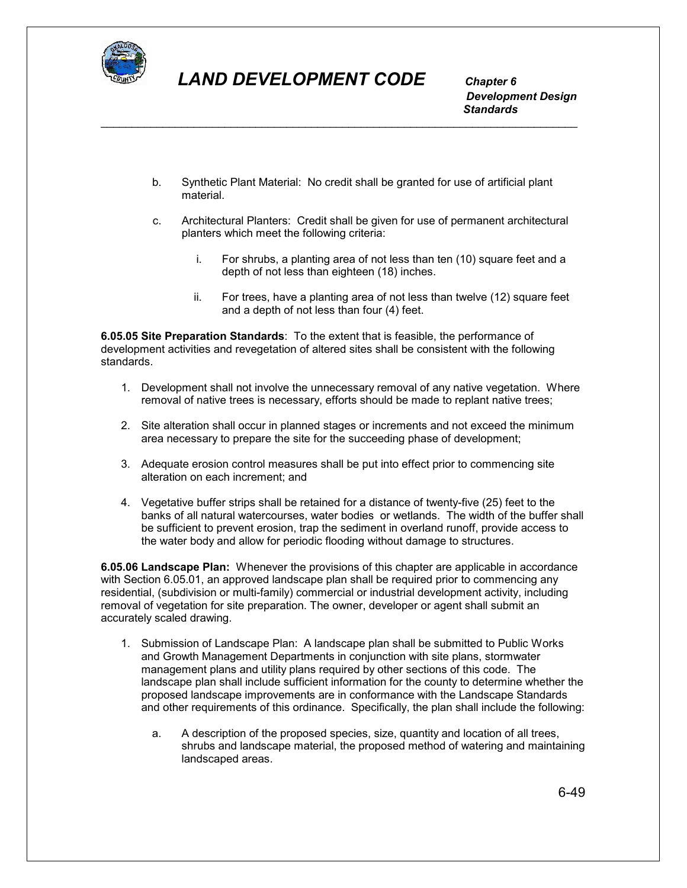

 *Development Design Standards* \_\_\_\_\_\_\_\_\_\_\_\_\_\_\_\_\_\_\_\_\_\_\_\_\_\_\_\_\_\_\_\_\_\_\_\_\_\_\_\_\_\_\_\_\_\_\_\_\_\_\_\_\_\_\_\_\_\_\_\_\_\_\_\_\_\_\_\_\_\_\_\_\_\_\_\_\_

- b. Synthetic Plant Material: No credit shall be granted for use of artificial plant material.
- c. Architectural Planters: Credit shall be given for use of permanent architectural planters which meet the following criteria:
	- i. For shrubs, a planting area of not less than ten (10) square feet and a depth of not less than eighteen (18) inches.
	- ii. For trees, have a planting area of not less than twelve (12) square feet and a depth of not less than four (4) feet.

**6.05.05 Site Preparation Standards**: To the extent that is feasible, the performance of development activities and revegetation of altered sites shall be consistent with the following standards.

- 1. Development shall not involve the unnecessary removal of any native vegetation. Where removal of native trees is necessary, efforts should be made to replant native trees;
- 2. Site alteration shall occur in planned stages or increments and not exceed the minimum area necessary to prepare the site for the succeeding phase of development;
- 3. Adequate erosion control measures shall be put into effect prior to commencing site alteration on each increment; and
- 4. Vegetative buffer strips shall be retained for a distance of twenty-five (25) feet to the banks of all natural watercourses, water bodies or wetlands. The width of the buffer shall be sufficient to prevent erosion, trap the sediment in overland runoff, provide access to the water body and allow for periodic flooding without damage to structures.

**6.05.06 Landscape Plan:** Whenever the provisions of this chapter are applicable in accordance with Section 6.05.01, an approved landscape plan shall be required prior to commencing any residential, (subdivision or multi-family) commercial or industrial development activity, including removal of vegetation for site preparation. The owner, developer or agent shall submit an accurately scaled drawing.

- 1. Submission of Landscape Plan: A landscape plan shall be submitted to Public Works and Growth Management Departments in conjunction with site plans, stormwater management plans and utility plans required by other sections of this code. The landscape plan shall include sufficient information for the county to determine whether the proposed landscape improvements are in conformance with the Landscape Standards and other requirements of this ordinance. Specifically, the plan shall include the following:
	- a. A description of the proposed species, size, quantity and location of all trees, shrubs and landscape material, the proposed method of watering and maintaining landscaped areas.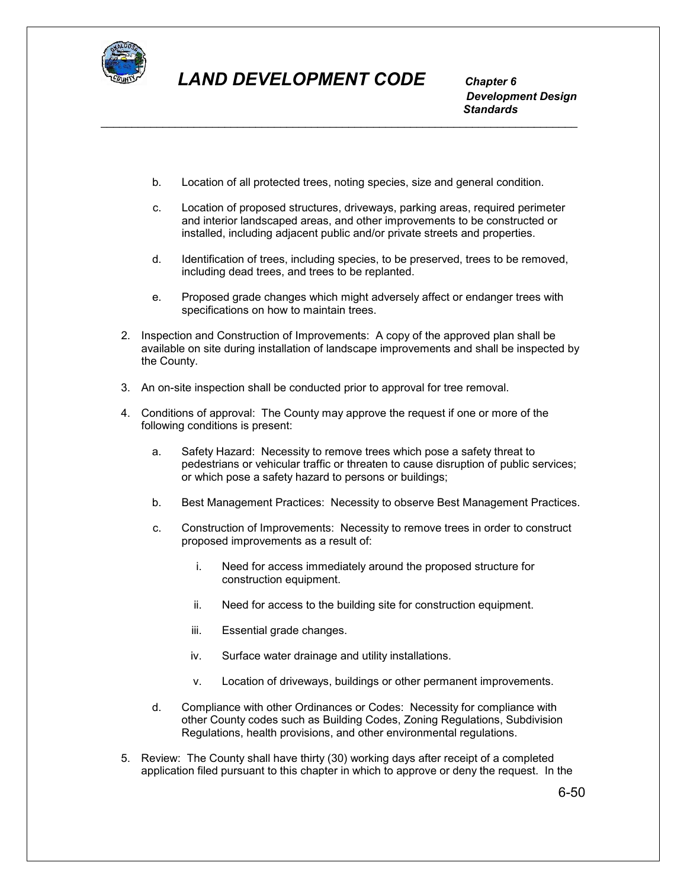

 *Development Design Standards*

b. Location of all protected trees, noting species, size and general condition.

\_\_\_\_\_\_\_\_\_\_\_\_\_\_\_\_\_\_\_\_\_\_\_\_\_\_\_\_\_\_\_\_\_\_\_\_\_\_\_\_\_\_\_\_\_\_\_\_\_\_\_\_\_\_\_\_\_\_\_\_\_\_\_\_\_\_\_\_\_\_\_\_\_\_\_\_\_

- c. Location of proposed structures, driveways, parking areas, required perimeter and interior landscaped areas, and other improvements to be constructed or installed, including adjacent public and/or private streets and properties.
- d. Identification of trees, including species, to be preserved, trees to be removed, including dead trees, and trees to be replanted.
- e. Proposed grade changes which might adversely affect or endanger trees with specifications on how to maintain trees.
- 2. Inspection and Construction of Improvements: A copy of the approved plan shall be available on site during installation of landscape improvements and shall be inspected by the County.
- 3. An on-site inspection shall be conducted prior to approval for tree removal.
- 4. Conditions of approval: The County may approve the request if one or more of the following conditions is present:
	- a. Safety Hazard: Necessity to remove trees which pose a safety threat to pedestrians or vehicular traffic or threaten to cause disruption of public services; or which pose a safety hazard to persons or buildings;
	- b. Best Management Practices: Necessity to observe Best Management Practices.
	- c. Construction of Improvements: Necessity to remove trees in order to construct proposed improvements as a result of:
		- i. Need for access immediately around the proposed structure for construction equipment.
		- ii. Need for access to the building site for construction equipment.
		- iii. Essential grade changes.
		- iv. Surface water drainage and utility installations.
		- v. Location of driveways, buildings or other permanent improvements.
	- d. Compliance with other Ordinances or Codes: Necessity for compliance with other County codes such as Building Codes, Zoning Regulations, Subdivision Regulations, health provisions, and other environmental regulations.
- 5. Review: The County shall have thirty (30) working days after receipt of a completed application filed pursuant to this chapter in which to approve or deny the request. In the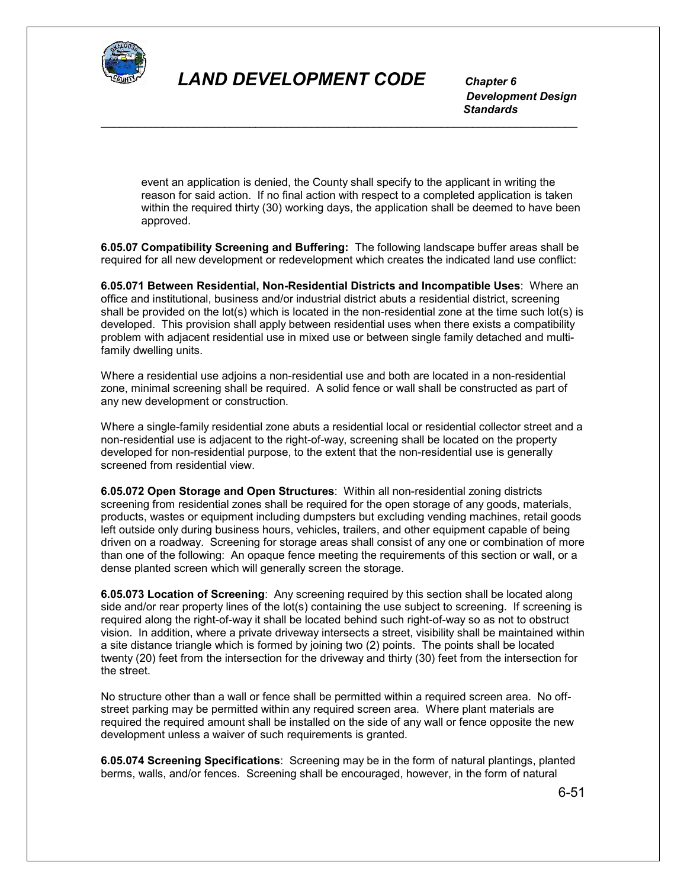

 *Development Design Standards*

event an application is denied, the County shall specify to the applicant in writing the reason for said action. If no final action with respect to a completed application is taken within the required thirty (30) working days, the application shall be deemed to have been approved.

**6.05.07 Compatibility Screening and Buffering:** The following landscape buffer areas shall be required for all new development or redevelopment which creates the indicated land use conflict:

\_\_\_\_\_\_\_\_\_\_\_\_\_\_\_\_\_\_\_\_\_\_\_\_\_\_\_\_\_\_\_\_\_\_\_\_\_\_\_\_\_\_\_\_\_\_\_\_\_\_\_\_\_\_\_\_\_\_\_\_\_\_\_\_\_\_\_\_\_\_\_\_\_\_\_\_\_

**6.05.071 Between Residential, Non-Residential Districts and Incompatible Uses**: Where an office and institutional, business and/or industrial district abuts a residential district, screening shall be provided on the lot(s) which is located in the non-residential zone at the time such lot(s) is developed. This provision shall apply between residential uses when there exists a compatibility problem with adjacent residential use in mixed use or between single family detached and multifamily dwelling units.

Where a residential use adjoins a non-residential use and both are located in a non-residential zone, minimal screening shall be required. A solid fence or wall shall be constructed as part of any new development or construction.

Where a single-family residential zone abuts a residential local or residential collector street and a non-residential use is adjacent to the right-of-way, screening shall be located on the property developed for non-residential purpose, to the extent that the non-residential use is generally screened from residential view.

**6.05.072 Open Storage and Open Structures**: Within all non-residential zoning districts screening from residential zones shall be required for the open storage of any goods, materials, products, wastes or equipment including dumpsters but excluding vending machines, retail goods left outside only during business hours, vehicles, trailers, and other equipment capable of being driven on a roadway. Screening for storage areas shall consist of any one or combination of more than one of the following: An opaque fence meeting the requirements of this section or wall, or a dense planted screen which will generally screen the storage.

**6.05.073 Location of Screening**: Any screening required by this section shall be located along side and/or rear property lines of the lot(s) containing the use subiect to screening. If screening is required along the right-of-way it shall be located behind such right-of-way so as not to obstruct vision. In addition, where a private driveway intersects a street, visibility shall be maintained within a site distance triangle which is formed by joining two (2) points. The points shall be located twenty (20) feet from the intersection for the driveway and thirty (30) feet from the intersection for the street.

No structure other than a wall or fence shall be permitted within a required screen area. No offstreet parking may be permitted within any required screen area. Where plant materials are required the required amount shall be installed on the side of any wall or fence opposite the new development unless a waiver of such requirements is granted.

**6.05.074 Screening Specifications**: Screening may be in the form of natural plantings, planted berms, walls, and/or fences. Screening shall be encouraged, however, in the form of natural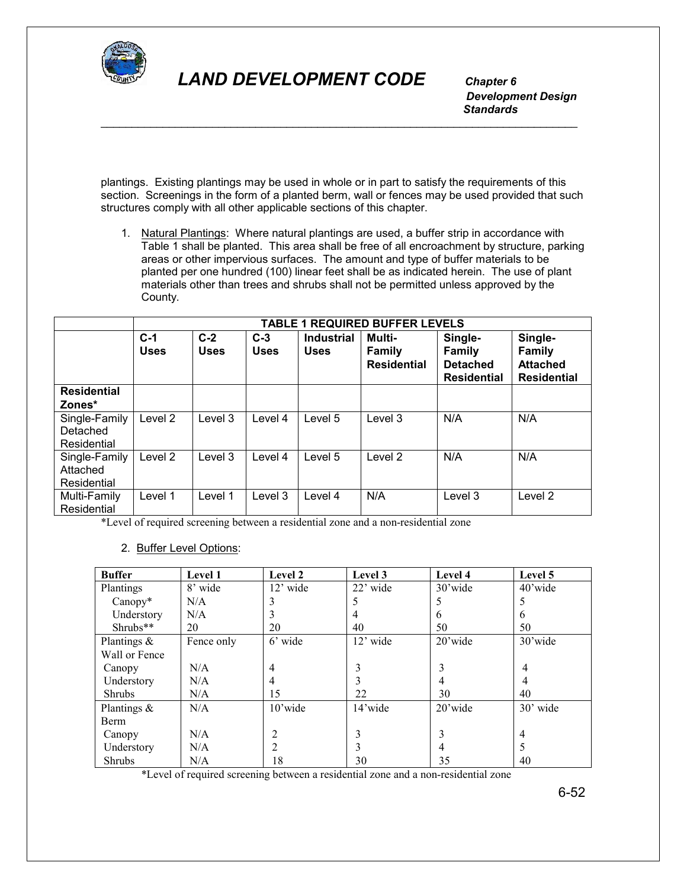

 *Development Design Standards*

plantings. Existing plantings may be used in whole or in part to satisfy the requirements of this section. Screenings in the form of a planted berm, wall or fences may be used provided that such structures comply with all other applicable sections of this chapter.

\_\_\_\_\_\_\_\_\_\_\_\_\_\_\_\_\_\_\_\_\_\_\_\_\_\_\_\_\_\_\_\_\_\_\_\_\_\_\_\_\_\_\_\_\_\_\_\_\_\_\_\_\_\_\_\_\_\_\_\_\_\_\_\_\_\_\_\_\_\_\_\_\_\_\_\_\_

1. Natural Plantings: Where natural plantings are used, a buffer strip in accordance with Table 1 shall be planted. This area shall be free of all encroachment by structure, parking areas or other impervious surfaces. The amount and type of buffer materials to be planted per one hundred (100) linear feet shall be as indicated herein. The use of plant materials other than trees and shrubs shall not be permitted unless approved by the County.

|                                          | <b>TABLE 1 REQUIRED BUFFER LEVELS</b> |                      |                      |                                  |                                               |                                                                   |                                                                   |
|------------------------------------------|---------------------------------------|----------------------|----------------------|----------------------------------|-----------------------------------------------|-------------------------------------------------------------------|-------------------------------------------------------------------|
|                                          | $C-1$<br><b>Uses</b>                  | $C-2$<br><b>Uses</b> | $C-3$<br><b>Uses</b> | <b>Industrial</b><br><b>Uses</b> | Multi-<br><b>Family</b><br><b>Residential</b> | Single-<br><b>Family</b><br><b>Detached</b><br><b>Residential</b> | Single-<br><b>Family</b><br><b>Attached</b><br><b>Residential</b> |
| <b>Residential</b><br>Zones*             |                                       |                      |                      |                                  |                                               |                                                                   |                                                                   |
| Single-Family<br>Detached<br>Residential | Level 2                               | Level 3              | Level 4              | Level 5                          | Level 3                                       | N/A                                                               | N/A                                                               |
| Single-Family<br>Attached<br>Residential | Level <sub>2</sub>                    | Level 3              | Level 4              | Level 5                          | Level 2                                       | N/A                                                               | N/A                                                               |
| Multi-Family<br>Residential              | Level 1                               | Level 1              | Level 3              | Level 4                          | N/A                                           | Level 3                                                           | Level 2                                                           |

\*Level of required screening between a residential zone and a non-residential zone

2. Buffer Level Options:

| <b>Buffer</b> | <b>Level 1</b> | Level 2        | Level 3    | Level 4    | Level 5        |
|---------------|----------------|----------------|------------|------------|----------------|
| Plantings     | 8' wide        | $12'$ wide     | $22'$ wide | $30$ 'wide | $40$ 'wide     |
| $Canopy*$     | N/A            | 3              |            |            |                |
| Understory    | N/A            | 3              | 4          | 6          | 6              |
| Shrubs**      | 20             | 20             | 40         | 50         | 50             |
| Plantings &   | Fence only     | 6' wide        | $12'$ wide | $20$ 'wide | 30'wide        |
| Wall or Fence |                |                |            |            |                |
| Canopy        | N/A            | 4              | 3          | 3          | $\overline{4}$ |
| Understory    | N/A            | 4              |            | 4          | 4              |
| <b>Shrubs</b> | N/A            | 15             | 22         | 30         | 40             |
| Plantings &   | N/A            | 10'wide        | 14'wide    | $20$ 'wide | $30'$ wide     |
| <b>Berm</b>   |                |                |            |            |                |
| Canopy        | N/A            | 2              | 3          | 3          | $\overline{4}$ |
| Understory    | N/A            | $\mathfrak{D}$ | 3          | 4          | 5              |
| <b>Shrubs</b> | N/A            | 18             | 30         | 35         | 40             |

\*Level of required screening between a residential zone and a non-residential zone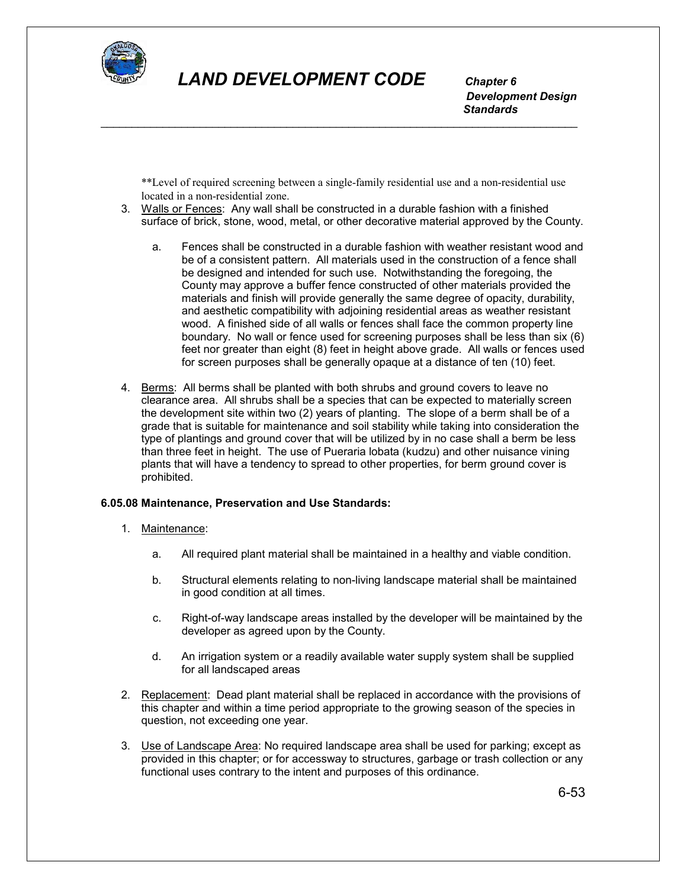

 *Development Design Standards*

\*\*Level of required screening between a single-family residential use and a non-residential use located in a non-residential zone.

\_\_\_\_\_\_\_\_\_\_\_\_\_\_\_\_\_\_\_\_\_\_\_\_\_\_\_\_\_\_\_\_\_\_\_\_\_\_\_\_\_\_\_\_\_\_\_\_\_\_\_\_\_\_\_\_\_\_\_\_\_\_\_\_\_\_\_\_\_\_\_\_\_\_\_\_\_

- 3. Walls or Fences: Any wall shall be constructed in a durable fashion with a finished surface of brick, stone, wood, metal, or other decorative material approved by the County.
	- a. Fences shall be constructed in a durable fashion with weather resistant wood and be of a consistent pattern. All materials used in the construction of a fence shall be designed and intended for such use. Notwithstanding the foregoing, the County may approve a buffer fence constructed of other materials provided the materials and finish will provide generally the same degree of opacity, durability, and aesthetic compatibility with adjoining residential areas as weather resistant wood. A finished side of all walls or fences shall face the common property line boundary. No wall or fence used for screening purposes shall be less than six (6) feet nor greater than eight (8) feet in height above grade. All walls or fences used for screen purposes shall be generally opaque at a distance of ten (10) feet.
- 4. Berms: All berms shall be planted with both shrubs and ground covers to leave no clearance area. All shrubs shall be a species that can be expected to materially screen the development site within two (2) years of planting. The slope of a berm shall be of a grade that is suitable for maintenance and soil stability while taking into consideration the type of plantings and ground cover that will be utilized by in no case shall a berm be less than three feet in height. The use of Pueraria lobata (kudzu) and other nuisance vining plants that will have a tendency to spread to other properties, for berm ground cover is prohibited.

### **6.05.08 Maintenance, Preservation and Use Standards:**

- 1. Maintenance:
	- a. All required plant material shall be maintained in a healthy and viable condition.
	- b. Structural elements relating to non-living landscape material shall be maintained in good condition at all times.
	- c. Right-of-way landscape areas installed by the developer will be maintained by the developer as agreed upon by the County.
	- d. An irrigation system or a readily available water supply system shall be supplied for all landscaped areas
- 2. Replacement: Dead plant material shall be replaced in accordance with the provisions of this chapter and within a time period appropriate to the growing season of the species in question, not exceeding one year.
- 3. Use of Landscape Area: No required landscape area shall be used for parking; except as provided in this chapter; or for accessway to structures, garbage or trash collection or any functional uses contrary to the intent and purposes of this ordinance.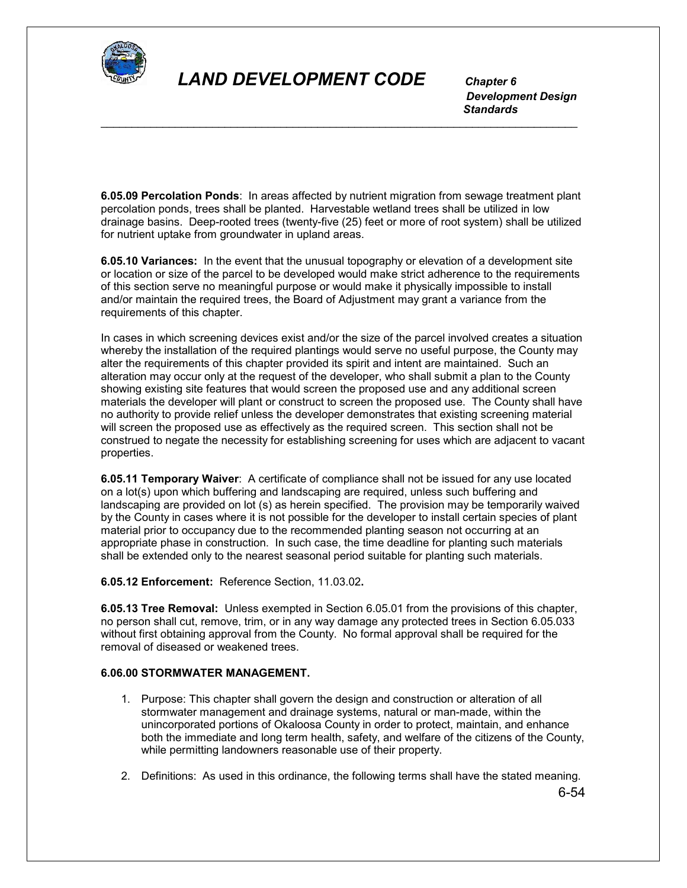

 *Development Design Standards* \_\_\_\_\_\_\_\_\_\_\_\_\_\_\_\_\_\_\_\_\_\_\_\_\_\_\_\_\_\_\_\_\_\_\_\_\_\_\_\_\_\_\_\_\_\_\_\_\_\_\_\_\_\_\_\_\_\_\_\_\_\_\_\_\_\_\_\_\_\_\_\_\_\_\_\_\_

**6.05.09 Percolation Ponds**: In areas affected by nutrient migration from sewage treatment plant percolation ponds, trees shall be planted. Harvestable wetland trees shall be utilized in low drainage basins. Deep-rooted trees (twenty-five (25) feet or more of root system) shall be utilized for nutrient uptake from groundwater in upland areas.

**6.05.10 Variances:** In the event that the unusual topography or elevation of a development site or location or size of the parcel to be developed would make strict adherence to the requirements of this section serve no meaningful purpose or would make it physically impossible to install and/or maintain the required trees, the Board of Adjustment may grant a variance from the requirements of this chapter.

In cases in which screening devices exist and/or the size of the parcel involved creates a situation whereby the installation of the required plantings would serve no useful purpose, the County may alter the requirements of this chapter provided its spirit and intent are maintained. Such an alteration may occur only at the request of the developer, who shall submit a plan to the County showing existing site features that would screen the proposed use and any additional screen materials the developer will plant or construct to screen the proposed use. The County shall have no authority to provide relief unless the developer demonstrates that existing screening material will screen the proposed use as effectively as the required screen. This section shall not be construed to negate the necessity for establishing screening for uses which are adjacent to vacant properties.

**6.05.11 Temporary Waiver**: A certificate of compliance shall not be issued for any use located on a lot(s) upon which buffering and landscaping are required, unless such buffering and landscaping are provided on lot (s) as herein specified. The provision may be temporarily waived by the County in cases where it is not possible for the developer to install certain species of plant material prior to occupancy due to the recommended planting season not occurring at an appropriate phase in construction. In such case, the time deadline for planting such materials shall be extended only to the nearest seasonal period suitable for planting such materials.

**6.05.12 Enforcement:** Reference Section, 11.03.02**.**

**6.05.13 Tree Removal:** Unless exempted in Section 6.05.01 from the provisions of this chapter, no person shall cut, remove, trim, or in any way damage any protected trees in Section 6.05.033 without first obtaining approval from the County. No formal approval shall be required for the removal of diseased or weakened trees.

#### **6.06.00 STORMWATER MANAGEMENT.**

- 1. Purpose: This chapter shall govern the design and construction or alteration of all stormwater management and drainage systems, natural or man-made, within the unincorporated portions of Okaloosa County in order to protect, maintain, and enhance both the immediate and long term health, safety, and welfare of the citizens of the County, while permitting landowners reasonable use of their property.
- 2. Definitions: As used in this ordinance, the following terms shall have the stated meaning.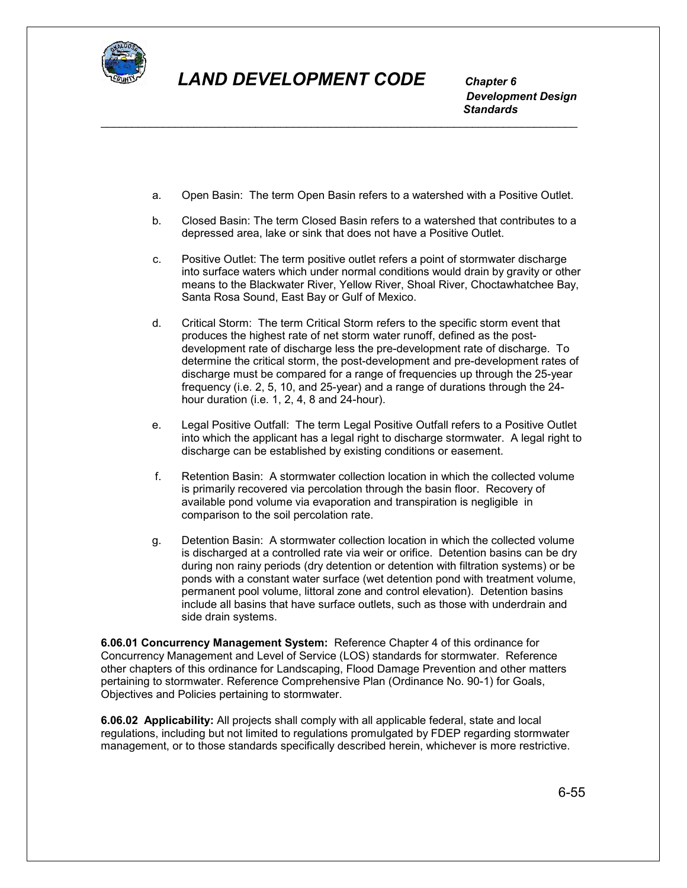

 *Development Design Standards* \_\_\_\_\_\_\_\_\_\_\_\_\_\_\_\_\_\_\_\_\_\_\_\_\_\_\_\_\_\_\_\_\_\_\_\_\_\_\_\_\_\_\_\_\_\_\_\_\_\_\_\_\_\_\_\_\_\_\_\_\_\_\_\_\_\_\_\_\_\_\_\_\_\_\_\_\_

- a. Open Basin: The term Open Basin refers to a watershed with a Positive Outlet.
- b. Closed Basin: The term Closed Basin refers to a watershed that contributes to a depressed area, lake or sink that does not have a Positive Outlet.
- c. Positive Outlet: The term positive outlet refers a point of stormwater discharge into surface waters which under normal conditions would drain by gravity or other means to the Blackwater River, Yellow River, Shoal River, Choctawhatchee Bay, Santa Rosa Sound, East Bay or Gulf of Mexico.
- d. Critical Storm: The term Critical Storm refers to the specific storm event that produces the highest rate of net storm water runoff, defined as the postdevelopment rate of discharge less the pre-development rate of discharge. To determine the critical storm, the post-development and pre-development rates of discharge must be compared for a range of frequencies up through the 25-year frequency (i.e. 2, 5, 10, and 25-year) and a range of durations through the 24 hour duration (i.e. 1, 2, 4, 8 and 24-hour).
- e. Legal Positive Outfall: The term Legal Positive Outfall refers to a Positive Outlet into which the applicant has a legal right to discharge stormwater. A legal right to discharge can be established by existing conditions or easement.
- f. Retention Basin: A stormwater collection location in which the collected volume is primarily recovered via percolation through the basin floor. Recovery of available pond volume via evaporation and transpiration is negligible in comparison to the soil percolation rate.
- g. Detention Basin: A stormwater collection location in which the collected volume is discharged at a controlled rate via weir or orifice. Detention basins can be dry during non rainy periods (dry detention or detention with filtration systems) or be ponds with a constant water surface (wet detention pond with treatment volume, permanent pool volume, littoral zone and control elevation). Detention basins include all basins that have surface outlets, such as those with underdrain and side drain systems.

**6.06.01 Concurrency Management System:** Reference Chapter 4 of this ordinance for Concurrency Management and Level of Service (LOS) standards for stormwater. Reference other chapters of this ordinance for Landscaping, Flood Damage Prevention and other matters pertaining to stormwater. Reference Comprehensive Plan (Ordinance No. 90-1) for Goals, Objectives and Policies pertaining to stormwater.

**6.06.02 Applicability:** All projects shall comply with all applicable federal, state and local regulations, including but not limited to regulations promulgated by FDEP regarding stormwater management, or to those standards specifically described herein, whichever is more restrictive.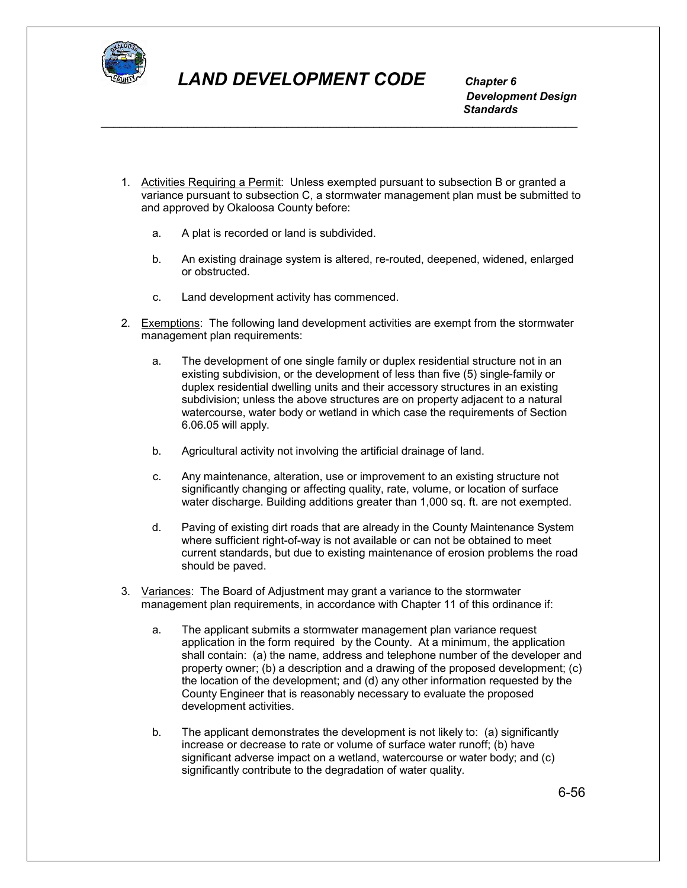

 *Development Design Standards*

1. Activities Requiring a Permit: Unless exempted pursuant to subsection B or granted a variance pursuant to subsection C, a stormwater management plan must be submitted to and approved by Okaloosa County before:

\_\_\_\_\_\_\_\_\_\_\_\_\_\_\_\_\_\_\_\_\_\_\_\_\_\_\_\_\_\_\_\_\_\_\_\_\_\_\_\_\_\_\_\_\_\_\_\_\_\_\_\_\_\_\_\_\_\_\_\_\_\_\_\_\_\_\_\_\_\_\_\_\_\_\_\_\_

- a. A plat is recorded or land is subdivided.
- b. An existing drainage system is altered, re-routed, deepened, widened, enlarged or obstructed.
- c. Land development activity has commenced.
- 2. Exemptions: The following land development activities are exempt from the stormwater management plan requirements:
	- a. The development of one single family or duplex residential structure not in an existing subdivision, or the development of less than five (5) single-family or duplex residential dwelling units and their accessory structures in an existing subdivision; unless the above structures are on property adjacent to a natural watercourse, water body or wetland in which case the requirements of Section 6.06.05 will apply.
	- b. Agricultural activity not involving the artificial drainage of land.
	- c. Any maintenance, alteration, use or improvement to an existing structure not significantly changing or affecting quality, rate, volume, or location of surface water discharge. Building additions greater than 1,000 sq. ft. are not exempted.
	- d. Paving of existing dirt roads that are already in the County Maintenance System where sufficient right-of-way is not available or can not be obtained to meet current standards, but due to existing maintenance of erosion problems the road should be paved.
- 3. Variances: The Board of Adjustment may grant a variance to the stormwater management plan requirements, in accordance with Chapter 11 of this ordinance if:
	- a. The applicant submits a stormwater management plan variance request application in the form required by the County. At a minimum, the application shall contain: (a) the name, address and telephone number of the developer and property owner; (b) a description and a drawing of the proposed development; (c) the location of the development; and (d) any other information requested by the County Engineer that is reasonably necessary to evaluate the proposed development activities.
	- b. The applicant demonstrates the development is not likely to: (a) significantly increase or decrease to rate or volume of surface water runoff; (b) have significant adverse impact on a wetland, watercourse or water body; and (c) significantly contribute to the degradation of water quality.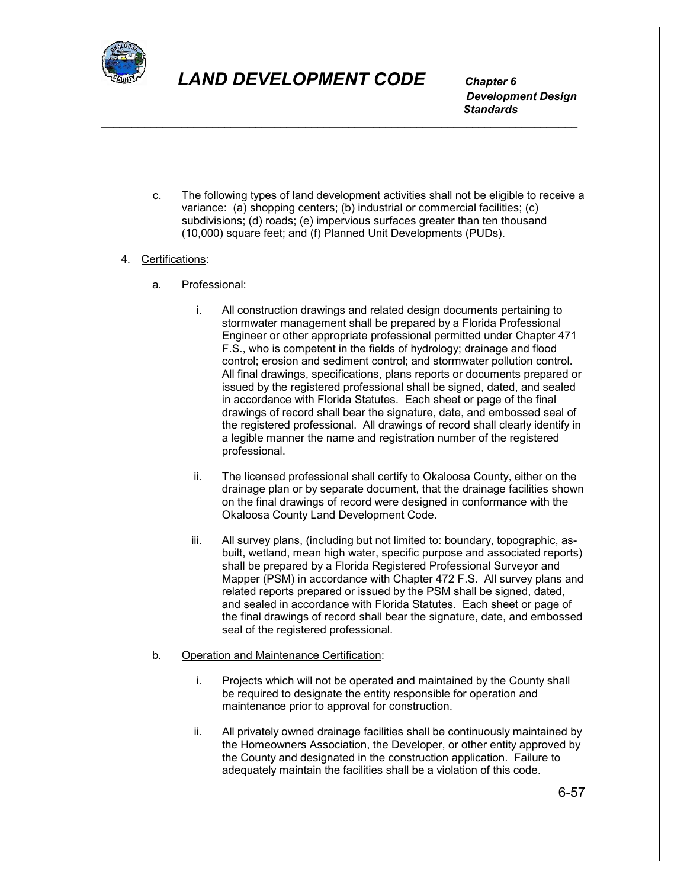

 *Development Design Standards* \_\_\_\_\_\_\_\_\_\_\_\_\_\_\_\_\_\_\_\_\_\_\_\_\_\_\_\_\_\_\_\_\_\_\_\_\_\_\_\_\_\_\_\_\_\_\_\_\_\_\_\_\_\_\_\_\_\_\_\_\_\_\_\_\_\_\_\_\_\_\_\_\_\_\_\_\_

> c. The following types of land development activities shall not be eligible to receive a variance: (a) shopping centers; (b) industrial or commercial facilities; (c) subdivisions; (d) roads; (e) impervious surfaces greater than ten thousand (10,000) square feet; and (f) Planned Unit Developments (PUDs).

### 4. Certifications:

- a. Professional:
	- i. All construction drawings and related design documents pertaining to stormwater management shall be prepared by a Florida Professional Engineer or other appropriate professional permitted under Chapter 471 F.S., who is competent in the fields of hydrology; drainage and flood control; erosion and sediment control; and stormwater pollution control. All final drawings, specifications, plans reports or documents prepared or issued by the registered professional shall be signed, dated, and sealed in accordance with Florida Statutes. Each sheet or page of the final drawings of record shall bear the signature, date, and embossed seal of the registered professional. All drawings of record shall clearly identify in a legible manner the name and registration number of the registered professional.
	- ii. The licensed professional shall certify to Okaloosa County, either on the drainage plan or by separate document, that the drainage facilities shown on the final drawings of record were designed in conformance with the Okaloosa County Land Development Code.
	- iii. All survey plans, (including but not limited to: boundary, topographic, asbuilt, wetland, mean high water, specific purpose and associated reports) shall be prepared by a Florida Registered Professional Surveyor and Mapper (PSM) in accordance with Chapter 472 F.S. All survey plans and related reports prepared or issued by the PSM shall be signed, dated, and sealed in accordance with Florida Statutes. Each sheet or page of the final drawings of record shall bear the signature, date, and embossed seal of the registered professional.

#### b. Operation and Maintenance Certification:

- i. Projects which will not be operated and maintained by the County shall be required to designate the entity responsible for operation and maintenance prior to approval for construction.
- ii. All privately owned drainage facilities shall be continuously maintained by the Homeowners Association, the Developer, or other entity approved by the County and designated in the construction application. Failure to adequately maintain the facilities shall be a violation of this code.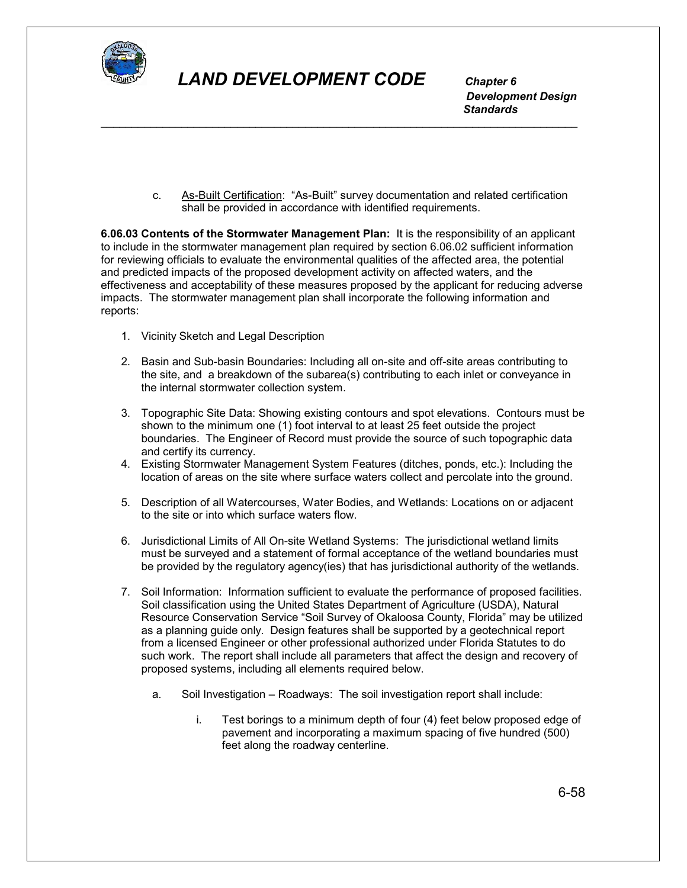

 *Development Design Standards* \_\_\_\_\_\_\_\_\_\_\_\_\_\_\_\_\_\_\_\_\_\_\_\_\_\_\_\_\_\_\_\_\_\_\_\_\_\_\_\_\_\_\_\_\_\_\_\_\_\_\_\_\_\_\_\_\_\_\_\_\_\_\_\_\_\_\_\_\_\_\_\_\_\_\_\_\_

> c. As-Built Certification: "As-Built" survey documentation and related certification shall be provided in accordance with identified requirements.

**6.06.03 Contents of the Stormwater Management Plan:** It is the responsibility of an applicant to include in the stormwater management plan required by section 6.06.02 sufficient information for reviewing officials to evaluate the environmental qualities of the affected area, the potential and predicted impacts of the proposed development activity on affected waters, and the effectiveness and acceptability of these measures proposed by the applicant for reducing adverse impacts. The stormwater management plan shall incorporate the following information and reports:

- 1. Vicinity Sketch and Legal Description
- 2. Basin and Sub-basin Boundaries: Including all on-site and off-site areas contributing to the site, and a breakdown of the subarea(s) contributing to each inlet or conveyance in the internal stormwater collection system.
- 3. Topographic Site Data: Showing existing contours and spot elevations. Contours must be shown to the minimum one (1) foot interval to at least 25 feet outside the project boundaries. The Engineer of Record must provide the source of such topographic data and certify its currency.
- 4. Existing Stormwater Management System Features (ditches, ponds, etc.): Including the location of areas on the site where surface waters collect and percolate into the ground.
- 5. Description of all Watercourses, Water Bodies, and Wetlands: Locations on or adjacent to the site or into which surface waters flow.
- 6. Jurisdictional Limits of All On-site Wetland Systems: The jurisdictional wetland limits must be surveyed and a statement of formal acceptance of the wetland boundaries must be provided by the regulatory agency(ies) that has jurisdictional authority of the wetlands.
- 7. Soil Information: Information sufficient to evaluate the performance of proposed facilities. Soil classification using the United States Department of Agriculture (USDA), Natural Resource Conservation Service "Soil Survey of Okaloosa County, Florida" may be utilized as a planning guide only. Design features shall be supported by a geotechnical report from a licensed Engineer or other professional authorized under Florida Statutes to do such work. The report shall include all parameters that affect the design and recovery of proposed systems, including all elements required below.
	- a. Soil Investigation Roadways: The soil investigation report shall include:
		- i. Test borings to a minimum depth of four (4) feet below proposed edge of pavement and incorporating a maximum spacing of five hundred (500) feet along the roadway centerline.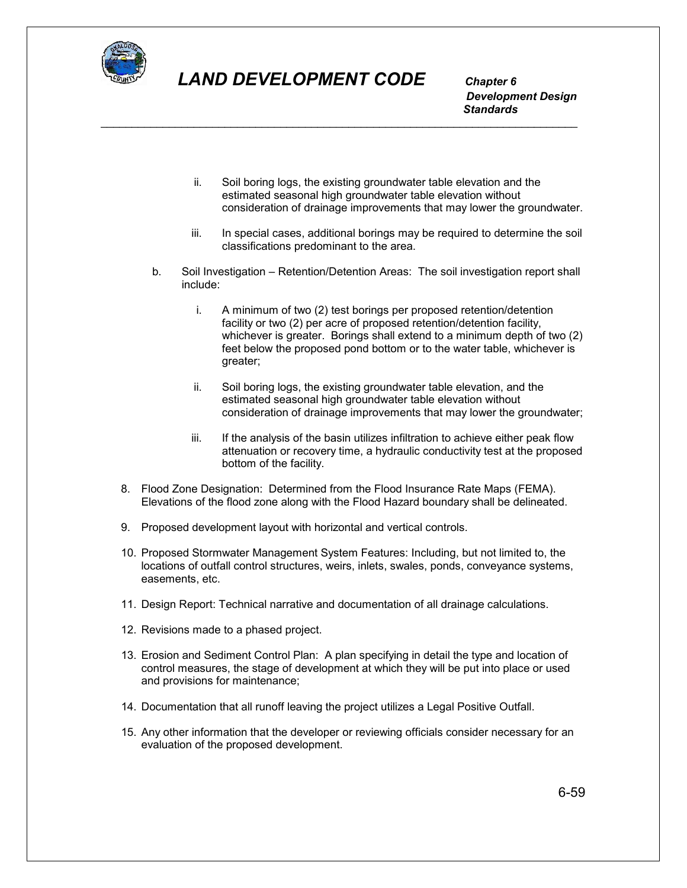

 *Development Design Standards* \_\_\_\_\_\_\_\_\_\_\_\_\_\_\_\_\_\_\_\_\_\_\_\_\_\_\_\_\_\_\_\_\_\_\_\_\_\_\_\_\_\_\_\_\_\_\_\_\_\_\_\_\_\_\_\_\_\_\_\_\_\_\_\_\_\_\_\_\_\_\_\_\_\_\_\_\_

- ii. Soil boring logs, the existing groundwater table elevation and the estimated seasonal high groundwater table elevation without consideration of drainage improvements that may lower the groundwater.
- iii. In special cases, additional borings may be required to determine the soil classifications predominant to the area.
- b. Soil Investigation Retention/Detention Areas: The soil investigation report shall include:
	- i. A minimum of two (2) test borings per proposed retention/detention facility or two (2) per acre of proposed retention/detention facility, whichever is greater. Borings shall extend to a minimum depth of two (2) feet below the proposed pond bottom or to the water table, whichever is greater;
	- ii. Soil boring logs, the existing groundwater table elevation, and the estimated seasonal high groundwater table elevation without consideration of drainage improvements that may lower the groundwater;
	- iii. If the analysis of the basin utilizes infiltration to achieve either peak flow attenuation or recovery time, a hydraulic conductivity test at the proposed bottom of the facility.
- 8. Flood Zone Designation: Determined from the Flood Insurance Rate Maps (FEMA). Elevations of the flood zone along with the Flood Hazard boundary shall be delineated.
- 9. Proposed development layout with horizontal and vertical controls.
- 10. Proposed Stormwater Management System Features: Including, but not limited to, the locations of outfall control structures, weirs, inlets, swales, ponds, conveyance systems, easements, etc.
- 11. Design Report: Technical narrative and documentation of all drainage calculations.
- 12. Revisions made to a phased project.
- 13. Erosion and Sediment Control Plan: A plan specifying in detail the type and location of control measures, the stage of development at which they will be put into place or used and provisions for maintenance;
- 14. Documentation that all runoff leaving the project utilizes a Legal Positive Outfall.
- 15. Any other information that the developer or reviewing officials consider necessary for an evaluation of the proposed development.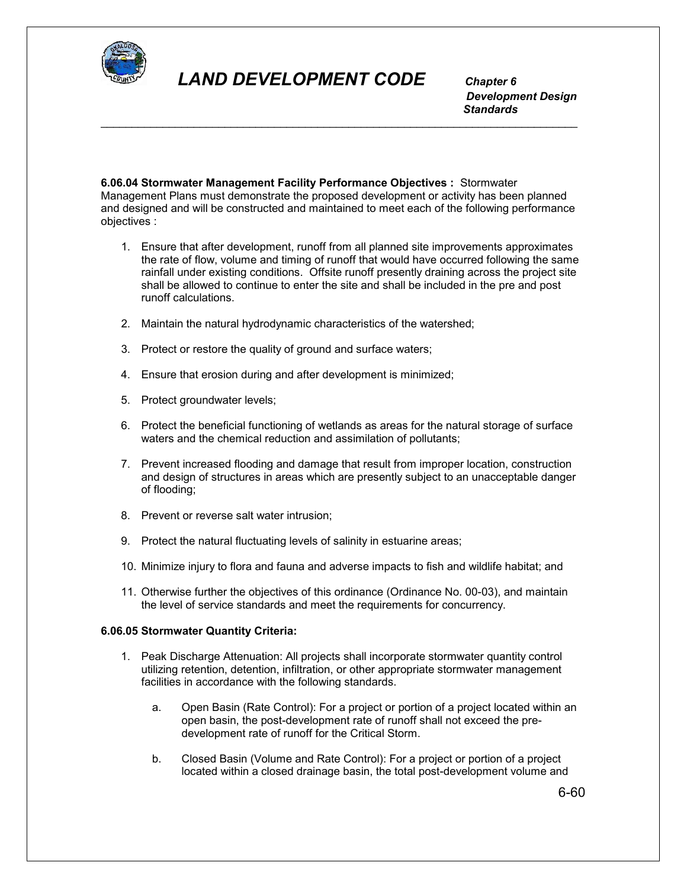

 *Development Design Standards*

**6.06.04 Stormwater Management Facility Performance Objectives :** Stormwater Management Plans must demonstrate the proposed development or activity has been planned and designed and will be constructed and maintained to meet each of the following performance objectives :

\_\_\_\_\_\_\_\_\_\_\_\_\_\_\_\_\_\_\_\_\_\_\_\_\_\_\_\_\_\_\_\_\_\_\_\_\_\_\_\_\_\_\_\_\_\_\_\_\_\_\_\_\_\_\_\_\_\_\_\_\_\_\_\_\_\_\_\_\_\_\_\_\_\_\_\_\_

- 1. Ensure that after development, runoff from all planned site improvements approximates the rate of flow, volume and timing of runoff that would have occurred following the same rainfall under existing conditions. Offsite runoff presently draining across the project site shall be allowed to continue to enter the site and shall be included in the pre and post runoff calculations.
- 2. Maintain the natural hydrodynamic characteristics of the watershed;
- 3. Protect or restore the quality of ground and surface waters;
- 4. Ensure that erosion during and after development is minimized;
- 5. Protect groundwater levels;
- 6. Protect the beneficial functioning of wetlands as areas for the natural storage of surface waters and the chemical reduction and assimilation of pollutants;
- 7. Prevent increased flooding and damage that result from improper location, construction and design of structures in areas which are presently subject to an unacceptable danger of flooding;
- 8. Prevent or reverse salt water intrusion;
- 9. Protect the natural fluctuating levels of salinity in estuarine areas;
- 10. Minimize injury to flora and fauna and adverse impacts to fish and wildlife habitat; and
- 11. Otherwise further the objectives of this ordinance (Ordinance No. 00-03), and maintain the level of service standards and meet the requirements for concurrency.

#### **6.06.05 Stormwater Quantity Criteria:**

- 1. Peak Discharge Attenuation: All projects shall incorporate stormwater quantity control utilizing retention, detention, infiltration, or other appropriate stormwater management facilities in accordance with the following standards.
	- a. Open Basin (Rate Control): For a project or portion of a project located within an open basin, the post-development rate of runoff shall not exceed the predevelopment rate of runoff for the Critical Storm.
	- b. Closed Basin (Volume and Rate Control): For a project or portion of a project located within a closed drainage basin, the total post-development volume and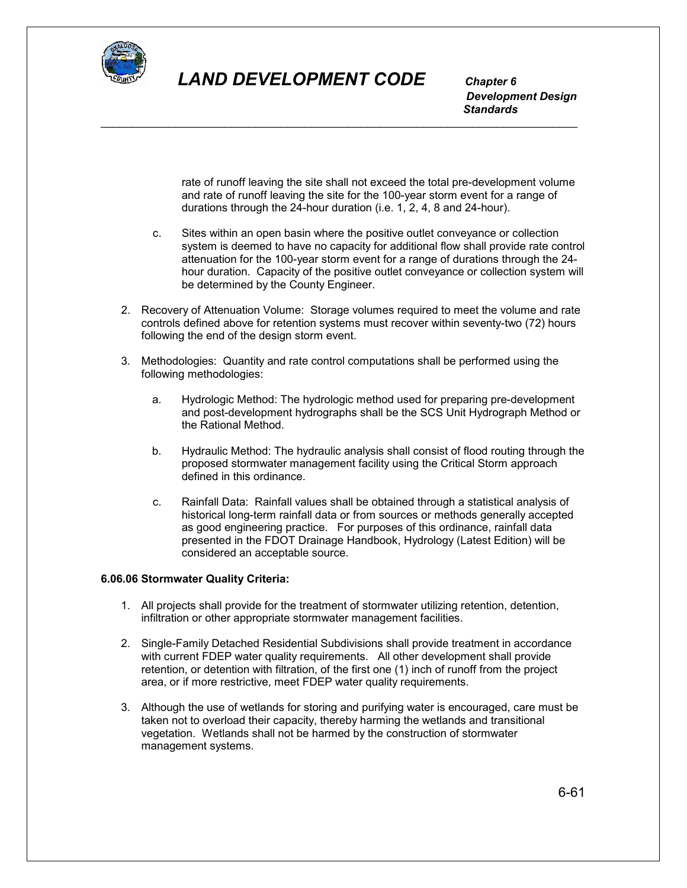

 *Development Design Standards* \_\_\_\_\_\_\_\_\_\_\_\_\_\_\_\_\_\_\_\_\_\_\_\_\_\_\_\_\_\_\_\_\_\_\_\_\_\_\_\_\_\_\_\_\_\_\_\_\_\_\_\_\_\_\_\_\_\_\_\_\_\_\_\_\_\_\_\_\_\_\_\_\_\_\_\_\_

> rate of runoff leaving the site shall not exceed the total pre-development volume and rate of runoff leaving the site for the 100-year storm event for a range of durations through the 24-hour duration (i.e. 1, 2, 4, 8 and 24-hour).

- c. Sites within an open basin where the positive outlet conveyance or collection system is deemed to have no capacity for additional flow shall provide rate control attenuation for the 100-year storm event for a range of durations through the 24 hour duration. Capacity of the positive outlet conveyance or collection system will be determined by the County Engineer.
- 2. Recovery of Attenuation Volume: Storage volumes required to meet the volume and rate controls defined above for retention systems must recover within seventy-two (72) hours following the end of the design storm event.
- 3. Methodologies: Quantity and rate control computations shall be performed using the following methodologies:
	- a. Hydrologic Method: The hydrologic method used for preparing pre-development and post-development hydrographs shall be the SCS Unit Hydrograph Method or the Rational Method.
	- b. Hydraulic Method: The hydraulic analysis shall consist of flood routing through the proposed stormwater management facility using the Critical Storm approach defined in this ordinance.
	- c. Rainfall Data: Rainfall values shall be obtained through a statistical analysis of historical long-term rainfall data or from sources or methods generally accepted as good engineering practice. For purposes of this ordinance, rainfall data presented in the FDOT Drainage Handbook, Hydrology (Latest Edition) will be considered an acceptable source.

#### **6.06.06 Stormwater Quality Criteria:**

- 1. All projects shall provide for the treatment of stormwater utilizing retention, detention, infiltration or other appropriate stormwater management facilities.
- 2. Single-Family Detached Residential Subdivisions shall provide treatment in accordance with current FDEP water quality requirements. All other development shall provide retention, or detention with filtration, of the first one (1) inch of runoff from the project area, or if more restrictive, meet FDEP water quality requirements.
- 3. Although the use of wetlands for storing and purifying water is encouraged, care must be taken not to overload their capacity, thereby harming the wetlands and transitional vegetation. Wetlands shall not be harmed by the construction of stormwater management systems.

6-61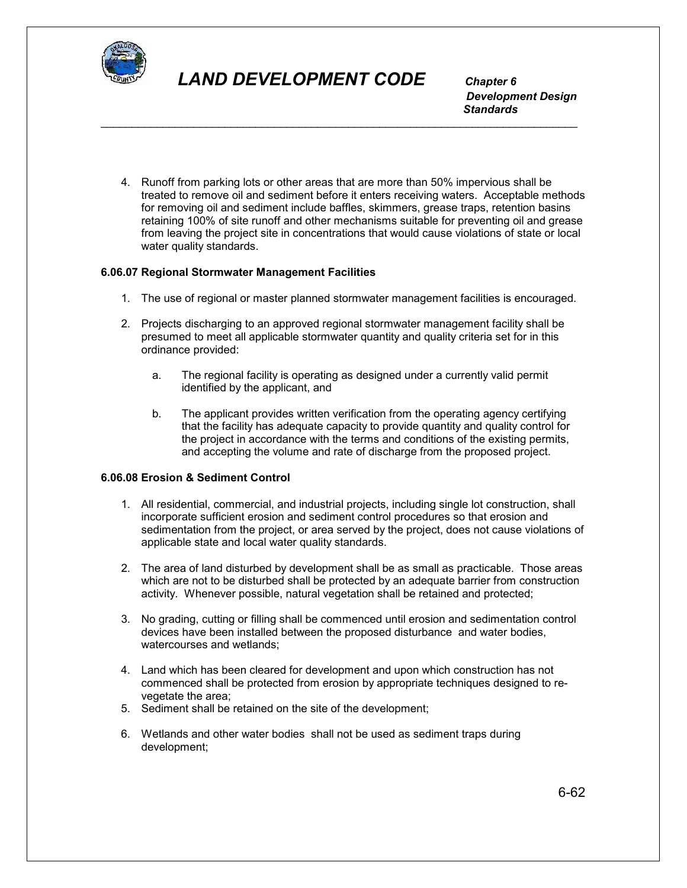

 *Development Design Standards*

4. Runoff from parking lots or other areas that are more than 50% impervious shall be treated to remove oil and sediment before it enters receiving waters. Acceptable methods for removing oil and sediment include baffles, skimmers, grease traps, retention basins retaining 100% of site runoff and other mechanisms suitable for preventing oil and grease from leaving the project site in concentrations that would cause violations of state or local water quality standards.

\_\_\_\_\_\_\_\_\_\_\_\_\_\_\_\_\_\_\_\_\_\_\_\_\_\_\_\_\_\_\_\_\_\_\_\_\_\_\_\_\_\_\_\_\_\_\_\_\_\_\_\_\_\_\_\_\_\_\_\_\_\_\_\_\_\_\_\_\_\_\_\_\_\_\_\_\_

### **6.06.07 Regional Stormwater Management Facilities**

- 1. The use of regional or master planned stormwater management facilities is encouraged.
- 2. Projects discharging to an approved regional stormwater management facility shall be presumed to meet all applicable stormwater quantity and quality criteria set for in this ordinance provided:
	- a. The regional facility is operating as designed under a currently valid permit identified by the applicant, and
	- b. The applicant provides written verification from the operating agency certifying that the facility has adequate capacity to provide quantity and quality control for the project in accordance with the terms and conditions of the existing permits, and accepting the volume and rate of discharge from the proposed project.

### **6.06.08 Erosion & Sediment Control**

- 1. All residential, commercial, and industrial projects, including single lot construction, shall incorporate sufficient erosion and sediment control procedures so that erosion and sedimentation from the project, or area served by the project, does not cause violations of applicable state and local water quality standards.
- 2. The area of land disturbed by development shall be as small as practicable. Those areas which are not to be disturbed shall be protected by an adequate barrier from construction activity. Whenever possible, natural vegetation shall be retained and protected;
- 3. No grading, cutting or filling shall be commenced until erosion and sedimentation control devices have been installed between the proposed disturbance and water bodies, watercourses and wetlands;
- 4. Land which has been cleared for development and upon which construction has not commenced shall be protected from erosion by appropriate techniques designed to revegetate the area;
- 5. Sediment shall be retained on the site of the development;
- 6. Wetlands and other water bodies shall not be used as sediment traps during development;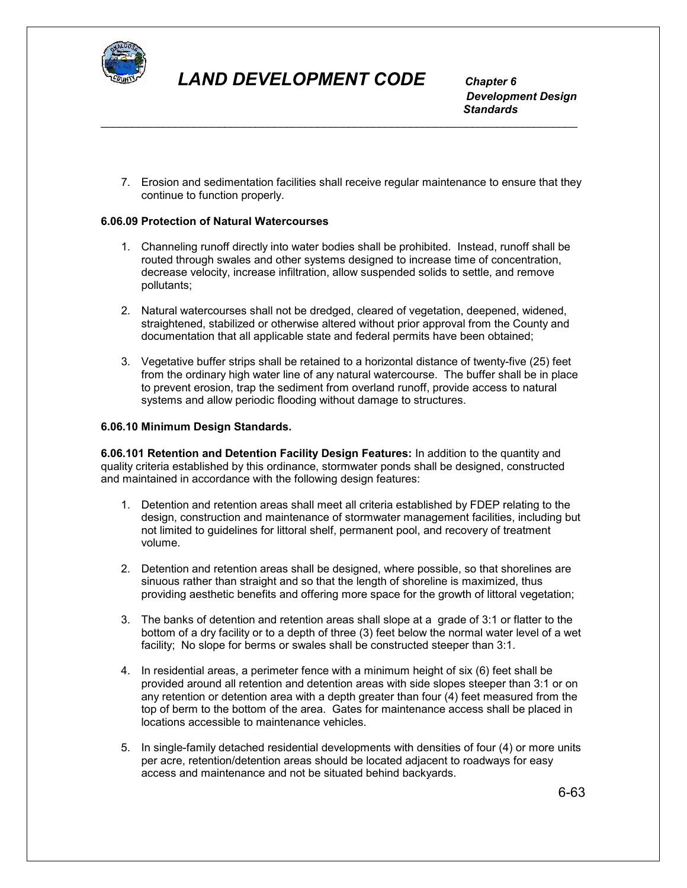

 *Development Design Standards* \_\_\_\_\_\_\_\_\_\_\_\_\_\_\_\_\_\_\_\_\_\_\_\_\_\_\_\_\_\_\_\_\_\_\_\_\_\_\_\_\_\_\_\_\_\_\_\_\_\_\_\_\_\_\_\_\_\_\_\_\_\_\_\_\_\_\_\_\_\_\_\_\_\_\_\_\_

7. Erosion and sedimentation facilities shall receive regular maintenance to ensure that they continue to function properly.

#### **6.06.09 Protection of Natural Watercourses**

- 1. Channeling runoff directly into water bodies shall be prohibited. Instead, runoff shall be routed through swales and other systems designed to increase time of concentration, decrease velocity, increase infiltration, allow suspended solids to settle, and remove pollutants;
- 2. Natural watercourses shall not be dredged, cleared of vegetation, deepened, widened, straightened, stabilized or otherwise altered without prior approval from the County and documentation that all applicable state and federal permits have been obtained;
- 3. Vegetative buffer strips shall be retained to a horizontal distance of twenty-five (25) feet from the ordinary high water line of any natural watercourse. The buffer shall be in place to prevent erosion, trap the sediment from overland runoff, provide access to natural systems and allow periodic flooding without damage to structures.

#### **6.06.10 Minimum Design Standards.**

**6.06.101 Retention and Detention Facility Design Features:** In addition to the quantity and quality criteria established by this ordinance, stormwater ponds shall be designed, constructed and maintained in accordance with the following design features:

- 1. Detention and retention areas shall meet all criteria established by FDEP relating to the design, construction and maintenance of stormwater management facilities, including but not limited to guidelines for littoral shelf, permanent pool, and recovery of treatment volume.
- 2. Detention and retention areas shall be designed, where possible, so that shorelines are sinuous rather than straight and so that the length of shoreline is maximized, thus providing aesthetic benefits and offering more space for the growth of littoral vegetation;
- 3. The banks of detention and retention areas shall slope at a grade of 3:1 or flatter to the bottom of a dry facility or to a depth of three (3) feet below the normal water level of a wet facility; No slope for berms or swales shall be constructed steeper than 3:1.
- 4. In residential areas, a perimeter fence with a minimum height of six (6) feet shall be provided around all retention and detention areas with side slopes steeper than 3:1 or on any retention or detention area with a depth greater than four (4) feet measured from the top of berm to the bottom of the area. Gates for maintenance access shall be placed in locations accessible to maintenance vehicles.
- 5. In single-family detached residential developments with densities of four (4) or more units per acre, retention/detention areas should be located adjacent to roadways for easy access and maintenance and not be situated behind backyards.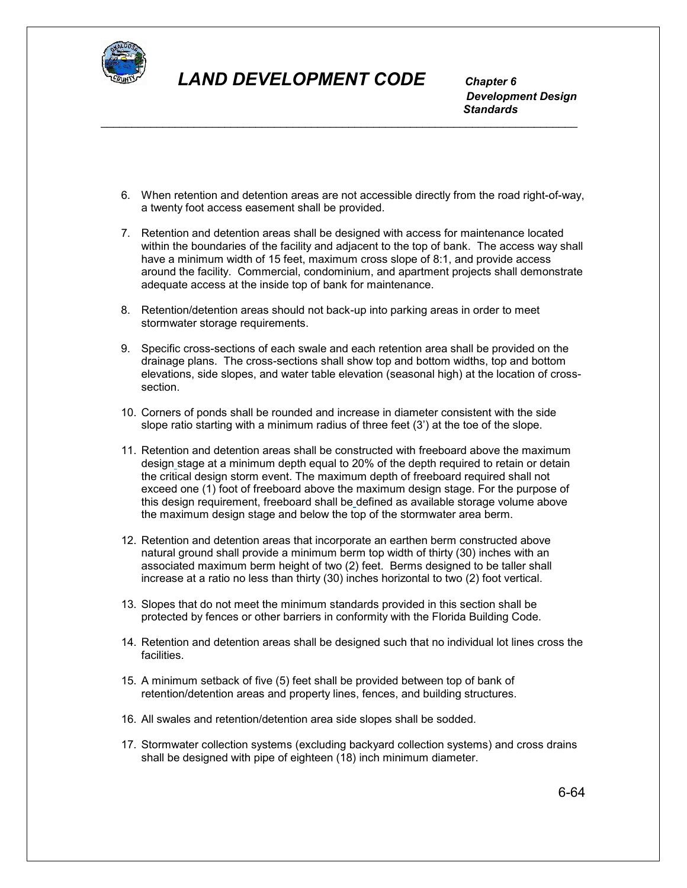

 *Development Design Standards* \_\_\_\_\_\_\_\_\_\_\_\_\_\_\_\_\_\_\_\_\_\_\_\_\_\_\_\_\_\_\_\_\_\_\_\_\_\_\_\_\_\_\_\_\_\_\_\_\_\_\_\_\_\_\_\_\_\_\_\_\_\_\_\_\_\_\_\_\_\_\_\_\_\_\_\_\_

- 6. When retention and detention areas are not accessible directly from the road right-of-way, a twenty foot access easement shall be provided.
- 7. Retention and detention areas shall be designed with access for maintenance located within the boundaries of the facility and adjacent to the top of bank. The access way shall have a minimum width of 15 feet, maximum cross slope of 8:1, and provide access around the facility. Commercial, condominium, and apartment projects shall demonstrate adequate access at the inside top of bank for maintenance.
- 8. Retention/detention areas should not back-up into parking areas in order to meet stormwater storage requirements.
- 9. Specific cross-sections of each swale and each retention area shall be provided on the drainage plans. The cross-sections shall show top and bottom widths, top and bottom elevations, side slopes, and water table elevation (seasonal high) at the location of crosssection.
- 10. Corners of ponds shall be rounded and increase in diameter consistent with the side slope ratio starting with a minimum radius of three feet (3') at the toe of the slope.
- 11. Retention and detention areas shall be constructed with freeboard above the maximum design stage at a minimum depth equal to 20% of the depth required to retain or detain the critical design storm event. The maximum depth of freeboard required shall not exceed one (1) foot of freeboard above the maximum design stage. For the purpose of this design requirement, freeboard shall be defined as available storage volume above the maximum design stage and below the top of the stormwater area berm.
- 12. Retention and detention areas that incorporate an earthen berm constructed above natural ground shall provide a minimum berm top width of thirty (30) inches with an associated maximum berm height of two (2) feet. Berms designed to be taller shall increase at a ratio no less than thirty (30) inches horizontal to two (2) foot vertical.
- 13. Slopes that do not meet the minimum standards provided in this section shall be protected by fences or other barriers in conformity with the Florida Building Code.
- 14. Retention and detention areas shall be designed such that no individual lot lines cross the facilities.
- 15. A minimum setback of five (5) feet shall be provided between top of bank of retention/detention areas and property lines, fences, and building structures.
- 16. All swales and retention/detention area side slopes shall be sodded.
- 17. Stormwater collection systems (excluding backyard collection systems) and cross drains shall be designed with pipe of eighteen (18) inch minimum diameter.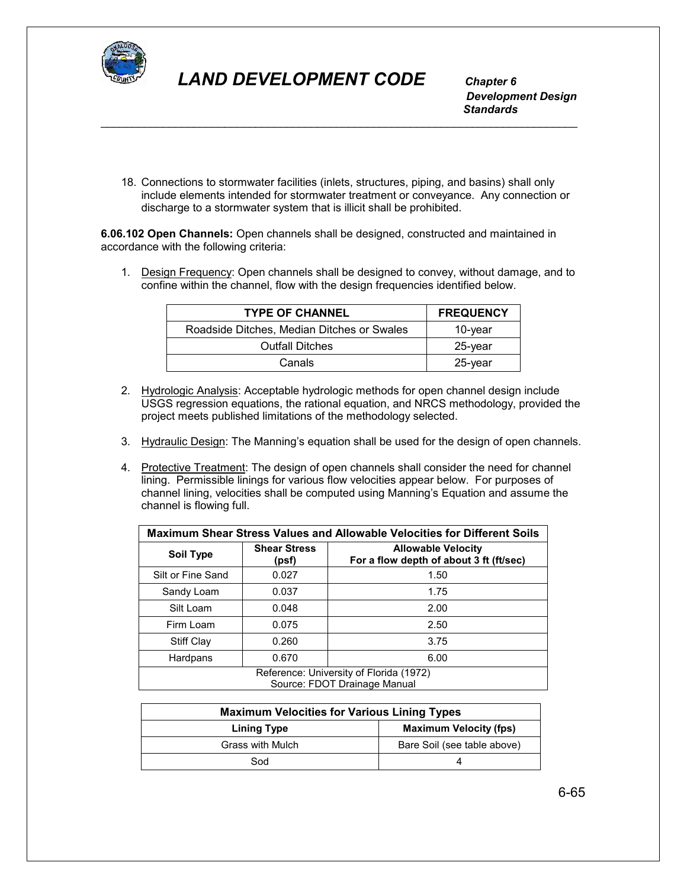

 *Development Design Standards* \_\_\_\_\_\_\_\_\_\_\_\_\_\_\_\_\_\_\_\_\_\_\_\_\_\_\_\_\_\_\_\_\_\_\_\_\_\_\_\_\_\_\_\_\_\_\_\_\_\_\_\_\_\_\_\_\_\_\_\_\_\_\_\_\_\_\_\_\_\_\_\_\_\_\_\_\_

18. Connections to stormwater facilities (inlets, structures, piping, and basins) shall only include elements intended for stormwater treatment or conveyance. Any connection or discharge to a stormwater system that is illicit shall be prohibited.

**6.06.102 Open Channels:** Open channels shall be designed, constructed and maintained in accordance with the following criteria:

1. Design Frequency: Open channels shall be designed to convey, without damage, and to confine within the channel, flow with the design frequencies identified below.

| <b>TYPE OF CHANNEL</b>                     | <b>FREQUENCY</b> |
|--------------------------------------------|------------------|
| Roadside Ditches, Median Ditches or Swales | 10-year          |
| <b>Outfall Ditches</b>                     | 25-year          |
| Canals                                     | 25-year          |

- 2. Hydrologic Analysis: Acceptable hydrologic methods for open channel design include USGS regression equations, the rational equation, and NRCS methodology, provided the project meets published limitations of the methodology selected.
- 3. Hydraulic Design: The Manning's equation shall be used for the design of open channels.
- 4. Protective Treatment: The design of open channels shall consider the need for channel lining. Permissible linings for various flow velocities appear below. For purposes of channel lining, velocities shall be computed using Manning's Equation and assume the channel is flowing full.

| <b>Maximum Shear Stress Values and Allowable Velocities for Different Soils</b> |                              |                                                                      |  |
|---------------------------------------------------------------------------------|------------------------------|----------------------------------------------------------------------|--|
| Soil Type                                                                       | <b>Shear Stress</b><br>(psf) | <b>Allowable Velocity</b><br>For a flow depth of about 3 ft (ft/sec) |  |
| Silt or Fine Sand                                                               | 0.027                        | 1.50                                                                 |  |
| Sandy Loam                                                                      | 0.037                        | 1.75                                                                 |  |
| Silt Loam                                                                       | 0.048                        | 2.00                                                                 |  |
| Firm Loam                                                                       | 0.075                        | 2.50                                                                 |  |
| <b>Stiff Clay</b>                                                               | 0.260                        | 3.75                                                                 |  |
| Hardpans                                                                        | 0.670                        | 6.00                                                                 |  |
| Reference: University of Florida (1972)<br>Source: FDOT Drainage Manual         |                              |                                                                      |  |

| <b>Maximum Velocities for Various Lining Types</b> |                               |  |  |
|----------------------------------------------------|-------------------------------|--|--|
| Lining Type                                        | <b>Maximum Velocity (fps)</b> |  |  |
| <b>Grass with Mulch</b>                            | Bare Soil (see table above)   |  |  |
| Sod                                                |                               |  |  |

6-65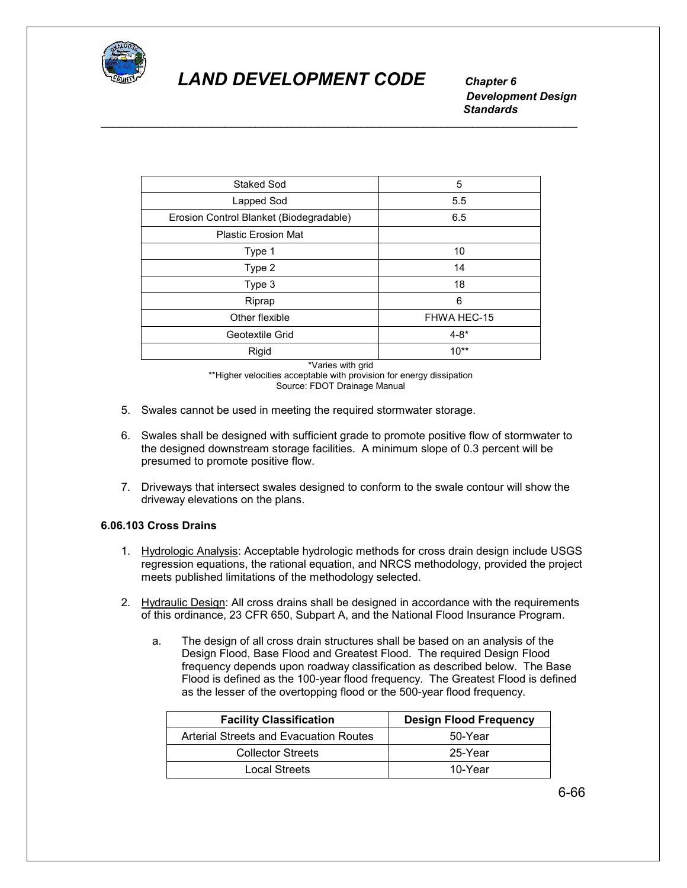

 *Development Design Standards* \_\_\_\_\_\_\_\_\_\_\_\_\_\_\_\_\_\_\_\_\_\_\_\_\_\_\_\_\_\_\_\_\_\_\_\_\_\_\_\_\_\_\_\_\_\_\_\_\_\_\_\_\_\_\_\_\_\_\_\_\_\_\_\_\_\_\_\_\_\_\_\_\_\_\_\_\_

| Staked Sod                              | 5           |
|-----------------------------------------|-------------|
| Lapped Sod                              | 5.5         |
| Erosion Control Blanket (Biodegradable) | 6.5         |
| <b>Plastic Erosion Mat</b>              |             |
| Type 1                                  | 10          |
| Type 2                                  | 14          |
| Type 3                                  | 18          |
| Riprap                                  | 6           |
| Other flexible                          | FHWA HEC-15 |
| Geotextile Grid                         | $4 - 8^*$   |
| Rigid                                   | $10**$      |

\*Varies with grid

\*\*Higher velocities acceptable with provision for energy dissipation Source: FDOT Drainage Manual

- 5. Swales cannot be used in meeting the required stormwater storage.
- 6. Swales shall be designed with sufficient grade to promote positive flow of stormwater to the designed downstream storage facilities. A minimum slope of 0.3 percent will be presumed to promote positive flow.
- 7. Driveways that intersect swales designed to conform to the swale contour will show the driveway elevations on the plans.

### **6.06.103 Cross Drains**

- 1. Hydrologic Analysis: Acceptable hydrologic methods for cross drain design include USGS regression equations, the rational equation, and NRCS methodology, provided the project meets published limitations of the methodology selected.
- 2. Hydraulic Design: All cross drains shall be designed in accordance with the requirements of this ordinance, 23 CFR 650, Subpart A, and the National Flood Insurance Program.
	- a. The design of all cross drain structures shall be based on an analysis of the Design Flood, Base Flood and Greatest Flood. The required Design Flood frequency depends upon roadway classification as described below. The Base Flood is defined as the 100-year flood frequency. The Greatest Flood is defined as the lesser of the overtopping flood or the 500-year flood frequency.

| <b>Facility Classification</b>         | <b>Design Flood Frequency</b> |
|----------------------------------------|-------------------------------|
| Arterial Streets and Evacuation Routes | 50-Year                       |
| <b>Collector Streets</b>               | 25-Year                       |
| Local Streets                          | 10-Year                       |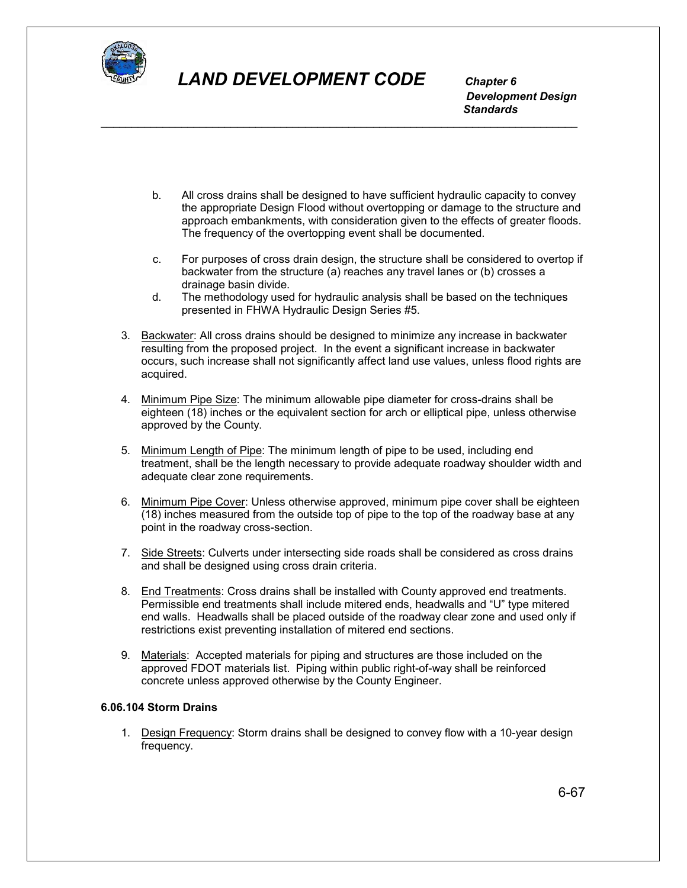

 *Development Design Standards*

> b. All cross drains shall be designed to have sufficient hydraulic capacity to convey the appropriate Design Flood without overtopping or damage to the structure and approach embankments, with consideration given to the effects of greater floods. The frequency of the overtopping event shall be documented.

\_\_\_\_\_\_\_\_\_\_\_\_\_\_\_\_\_\_\_\_\_\_\_\_\_\_\_\_\_\_\_\_\_\_\_\_\_\_\_\_\_\_\_\_\_\_\_\_\_\_\_\_\_\_\_\_\_\_\_\_\_\_\_\_\_\_\_\_\_\_\_\_\_\_\_\_\_

- c. For purposes of cross drain design, the structure shall be considered to overtop if backwater from the structure (a) reaches any travel lanes or (b) crosses a drainage basin divide.
- d. The methodology used for hydraulic analysis shall be based on the techniques presented in FHWA Hydraulic Design Series #5.
- 3. Backwater: All cross drains should be designed to minimize any increase in backwater resulting from the proposed project. In the event a significant increase in backwater occurs, such increase shall not significantly affect land use values, unless flood rights are acquired.
- 4. Minimum Pipe Size: The minimum allowable pipe diameter for cross-drains shall be eighteen (18) inches or the equivalent section for arch or elliptical pipe, unless otherwise approved by the County.
- 5. Minimum Length of Pipe: The minimum length of pipe to be used, including end treatment, shall be the length necessary to provide adequate roadway shoulder width and adequate clear zone requirements.
- 6. Minimum Pipe Cover: Unless otherwise approved, minimum pipe cover shall be eighteen (18) inches measured from the outside top of pipe to the top of the roadway base at any point in the roadway cross-section.
- 7. Side Streets: Culverts under intersecting side roads shall be considered as cross drains and shall be designed using cross drain criteria.
- 8. End Treatments: Cross drains shall be installed with County approved end treatments. Permissible end treatments shall include mitered ends, headwalls and "U" type mitered end walls. Headwalls shall be placed outside of the roadway clear zone and used only if restrictions exist preventing installation of mitered end sections.
- 9. Materials: Accepted materials for piping and structures are those included on the approved FDOT materials list. Piping within public right-of-way shall be reinforced concrete unless approved otherwise by the County Engineer.

### **6.06.104 Storm Drains**

1. Design Frequency: Storm drains shall be designed to convey flow with a 10-year design frequency.

6-67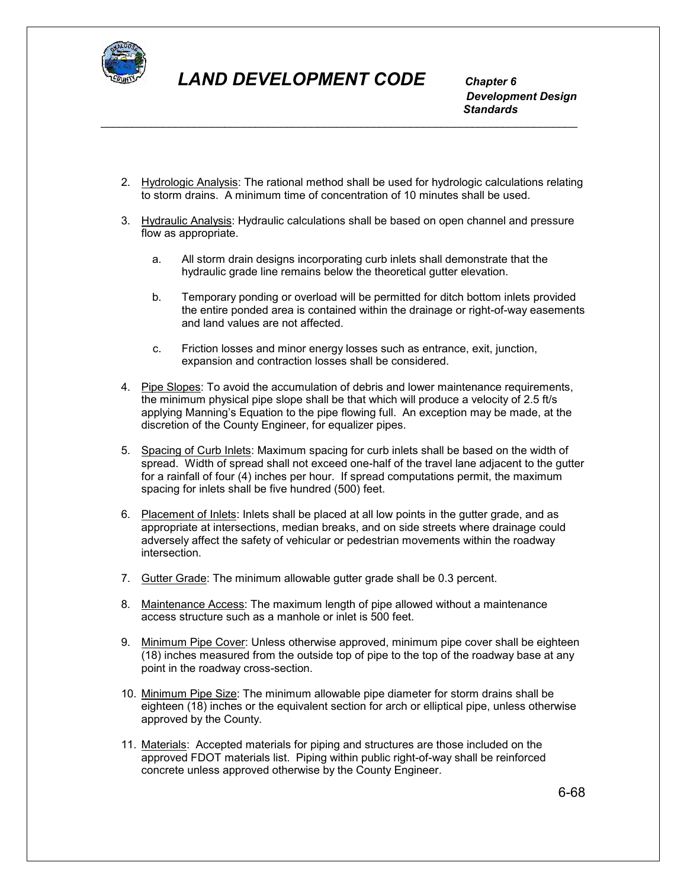

 *Development Design Standards* \_\_\_\_\_\_\_\_\_\_\_\_\_\_\_\_\_\_\_\_\_\_\_\_\_\_\_\_\_\_\_\_\_\_\_\_\_\_\_\_\_\_\_\_\_\_\_\_\_\_\_\_\_\_\_\_\_\_\_\_\_\_\_\_\_\_\_\_\_\_\_\_\_\_\_\_\_

- 2. Hydrologic Analysis: The rational method shall be used for hydrologic calculations relating to storm drains. A minimum time of concentration of 10 minutes shall be used.
- 3. Hydraulic Analysis: Hydraulic calculations shall be based on open channel and pressure flow as appropriate.
	- a. All storm drain designs incorporating curb inlets shall demonstrate that the hydraulic grade line remains below the theoretical gutter elevation.
	- b. Temporary ponding or overload will be permitted for ditch bottom inlets provided the entire ponded area is contained within the drainage or right-of-way easements and land values are not affected.
	- c. Friction losses and minor energy losses such as entrance, exit, junction, expansion and contraction losses shall be considered.
- 4. Pipe Slopes: To avoid the accumulation of debris and lower maintenance requirements, the minimum physical pipe slope shall be that which will produce a velocity of 2.5 ft/s applying Manning's Equation to the pipe flowing full. An exception may be made, at the discretion of the County Engineer, for equalizer pipes.
- 5. Spacing of Curb Inlets: Maximum spacing for curb inlets shall be based on the width of spread. Width of spread shall not exceed one-half of the travel lane adjacent to the gutter for a rainfall of four (4) inches per hour. If spread computations permit, the maximum spacing for inlets shall be five hundred (500) feet.
- 6. Placement of Inlets: Inlets shall be placed at all low points in the gutter grade, and as appropriate at intersections, median breaks, and on side streets where drainage could adversely affect the safety of vehicular or pedestrian movements within the roadway intersection.
- 7. Gutter Grade: The minimum allowable gutter grade shall be 0.3 percent.
- 8. Maintenance Access: The maximum length of pipe allowed without a maintenance access structure such as a manhole or inlet is 500 feet.
- 9. Minimum Pipe Cover: Unless otherwise approved, minimum pipe cover shall be eighteen (18) inches measured from the outside top of pipe to the top of the roadway base at any point in the roadway cross-section.
- 10. Minimum Pipe Size: The minimum allowable pipe diameter for storm drains shall be eighteen (18) inches or the equivalent section for arch or elliptical pipe, unless otherwise approved by the County.
- 11. Materials: Accepted materials for piping and structures are those included on the approved FDOT materials list. Piping within public right-of-way shall be reinforced concrete unless approved otherwise by the County Engineer.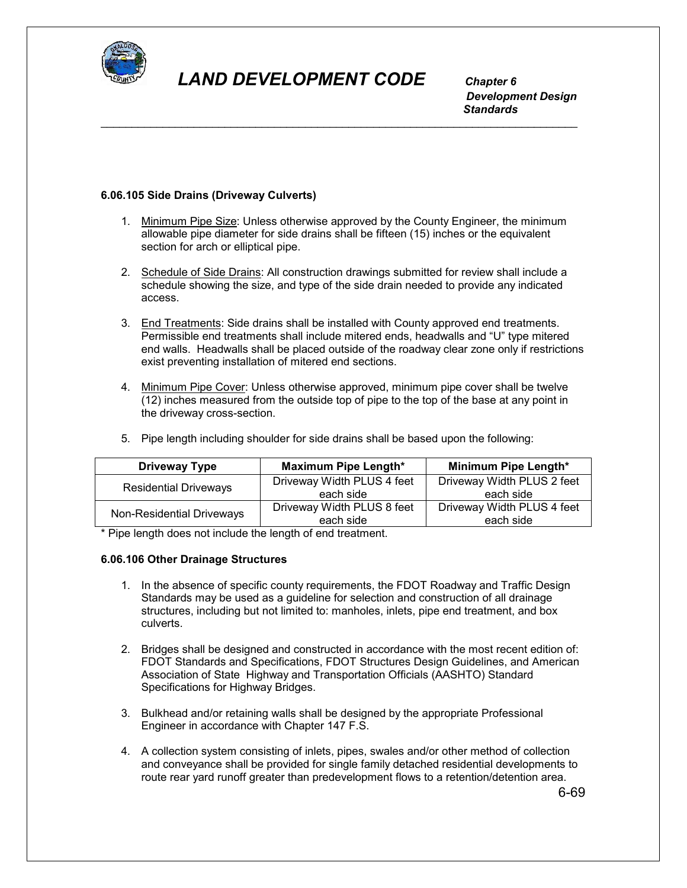

 *Development Design Standards* \_\_\_\_\_\_\_\_\_\_\_\_\_\_\_\_\_\_\_\_\_\_\_\_\_\_\_\_\_\_\_\_\_\_\_\_\_\_\_\_\_\_\_\_\_\_\_\_\_\_\_\_\_\_\_\_\_\_\_\_\_\_\_\_\_\_\_\_\_\_\_\_\_\_\_\_\_

#### **6.06.105 Side Drains (Driveway Culverts)**

- 1. Minimum Pipe Size: Unless otherwise approved by the County Engineer, the minimum allowable pipe diameter for side drains shall be fifteen (15) inches or the equivalent section for arch or elliptical pipe.
- 2. Schedule of Side Drains: All construction drawings submitted for review shall include a schedule showing the size, and type of the side drain needed to provide any indicated access.
- 3. End Treatments: Side drains shall be installed with County approved end treatments. Permissible end treatments shall include mitered ends, headwalls and "U" type mitered end walls. Headwalls shall be placed outside of the roadway clear zone only if restrictions exist preventing installation of mitered end sections.
- 4. Minimum Pipe Cover: Unless otherwise approved, minimum pipe cover shall be twelve (12) inches measured from the outside top of pipe to the top of the base at any point in the driveway cross-section.

| <b>Driveway Type</b>         | Maximum Pipe Length*                    | Minimum Pipe Length*                    |  |
|------------------------------|-----------------------------------------|-----------------------------------------|--|
| <b>Residential Driveways</b> | Driveway Width PLUS 4 feet<br>each side | Driveway Width PLUS 2 feet<br>each side |  |
| Non-Residential Driveways    | Driveway Width PLUS 8 feet<br>each side | Driveway Width PLUS 4 feet<br>each side |  |

5. Pipe length including shoulder for side drains shall be based upon the following:

\* Pipe length does not include the length of end treatment.

#### **6.06.106 Other Drainage Structures**

- 1. In the absence of specific county requirements, the FDOT Roadway and Traffic Design Standards may be used as a guideline for selection and construction of all drainage structures, including but not limited to: manholes, inlets, pipe end treatment, and box culverts.
- 2. Bridges shall be designed and constructed in accordance with the most recent edition of: FDOT Standards and Specifications, FDOT Structures Design Guidelines, and American Association of State Highway and Transportation Officials (AASHTO) Standard Specifications for Highway Bridges.
- 3. Bulkhead and/or retaining walls shall be designed by the appropriate Professional Engineer in accordance with Chapter 147 F.S.
- 4. A collection system consisting of inlets, pipes, swales and/or other method of collection and conveyance shall be provided for single family detached residential developments to route rear yard runoff greater than predevelopment flows to a retention/detention area.

6-69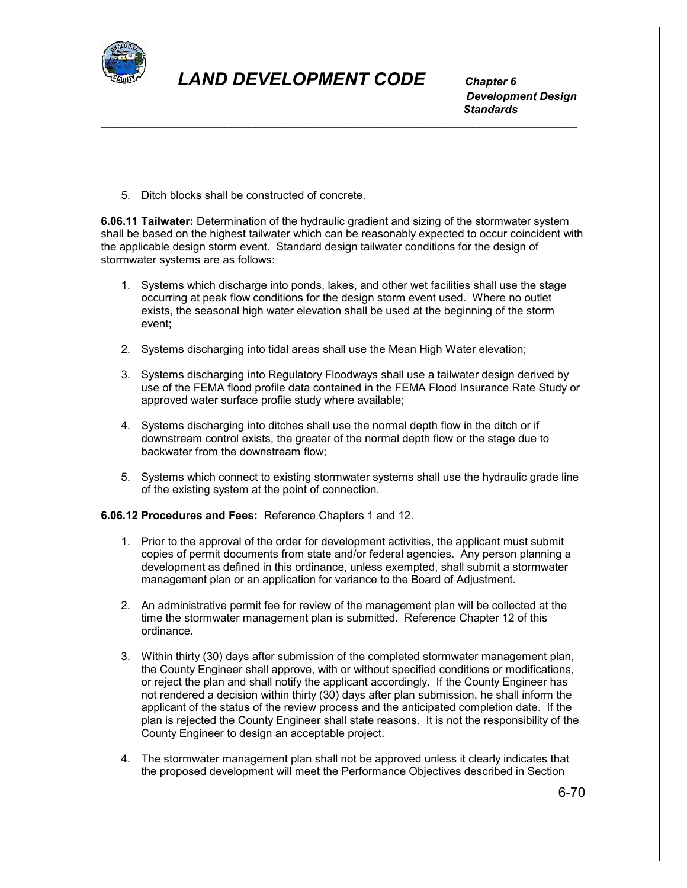

 *Development Design Standards* \_\_\_\_\_\_\_\_\_\_\_\_\_\_\_\_\_\_\_\_\_\_\_\_\_\_\_\_\_\_\_\_\_\_\_\_\_\_\_\_\_\_\_\_\_\_\_\_\_\_\_\_\_\_\_\_\_\_\_\_\_\_\_\_\_\_\_\_\_\_\_\_\_\_\_\_\_

5. Ditch blocks shall be constructed of concrete.

**6.06.11 Tailwater:** Determination of the hydraulic gradient and sizing of the stormwater system shall be based on the highest tailwater which can be reasonably expected to occur coincident with the applicable design storm event. Standard design tailwater conditions for the design of stormwater systems are as follows:

- 1. Systems which discharge into ponds, lakes, and other wet facilities shall use the stage occurring at peak flow conditions for the design storm event used. Where no outlet exists, the seasonal high water elevation shall be used at the beginning of the storm event;
- 2. Systems discharging into tidal areas shall use the Mean High Water elevation;
- 3. Systems discharging into Regulatory Floodways shall use a tailwater design derived by use of the FEMA flood profile data contained in the FEMA Flood Insurance Rate Study or approved water surface profile study where available;
- 4. Systems discharging into ditches shall use the normal depth flow in the ditch or if downstream control exists, the greater of the normal depth flow or the stage due to backwater from the downstream flow;
- 5. Systems which connect to existing stormwater systems shall use the hydraulic grade line of the existing system at the point of connection.

#### **6.06.12 Procedures and Fees:** Reference Chapters 1 and 12.

- 1. Prior to the approval of the order for development activities, the applicant must submit copies of permit documents from state and/or federal agencies. Any person planning a development as defined in this ordinance, unless exempted, shall submit a stormwater management plan or an application for variance to the Board of Adjustment.
- 2. An administrative permit fee for review of the management plan will be collected at the time the stormwater management plan is submitted. Reference Chapter 12 of this ordinance.
- 3. Within thirty (30) days after submission of the completed stormwater management plan, the County Engineer shall approve, with or without specified conditions or modifications, or reject the plan and shall notify the applicant accordingly. If the County Engineer has not rendered a decision within thirty (30) days after plan submission, he shall inform the applicant of the status of the review process and the anticipated completion date. If the plan is rejected the County Engineer shall state reasons. It is not the responsibility of the County Engineer to design an acceptable project.
- 4. The stormwater management plan shall not be approved unless it clearly indicates that the proposed development will meet the Performance Objectives described in Section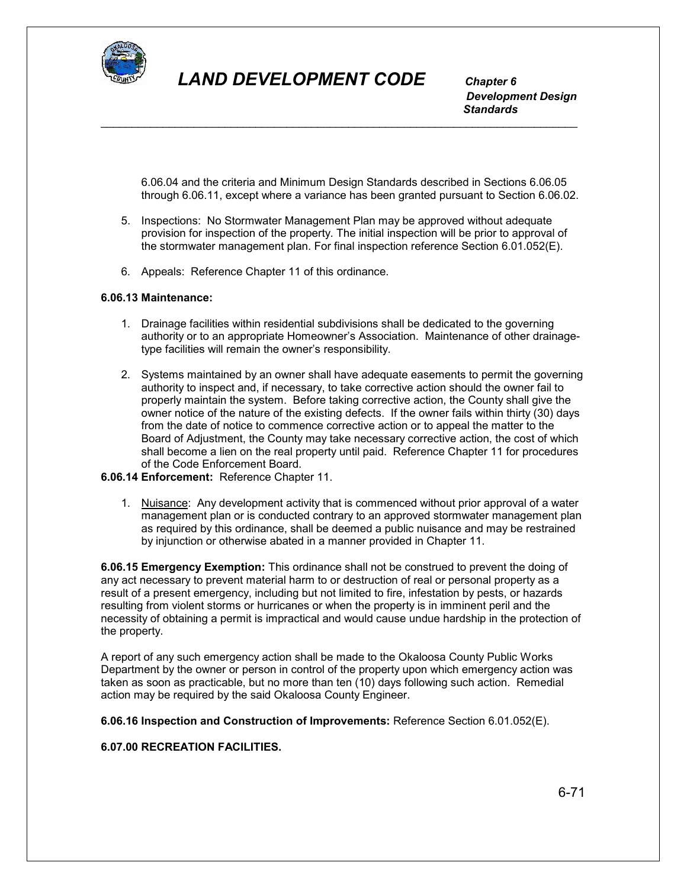

 *Development Design Standards*

6.06.04 and the criteria and Minimum Design Standards described in Sections 6.06.05 through 6.06.11, except where a variance has been granted pursuant to Section 6.06.02.

5. Inspections: No Stormwater Management Plan may be approved without adequate provision for inspection of the property. The initial inspection will be prior to approval of the stormwater management plan. For final inspection reference Section 6.01.052(E).

\_\_\_\_\_\_\_\_\_\_\_\_\_\_\_\_\_\_\_\_\_\_\_\_\_\_\_\_\_\_\_\_\_\_\_\_\_\_\_\_\_\_\_\_\_\_\_\_\_\_\_\_\_\_\_\_\_\_\_\_\_\_\_\_\_\_\_\_\_\_\_\_\_\_\_\_\_

6. Appeals: Reference Chapter 11 of this ordinance.

#### **6.06.13 Maintenance:**

- 1. Drainage facilities within residential subdivisions shall be dedicated to the governing authority or to an appropriate Homeowner's Association. Maintenance of other drainagetype facilities will remain the owner's responsibility.
- 2. Systems maintained by an owner shall have adequate easements to permit the governing authority to inspect and, if necessary, to take corrective action should the owner fail to properly maintain the system. Before taking corrective action, the County shall give the owner notice of the nature of the existing defects. If the owner fails within thirty (30) days from the date of notice to commence corrective action or to appeal the matter to the Board of Adjustment, the County may take necessary corrective action, the cost of which shall become a lien on the real property until paid. Reference Chapter 11 for procedures of the Code Enforcement Board.
- **6.06.14 Enforcement:** Reference Chapter 11.
	- 1. Nuisance: Any development activity that is commenced without prior approval of a water management plan or is conducted contrary to an approved stormwater management plan as required by this ordinance, shall be deemed a public nuisance and may be restrained by injunction or otherwise abated in a manner provided in Chapter 11.

**6.06.15 Emergency Exemption:** This ordinance shall not be construed to prevent the doing of any act necessary to prevent material harm to or destruction of real or personal property as a result of a present emergency, including but not limited to fire, infestation by pests, or hazards resulting from violent storms or hurricanes or when the property is in imminent peril and the necessity of obtaining a permit is impractical and would cause undue hardship in the protection of the property.

A report of any such emergency action shall be made to the Okaloosa County Public Works Department by the owner or person in control of the property upon which emergency action was taken as soon as practicable, but no more than ten (10) days following such action. Remedial action may be required by the said Okaloosa County Engineer.

**6.06.16 Inspection and Construction of Improvements:** Reference Section 6.01.052(E).

### **6.07.00 RECREATION FACILITIES.**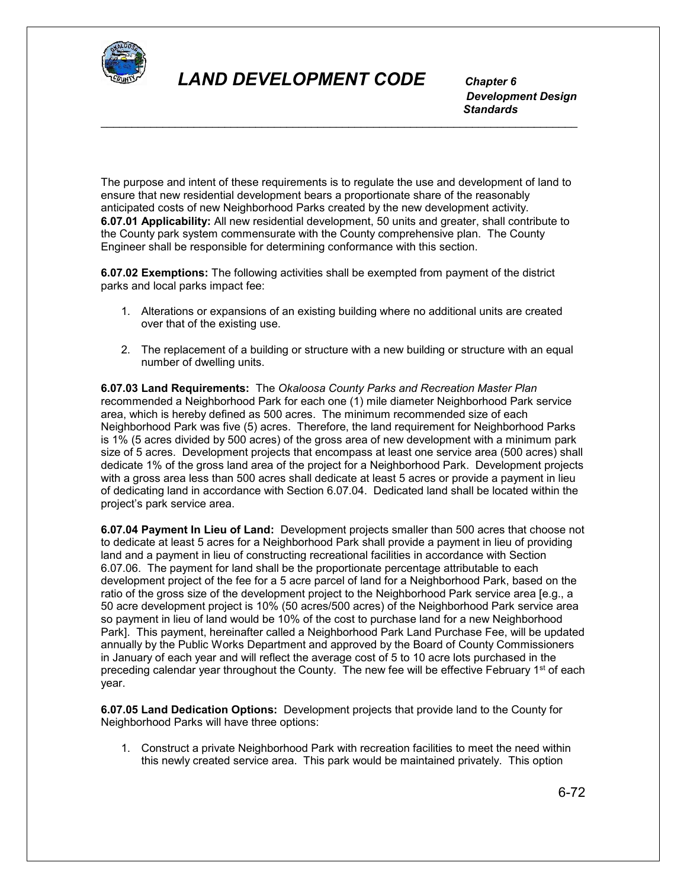

 *Development Design Standards* \_\_\_\_\_\_\_\_\_\_\_\_\_\_\_\_\_\_\_\_\_\_\_\_\_\_\_\_\_\_\_\_\_\_\_\_\_\_\_\_\_\_\_\_\_\_\_\_\_\_\_\_\_\_\_\_\_\_\_\_\_\_\_\_\_\_\_\_\_\_\_\_\_\_\_\_\_

The purpose and intent of these requirements is to regulate the use and development of land to ensure that new residential development bears a proportionate share of the reasonably anticipated costs of new Neighborhood Parks created by the new development activity. **6.07.01 Applicability:** All new residential development, 50 units and greater, shall contribute to the County park system commensurate with the County comprehensive plan. The County Engineer shall be responsible for determining conformance with this section.

**6.07.02 Exemptions:** The following activities shall be exempted from payment of the district parks and local parks impact fee:

- 1. Alterations or expansions of an existing building where no additional units are created over that of the existing use.
- 2. The replacement of a building or structure with a new building or structure with an equal number of dwelling units.

**6.07.03 Land Requirements:** The *Okaloosa County Parks and Recreation Master Plan* recommended a Neighborhood Park for each one (1) mile diameter Neighborhood Park service area, which is hereby defined as 500 acres. The minimum recommended size of each Neighborhood Park was five (5) acres. Therefore, the land requirement for Neighborhood Parks is 1% (5 acres divided by 500 acres) of the gross area of new development with a minimum park size of 5 acres. Development projects that encompass at least one service area (500 acres) shall dedicate 1% of the gross land area of the project for a Neighborhood Park. Development projects with a gross area less than 500 acres shall dedicate at least 5 acres or provide a payment in lieu of dedicating land in accordance with Section 6.07.04. Dedicated land shall be located within the project's park service area.

**6.07.04 Payment In Lieu of Land:** Development projects smaller than 500 acres that choose not to dedicate at least 5 acres for a Neighborhood Park shall provide a payment in lieu of providing land and a payment in lieu of constructing recreational facilities in accordance with Section 6.07.06. The payment for land shall be the proportionate percentage attributable to each development project of the fee for a 5 acre parcel of land for a Neighborhood Park, based on the ratio of the gross size of the development project to the Neighborhood Park service area [e.g., a 50 acre development project is 10% (50 acres/500 acres) of the Neighborhood Park service area so payment in lieu of land would be 10% of the cost to purchase land for a new Neighborhood Park]. This payment, hereinafter called a Neighborhood Park Land Purchase Fee, will be updated annually by the Public Works Department and approved by the Board of County Commissioners in January of each year and will reflect the average cost of 5 to 10 acre lots purchased in the preceding calendar year throughout the County. The new fee will be effective February 1<sup>st</sup> of each year.

**6.07.05 Land Dedication Options:** Development projects that provide land to the County for Neighborhood Parks will have three options:

1. Construct a private Neighborhood Park with recreation facilities to meet the need within this newly created service area. This park would be maintained privately. This option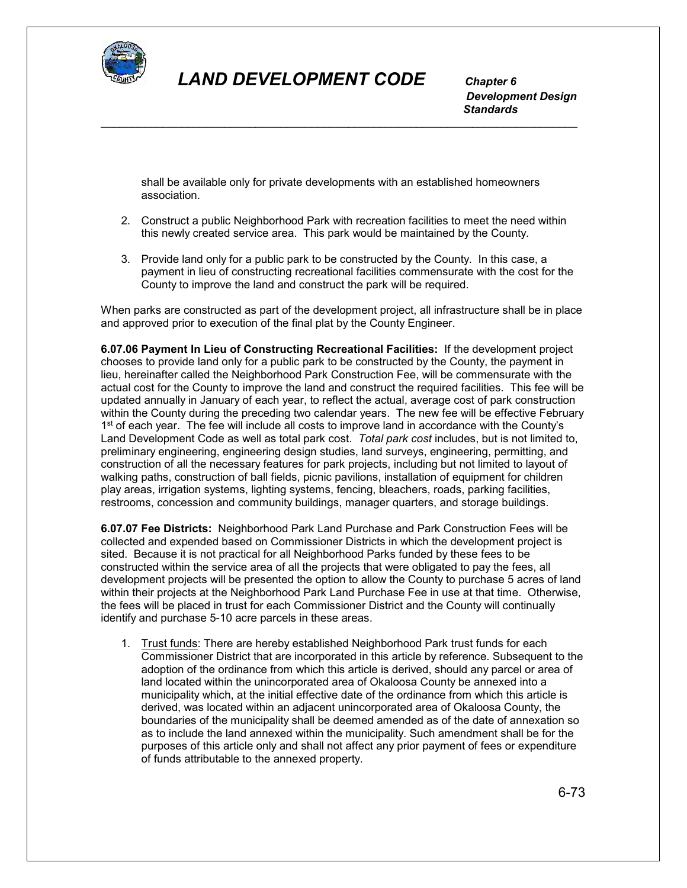

 *Development Design Standards* \_\_\_\_\_\_\_\_\_\_\_\_\_\_\_\_\_\_\_\_\_\_\_\_\_\_\_\_\_\_\_\_\_\_\_\_\_\_\_\_\_\_\_\_\_\_\_\_\_\_\_\_\_\_\_\_\_\_\_\_\_\_\_\_\_\_\_\_\_\_\_\_\_\_\_\_\_

shall be available only for private developments with an established homeowners association.

- 2. Construct a public Neighborhood Park with recreation facilities to meet the need within this newly created service area. This park would be maintained by the County.
- 3. Provide land only for a public park to be constructed by the County. In this case, a payment in lieu of constructing recreational facilities commensurate with the cost for the County to improve the land and construct the park will be required.

When parks are constructed as part of the development project, all infrastructure shall be in place and approved prior to execution of the final plat by the County Engineer.

**6.07.06 Payment In Lieu of Constructing Recreational Facilities:** If the development project chooses to provide land only for a public park to be constructed by the County, the payment in lieu, hereinafter called the Neighborhood Park Construction Fee, will be commensurate with the actual cost for the County to improve the land and construct the required facilities. This fee will be updated annually in January of each year, to reflect the actual, average cost of park construction within the County during the preceding two calendar years. The new fee will be effective February 1<sup>st</sup> of each year. The fee will include all costs to improve land in accordance with the County's Land Development Code as well as total park cost. *Total park cost* includes, but is not limited to, preliminary engineering, engineering design studies, land surveys, engineering, permitting, and construction of all the necessary features for park projects, including but not limited to layout of walking paths, construction of ball fields, picnic pavilions, installation of equipment for children play areas, irrigation systems, lighting systems, fencing, bleachers, roads, parking facilities, restrooms, concession and community buildings, manager quarters, and storage buildings.

**6.07.07 Fee Districts:** Neighborhood Park Land Purchase and Park Construction Fees will be collected and expended based on Commissioner Districts in which the development project is sited. Because it is not practical for all Neighborhood Parks funded by these fees to be constructed within the service area of all the projects that were obligated to pay the fees, all development projects will be presented the option to allow the County to purchase 5 acres of land within their projects at the Neighborhood Park Land Purchase Fee in use at that time. Otherwise, the fees will be placed in trust for each Commissioner District and the County will continually identify and purchase 5-10 acre parcels in these areas.

1. Trust funds: There are hereby established Neighborhood Park trust funds for each Commissioner District that are incorporated in this article by reference. Subsequent to the adoption of the ordinance from which this article is derived, should any parcel or area of land located within the unincorporated area of Okaloosa County be annexed into a municipality which, at the initial effective date of the ordinance from which this article is derived, was located within an adjacent unincorporated area of Okaloosa County, the boundaries of the municipality shall be deemed amended as of the date of annexation so as to include the land annexed within the municipality. Such amendment shall be for the purposes of this article only and shall not affect any prior payment of fees or expenditure of funds attributable to the annexed property.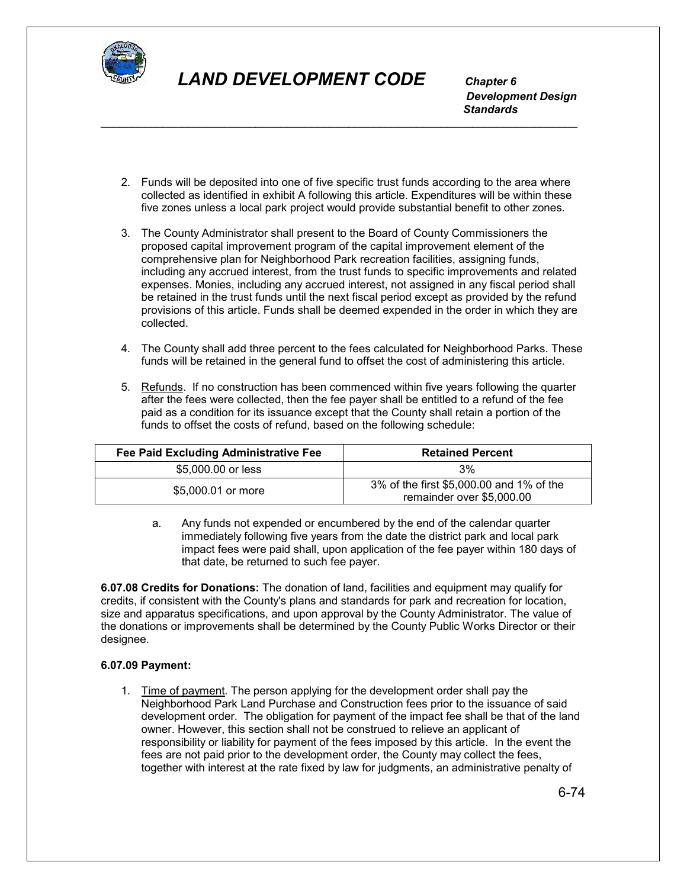

 *Development Design Standards*

2. Funds will be deposited into one of five specific trust funds according to the area where collected as identified in exhibit A following this article. Expenditures will be within these five zones unless a local park project would provide substantial benefit to other zones.

\_\_\_\_\_\_\_\_\_\_\_\_\_\_\_\_\_\_\_\_\_\_\_\_\_\_\_\_\_\_\_\_\_\_\_\_\_\_\_\_\_\_\_\_\_\_\_\_\_\_\_\_\_\_\_\_\_\_\_\_\_\_\_\_\_\_\_\_\_\_\_\_\_\_\_\_\_

- 3. The County Administrator shall present to the Board of County Commissioners the proposed capital improvement program of the capital improvement element of the comprehensive plan for Neighborhood Park recreation facilities, assigning funds, including any accrued interest, from the trust funds to specific improvements and related expenses. Monies, including any accrued interest, not assigned in any fiscal period shall be retained in the trust funds until the next fiscal period except as provided by the refund provisions of this article. Funds shall be deemed expended in the order in which they are collected.
- 4. The County shall add three percent to the fees calculated for Neighborhood Parks. These funds will be retained in the general fund to offset the cost of administering this article.
- 5. Refunds. If no construction has been commenced within five years following the quarter after the fees were collected, then the fee payer shall be entitled to a refund of the fee paid as a condition for its issuance except that the County shall retain a portion of the funds to offset the costs of refund, based on the following schedule:

| Fee Paid Excluding Administrative Fee | <b>Retained Percent</b>                                               |
|---------------------------------------|-----------------------------------------------------------------------|
| \$5,000.00 or less                    | 3%                                                                    |
| \$5,000.01 or more                    | 3% of the first \$5,000.00 and 1% of the<br>remainder over \$5,000.00 |

a. Any funds not expended or encumbered by the end of the calendar quarter immediately following five years from the date the district park and local park impact fees were paid shall, upon application of the fee payer within 180 days of that date, be returned to such fee payer.

**6.07.08 Credits for Donations:** The donation of land, facilities and equipment may qualify for credits, if consistent with the County's plans and standards for park and recreation for location, size and apparatus specifications, and upon approval by the County Administrator. The value of the donations or improvements shall be determined by the County Public Works Director or their designee.

### **6.07.09 Payment:**

1. Time of payment*.* The person applying for the development order shall pay the Neighborhood Park Land Purchase and Construction fees prior to the issuance of said development order. The obligation for payment of the impact fee shall be that of the land owner. However, this section shall not be construed to relieve an applicant of responsibility or liability for payment of the fees imposed by this article. In the event the fees are not paid prior to the development order, the County may collect the fees, together with interest at the rate fixed by law for judgments, an administrative penalty of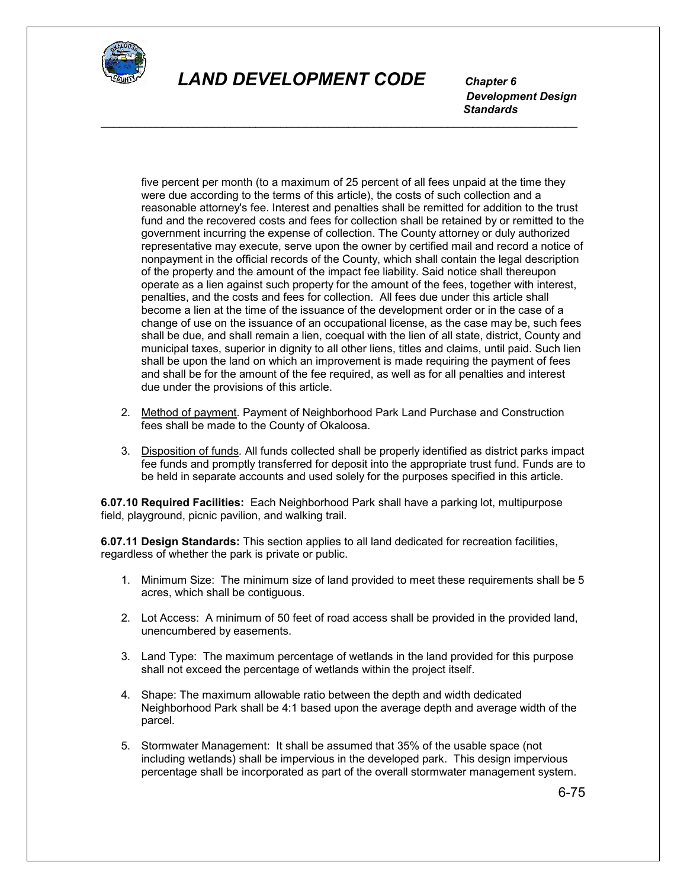

 *Development Design Standards* \_\_\_\_\_\_\_\_\_\_\_\_\_\_\_\_\_\_\_\_\_\_\_\_\_\_\_\_\_\_\_\_\_\_\_\_\_\_\_\_\_\_\_\_\_\_\_\_\_\_\_\_\_\_\_\_\_\_\_\_\_\_\_\_\_\_\_\_\_\_\_\_\_\_\_\_\_

five percent per month (to a maximum of 25 percent of all fees unpaid at the time they were due according to the terms of this article), the costs of such collection and a reasonable attorney's fee. Interest and penalties shall be remitted for addition to the trust fund and the recovered costs and fees for collection shall be retained by or remitted to the government incurring the expense of collection. The County attorney or duly authorized representative may execute, serve upon the owner by certified mail and record a notice of nonpayment in the official records of the County, which shall contain the legal description of the property and the amount of the impact fee liability. Said notice shall thereupon operate as a lien against such property for the amount of the fees, together with interest, penalties, and the costs and fees for collection. All fees due under this article shall become a lien at the time of the issuance of the development order or in the case of a change of use on the issuance of an occupational license, as the case may be, such fees shall be due, and shall remain a lien, coequal with the lien of all state, district, County and municipal taxes, superior in dignity to all other liens, titles and claims, until paid. Such lien shall be upon the land on which an improvement is made requiring the payment of fees and shall be for the amount of the fee required, as well as for all penalties and interest due under the provisions of this article.

- 2. Method of payment*.* Payment of Neighborhood Park Land Purchase and Construction fees shall be made to the County of Okaloosa.
- 3. Disposition of funds*.* All funds collected shall be properly identified as district parks impact fee funds and promptly transferred for deposit into the appropriate trust fund. Funds are to be held in separate accounts and used solely for the purposes specified in this article.

**6.07.10 Required Facilities:** Each Neighborhood Park shall have a parking lot, multipurpose field, playground, picnic pavilion, and walking trail.

**6.07.11 Design Standards:** This section applies to all land dedicated for recreation facilities, regardless of whether the park is private or public.

- 1. Minimum Size: The minimum size of land provided to meet these requirements shall be 5 acres, which shall be contiguous.
- 2. Lot Access: A minimum of 50 feet of road access shall be provided in the provided land, unencumbered by easements.
- 3. Land Type: The maximum percentage of wetlands in the land provided for this purpose shall not exceed the percentage of wetlands within the project itself.
- 4. Shape: The maximum allowable ratio between the depth and width dedicated Neighborhood Park shall be 4:1 based upon the average depth and average width of the parcel.
- 5. Stormwater Management: It shall be assumed that 35% of the usable space (not including wetlands) shall be impervious in the developed park. This design impervious percentage shall be incorporated as part of the overall stormwater management system.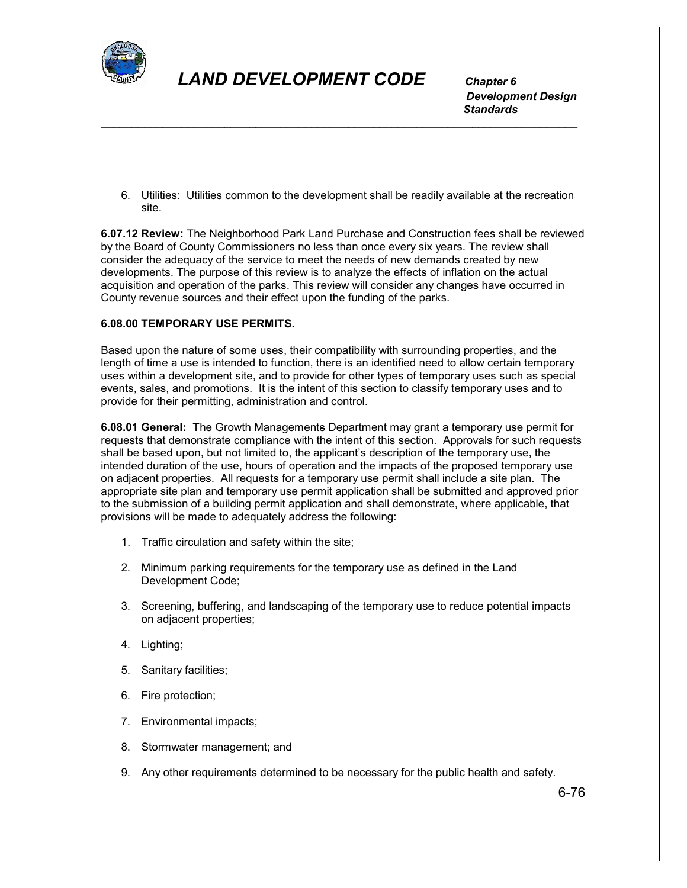

 *Development Design Standards* \_\_\_\_\_\_\_\_\_\_\_\_\_\_\_\_\_\_\_\_\_\_\_\_\_\_\_\_\_\_\_\_\_\_\_\_\_\_\_\_\_\_\_\_\_\_\_\_\_\_\_\_\_\_\_\_\_\_\_\_\_\_\_\_\_\_\_\_\_\_\_\_\_\_\_\_\_

6. Utilities: Utilities common to the development shall be readily available at the recreation site.

**6.07.12 Review:** The Neighborhood Park Land Purchase and Construction fees shall be reviewed by the Board of County Commissioners no less than once every six years. The review shall consider the adequacy of the service to meet the needs of new demands created by new developments. The purpose of this review is to analyze the effects of inflation on the actual acquisition and operation of the parks. This review will consider any changes have occurred in County revenue sources and their effect upon the funding of the parks.

### **6.08.00 TEMPORARY USE PERMITS.**

Based upon the nature of some uses, their compatibility with surrounding properties, and the length of time a use is intended to function, there is an identified need to allow certain temporary uses within a development site, and to provide for other types of temporary uses such as special events, sales, and promotions. It is the intent of this section to classify temporary uses and to provide for their permitting, administration and control.

**6.08.01 General:** The Growth Managements Department may grant a temporary use permit for requests that demonstrate compliance with the intent of this section. Approvals for such requests shall be based upon, but not limited to, the applicant's description of the temporary use, the intended duration of the use, hours of operation and the impacts of the proposed temporary use on adjacent properties. All requests for a temporary use permit shall include a site plan. The appropriate site plan and temporary use permit application shall be submitted and approved prior to the submission of a building permit application and shall demonstrate, where applicable, that provisions will be made to adequately address the following:

- 1. Traffic circulation and safety within the site;
- 2. Minimum parking requirements for the temporary use as defined in the Land Development Code;
- 3. Screening, buffering, and landscaping of the temporary use to reduce potential impacts on adjacent properties;
- 4. Lighting;
- 5. Sanitary facilities;
- 6. Fire protection;
- 7. Environmental impacts;
- 8. Stormwater management; and
- 9. Any other requirements determined to be necessary for the public health and safety.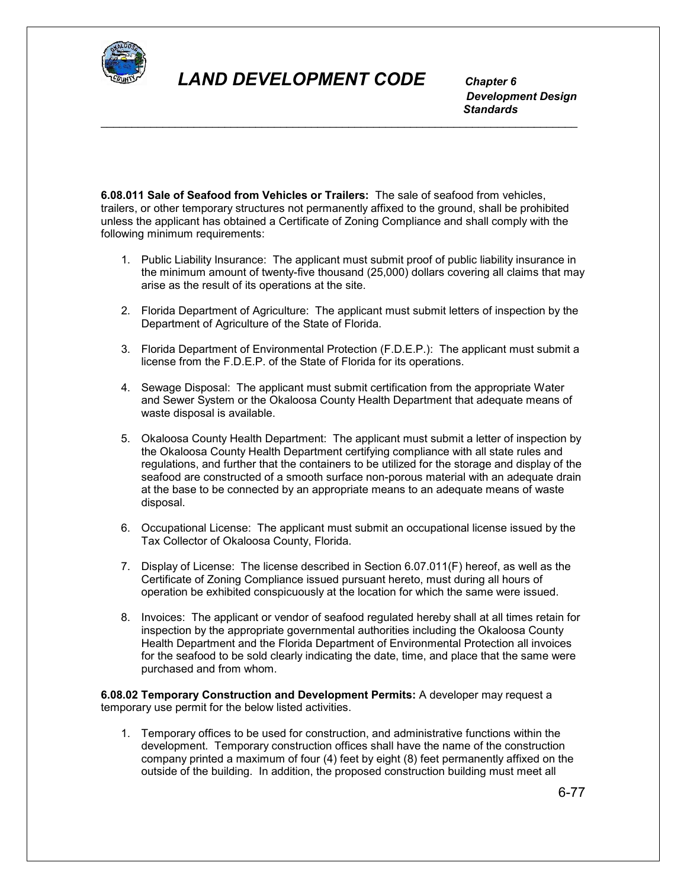

 *Development Design Standards*

**6.08.011 Sale of Seafood from Vehicles or Trailers:** The sale of seafood from vehicles, trailers, or other temporary structures not permanently affixed to the ground, shall be prohibited unless the applicant has obtained a Certificate of Zoning Compliance and shall comply with the following minimum requirements:

\_\_\_\_\_\_\_\_\_\_\_\_\_\_\_\_\_\_\_\_\_\_\_\_\_\_\_\_\_\_\_\_\_\_\_\_\_\_\_\_\_\_\_\_\_\_\_\_\_\_\_\_\_\_\_\_\_\_\_\_\_\_\_\_\_\_\_\_\_\_\_\_\_\_\_\_\_

- 1. Public Liability Insurance: The applicant must submit proof of public liability insurance in the minimum amount of twenty-five thousand (25,000) dollars covering all claims that may arise as the result of its operations at the site.
- 2. Florida Department of Agriculture: The applicant must submit letters of inspection by the Department of Agriculture of the State of Florida.
- 3. Florida Department of Environmental Protection (F.D.E.P.): The applicant must submit a license from the F.D.E.P. of the State of Florida for its operations.
- 4. Sewage Disposal: The applicant must submit certification from the appropriate Water and Sewer System or the Okaloosa County Health Department that adequate means of waste disposal is available.
- 5. Okaloosa County Health Department: The applicant must submit a letter of inspection by the Okaloosa County Health Department certifying compliance with all state rules and regulations, and further that the containers to be utilized for the storage and display of the seafood are constructed of a smooth surface non-porous material with an adequate drain at the base to be connected by an appropriate means to an adequate means of waste disposal.
- 6. Occupational License: The applicant must submit an occupational license issued by the Tax Collector of Okaloosa County, Florida.
- 7. Display of License: The license described in Section 6.07.011(F) hereof, as well as the Certificate of Zoning Compliance issued pursuant hereto, must during all hours of operation be exhibited conspicuously at the location for which the same were issued.
- 8. Invoices: The applicant or vendor of seafood regulated hereby shall at all times retain for inspection by the appropriate governmental authorities including the Okaloosa County Health Department and the Florida Department of Environmental Protection all invoices for the seafood to be sold clearly indicating the date, time, and place that the same were purchased and from whom.

**6.08.02 Temporary Construction and Development Permits:** A developer may request a temporary use permit for the below listed activities.

1. Temporary offices to be used for construction, and administrative functions within the development. Temporary construction offices shall have the name of the construction company printed a maximum of four (4) feet by eight (8) feet permanently affixed on the outside of the building. In addition, the proposed construction building must meet all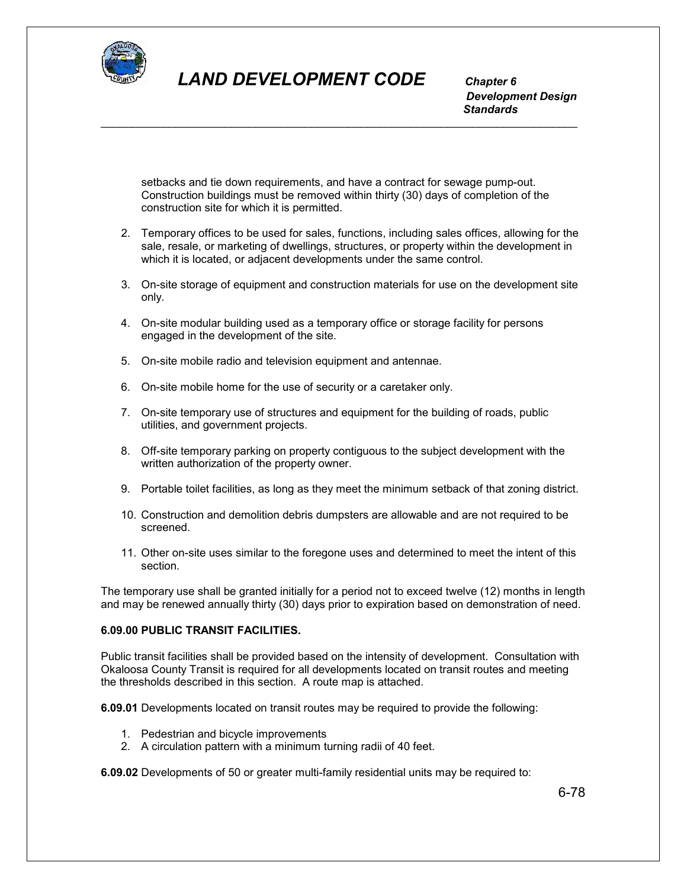

 *Development Design Standards*

setbacks and tie down requirements, and have a contract for sewage pump-out. Construction buildings must be removed within thirty (30) days of completion of the construction site for which it is permitted.

\_\_\_\_\_\_\_\_\_\_\_\_\_\_\_\_\_\_\_\_\_\_\_\_\_\_\_\_\_\_\_\_\_\_\_\_\_\_\_\_\_\_\_\_\_\_\_\_\_\_\_\_\_\_\_\_\_\_\_\_\_\_\_\_\_\_\_\_\_\_\_\_\_\_\_\_\_

- 2. Temporary offices to be used for sales, functions, including sales offices, allowing for the sale, resale, or marketing of dwellings, structures, or property within the development in which it is located, or adjacent developments under the same control.
- 3. On-site storage of equipment and construction materials for use on the development site only.
- 4. On-site modular building used as a temporary office or storage facility for persons engaged in the development of the site.
- 5. On-site mobile radio and television equipment and antennae.
- 6. On-site mobile home for the use of security or a caretaker only.
- 7. On-site temporary use of structures and equipment for the building of roads, public utilities, and government projects.
- 8. Off-site temporary parking on property contiguous to the subject development with the written authorization of the property owner.
- 9. Portable toilet facilities, as long as they meet the minimum setback of that zoning district.
- 10. Construction and demolition debris dumpsters are allowable and are not required to be screened.
- 11. Other on-site uses similar to the foregone uses and determined to meet the intent of this section.

The temporary use shall be granted initially for a period not to exceed twelve (12) months in length and may be renewed annually thirty (30) days prior to expiration based on demonstration of need.

### **6.09.00 PUBLIC TRANSIT FACILITIES.**

Public transit facilities shall be provided based on the intensity of development. Consultation with Okaloosa County Transit is required for all developments located on transit routes and meeting the thresholds described in this section. A route map is attached.

**6.09.01** Developments located on transit routes may be required to provide the following:

- 1. Pedestrian and bicycle improvements
- 2. A circulation pattern with a minimum turning radii of 40 feet.

**6.09.02** Developments of 50 or greater multi-family residential units may be required to: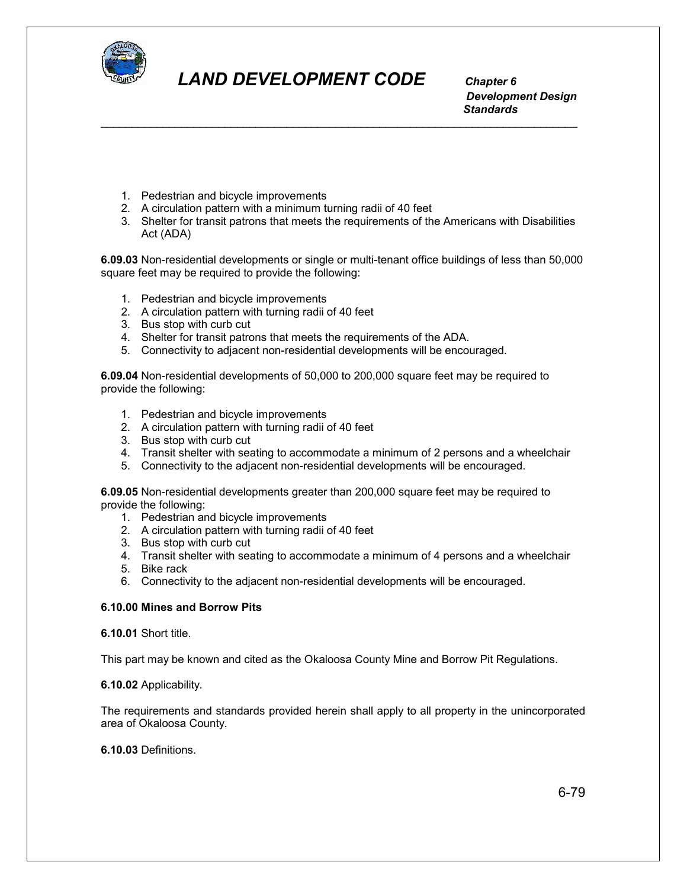

 *Development Design Standards* \_\_\_\_\_\_\_\_\_\_\_\_\_\_\_\_\_\_\_\_\_\_\_\_\_\_\_\_\_\_\_\_\_\_\_\_\_\_\_\_\_\_\_\_\_\_\_\_\_\_\_\_\_\_\_\_\_\_\_\_\_\_\_\_\_\_\_\_\_\_\_\_\_\_\_\_\_

- 1. Pedestrian and bicycle improvements
- 2. A circulation pattern with a minimum turning radii of 40 feet
- 3. Shelter for transit patrons that meets the requirements of the Americans with Disabilities Act (ADA)

**6.09.03** Non-residential developments or single or multi-tenant office buildings of less than 50,000 square feet may be required to provide the following:

- 1. Pedestrian and bicycle improvements
- 2. A circulation pattern with turning radii of 40 feet
- 3. Bus stop with curb cut
- 4. Shelter for transit patrons that meets the requirements of the ADA.
- 5. Connectivity to adjacent non-residential developments will be encouraged.

**6.09.04** Non-residential developments of 50,000 to 200,000 square feet may be required to provide the following:

- 1. Pedestrian and bicycle improvements
- 2. A circulation pattern with turning radii of 40 feet
- 3. Bus stop with curb cut
- 4. Transit shelter with seating to accommodate a minimum of 2 persons and a wheelchair
- 5. Connectivity to the adjacent non-residential developments will be encouraged.

**6.09.05** Non-residential developments greater than 200,000 square feet may be required to provide the following:

- 1. Pedestrian and bicycle improvements
- 2. A circulation pattern with turning radii of 40 feet
- 3. Bus stop with curb cut
- 4. Transit shelter with seating to accommodate a minimum of 4 persons and a wheelchair
- 5. Bike rack
- 6. Connectivity to the adjacent non-residential developments will be encouraged.

### **6.10.00 Mines and Borrow Pits**

**6.10.01** Short title.

This part may be known and cited as the Okaloosa County Mine and Borrow Pit Regulations.

**6.10.02** Applicability.

The requirements and standards provided herein shall apply to all property in the unincorporated area of Okaloosa County.

### **6.10.03** Definitions.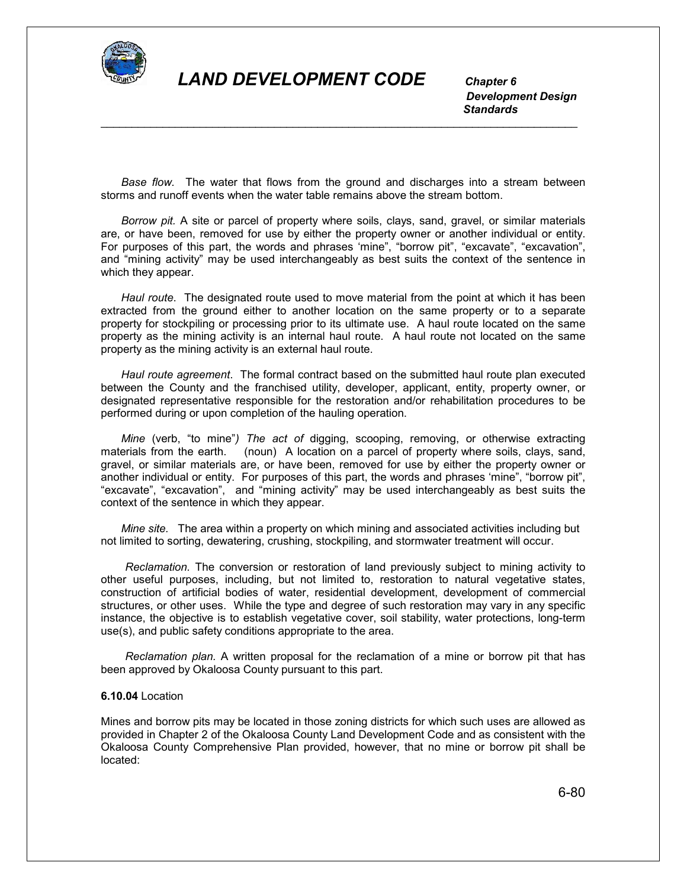

 *Development Design Standards*

*Base flow.* The water that flows from the ground and discharges into a stream between storms and runoff events when the water table remains above the stream bottom.

\_\_\_\_\_\_\_\_\_\_\_\_\_\_\_\_\_\_\_\_\_\_\_\_\_\_\_\_\_\_\_\_\_\_\_\_\_\_\_\_\_\_\_\_\_\_\_\_\_\_\_\_\_\_\_\_\_\_\_\_\_\_\_\_\_\_\_\_\_\_\_\_\_\_\_\_\_

*Borrow pit.* A site or parcel of property where soils, clays, sand, gravel, or similar materials are, or have been, removed for use by either the property owner or another individual or entity. For purposes of this part, the words and phrases 'mine", "borrow pit", "excavate", "excavation", and "mining activity" may be used interchangeably as best suits the context of the sentence in which they appear.

*Haul route*. The designated route used to move material from the point at which it has been extracted from the ground either to another location on the same property or to a separate property for stockpiling or processing prior to its ultimate use. A haul route located on the same property as the mining activity is an internal haul route. A haul route not located on the same property as the mining activity is an external haul route.

*Haul route agreement*. The formal contract based on the submitted haul route plan executed between the County and the franchised utility, developer, applicant, entity, property owner, or designated representative responsible for the restoration and/or rehabilitation procedures to be performed during or upon completion of the hauling operation.

*Mine* (verb, "to mine"*) The act of* digging, scooping, removing, or otherwise extracting materials from the earth. (noun) A location on a parcel of property where soils, clays, sand, gravel, or similar materials are, or have been, removed for use by either the property owner or another individual or entity. For purposes of this part, the words and phrases 'mine", "borrow pit", "excavate", "excavation", and "mining activity" may be used interchangeably as best suits the context of the sentence in which they appear.

*Mine site.* The area within a property on which mining and associated activities including but not limited to sorting, dewatering, crushing, stockpiling, and stormwater treatment will occur.

*Reclamation.* The conversion or restoration of land previously subject to mining activity to other useful purposes, including, but not limited to, restoration to natural vegetative states, construction of artificial bodies of water, residential development, development of commercial structures, or other uses. While the type and degree of such restoration may vary in any specific instance, the objective is to establish vegetative cover, soil stability, water protections, long-term use(s), and public safety conditions appropriate to the area.

*Reclamation plan.* A written proposal for the reclamation of a mine or borrow pit that has been approved by Okaloosa County pursuant to this part.

#### **6.10.04** Location

Mines and borrow pits may be located in those zoning districts for which such uses are allowed as provided in Chapter 2 of the Okaloosa County Land Development Code and as consistent with the Okaloosa County Comprehensive Plan provided, however, that no mine or borrow pit shall be located: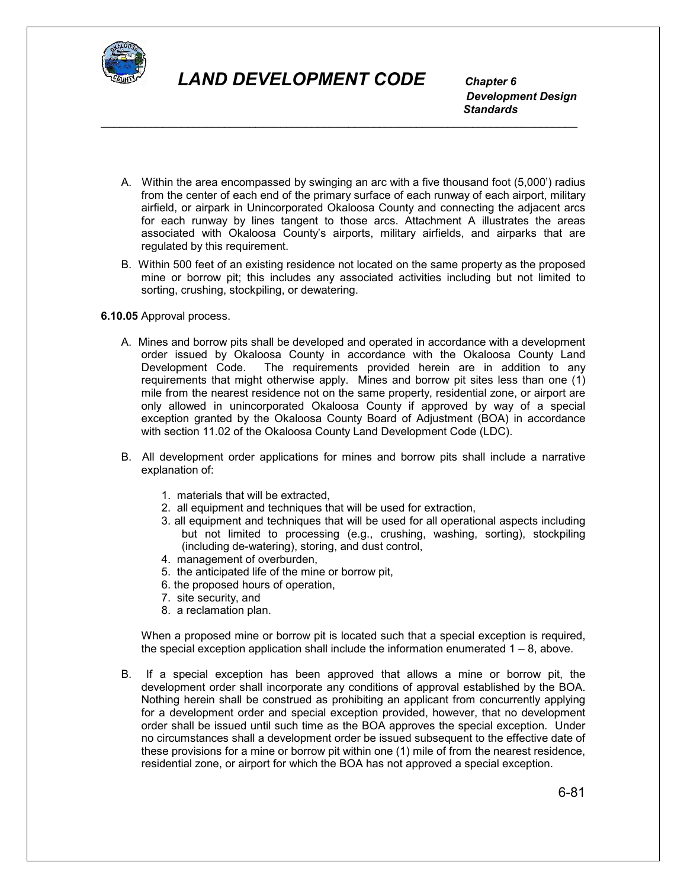

 *Development Design Standards*

A. Within the area encompassed by swinging an arc with a five thousand foot (5,000') radius from the center of each end of the primary surface of each runway of each airport, military airfield, or airpark in Unincorporated Okaloosa County and connecting the adjacent arcs for each runway by lines tangent to those arcs. Attachment A illustrates the areas associated with Okaloosa County's airports, military airfields, and airparks that are regulated by this requirement.

\_\_\_\_\_\_\_\_\_\_\_\_\_\_\_\_\_\_\_\_\_\_\_\_\_\_\_\_\_\_\_\_\_\_\_\_\_\_\_\_\_\_\_\_\_\_\_\_\_\_\_\_\_\_\_\_\_\_\_\_\_\_\_\_\_\_\_\_\_\_\_\_\_\_\_\_\_

B. Within 500 feet of an existing residence not located on the same property as the proposed mine or borrow pit; this includes any associated activities including but not limited to sorting, crushing, stockpiling, or dewatering.

### **6.10.05** Approval process.

- A. Mines and borrow pits shall be developed and operated in accordance with a development order issued by Okaloosa County in accordance with the Okaloosa County Land Development Code. The requirements provided herein are in addition to any requirements that might otherwise apply. Mines and borrow pit sites less than one (1) mile from the nearest residence not on the same property, residential zone, or airport are only allowed in unincorporated Okaloosa County if approved by way of a special exception granted by the Okaloosa County Board of Adjustment (BOA) in accordance with section 11.02 of the Okaloosa County Land Development Code (LDC).
- B. All development order applications for mines and borrow pits shall include a narrative explanation of:
	- 1. materials that will be extracted,
	- 2. all equipment and techniques that will be used for extraction,
	- 3. all equipment and techniques that will be used for all operational aspects including but not limited to processing (e.g., crushing, washing, sorting), stockpiling (including de-watering), storing, and dust control,
	- 4. management of overburden,
	- 5. the anticipated life of the mine or borrow pit,
	- 6. the proposed hours of operation,
	- 7. site security, and
	- 8. a reclamation plan.

When a proposed mine or borrow pit is located such that a special exception is required, the special exception application shall include the information enumerated  $1 - 8$ , above.

B. If a special exception has been approved that allows a mine or borrow pit, the development order shall incorporate any conditions of approval established by the BOA. Nothing herein shall be construed as prohibiting an applicant from concurrently applying for a development order and special exception provided, however, that no development order shall be issued until such time as the BOA approves the special exception. Under no circumstances shall a development order be issued subsequent to the effective date of these provisions for a mine or borrow pit within one (1) mile of from the nearest residence, residential zone, or airport for which the BOA has not approved a special exception.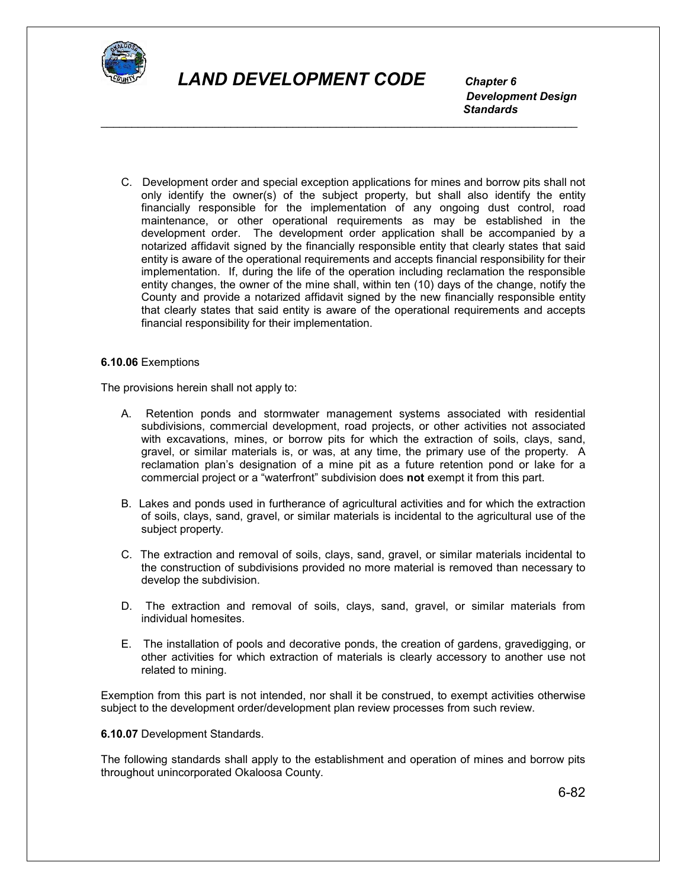

 *Development Design Standards*

C. Development order and special exception applications for mines and borrow pits shall not only identify the owner(s) of the subject property, but shall also identify the entity financially responsible for the implementation of any ongoing dust control, road maintenance, or other operational requirements as may be established in the development order. The development order application shall be accompanied by a notarized affidavit signed by the financially responsible entity that clearly states that said entity is aware of the operational requirements and accepts financial responsibility for their implementation. If, during the life of the operation including reclamation the responsible entity changes, the owner of the mine shall, within ten (10) days of the change, notify the County and provide a notarized affidavit signed by the new financially responsible entity that clearly states that said entity is aware of the operational requirements and accepts financial responsibility for their implementation.

\_\_\_\_\_\_\_\_\_\_\_\_\_\_\_\_\_\_\_\_\_\_\_\_\_\_\_\_\_\_\_\_\_\_\_\_\_\_\_\_\_\_\_\_\_\_\_\_\_\_\_\_\_\_\_\_\_\_\_\_\_\_\_\_\_\_\_\_\_\_\_\_\_\_\_\_\_

#### **6.10.06** Exemptions

The provisions herein shall not apply to:

- A. Retention ponds and stormwater management systems associated with residential subdivisions, commercial development, road projects, or other activities not associated with excavations, mines, or borrow pits for which the extraction of soils, clays, sand, gravel, or similar materials is, or was, at any time, the primary use of the property. A reclamation plan's designation of a mine pit as a future retention pond or lake for a commercial project or a "waterfront" subdivision does **not** exempt it from this part.
- B. Lakes and ponds used in furtherance of agricultural activities and for which the extraction of soils, clays, sand, gravel, or similar materials is incidental to the agricultural use of the subject property.
- C. The extraction and removal of soils, clays, sand, gravel, or similar materials incidental to the construction of subdivisions provided no more material is removed than necessary to develop the subdivision.
- D. The extraction and removal of soils, clays, sand, gravel, or similar materials from individual homesites.
- E. The installation of pools and decorative ponds, the creation of gardens, gravedigging, or other activities for which extraction of materials is clearly accessory to another use not related to mining.

Exemption from this part is not intended, nor shall it be construed, to exempt activities otherwise subject to the development order/development plan review processes from such review.

**6.10.07** Development Standards.

The following standards shall apply to the establishment and operation of mines and borrow pits throughout unincorporated Okaloosa County.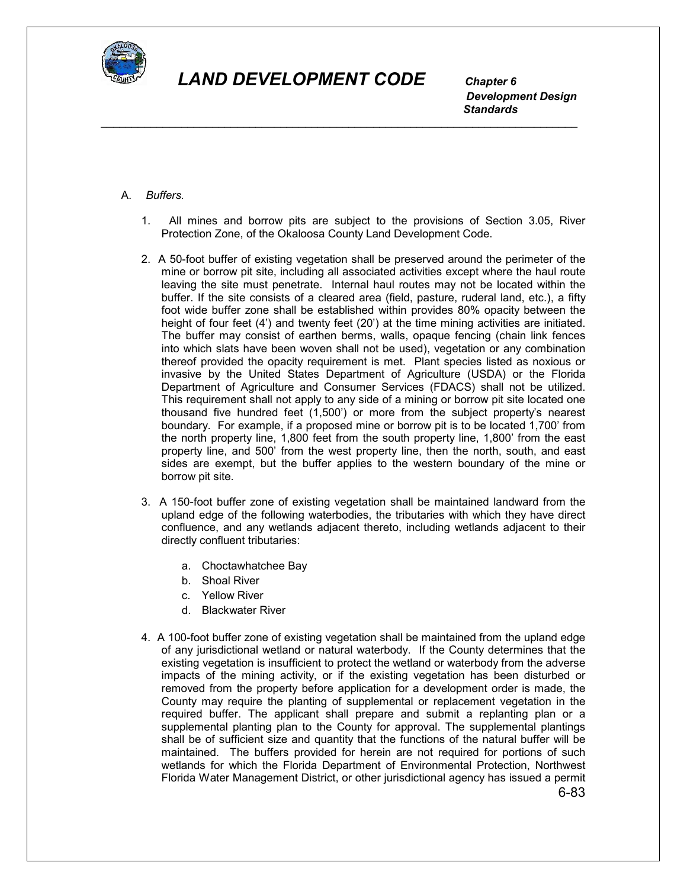

 *Development Design Standards* \_\_\_\_\_\_\_\_\_\_\_\_\_\_\_\_\_\_\_\_\_\_\_\_\_\_\_\_\_\_\_\_\_\_\_\_\_\_\_\_\_\_\_\_\_\_\_\_\_\_\_\_\_\_\_\_\_\_\_\_\_\_\_\_\_\_\_\_\_\_\_\_\_\_\_\_\_

### A. *Buffers.*

- 1. All mines and borrow pits are subject to the provisions of Section 3.05, River Protection Zone, of the Okaloosa County Land Development Code.
- 2. A 50-foot buffer of existing vegetation shall be preserved around the perimeter of the mine or borrow pit site, including all associated activities except where the haul route leaving the site must penetrate. Internal haul routes may not be located within the buffer. If the site consists of a cleared area (field, pasture, ruderal land, etc.), a fifty foot wide buffer zone shall be established within provides 80% opacity between the height of four feet (4') and twenty feet (20') at the time mining activities are initiated. The buffer may consist of earthen berms, walls, opaque fencing (chain link fences into which slats have been woven shall not be used), vegetation or any combination thereof provided the opacity requirement is met. Plant species listed as noxious or invasive by the United States Department of Agriculture (USDA) or the Florida Department of Agriculture and Consumer Services (FDACS) shall not be utilized. This requirement shall not apply to any side of a mining or borrow pit site located one thousand five hundred feet (1,500') or more from the subject property's nearest boundary. For example, if a proposed mine or borrow pit is to be located 1,700' from the north property line, 1,800 feet from the south property line, 1,800' from the east property line, and 500' from the west property line, then the north, south, and east sides are exempt, but the buffer applies to the western boundary of the mine or borrow pit site.
- 3. A 150-foot buffer zone of existing vegetation shall be maintained landward from the upland edge of the following waterbodies, the tributaries with which they have direct confluence, and any wetlands adjacent thereto, including wetlands adjacent to their directly confluent tributaries:
	- a. Choctawhatchee Bay
	- b. Shoal River
	- c. Yellow River
	- d. Blackwater River
- 6-83 4. A 100-foot buffer zone of existing vegetation shall be maintained from the upland edge of any jurisdictional wetland or natural waterbody. If the County determines that the existing vegetation is insufficient to protect the wetland or waterbody from the adverse impacts of the mining activity, or if the existing vegetation has been disturbed or removed from the property before application for a development order is made, the County may require the planting of supplemental or replacement vegetation in the required buffer. The applicant shall prepare and submit a replanting plan or a supplemental planting plan to the County for approval. The supplemental plantings shall be of sufficient size and quantity that the functions of the natural buffer will be maintained. The buffers provided for herein are not required for portions of such wetlands for which the Florida Department of Environmental Protection, Northwest Florida Water Management District, or other jurisdictional agency has issued a permit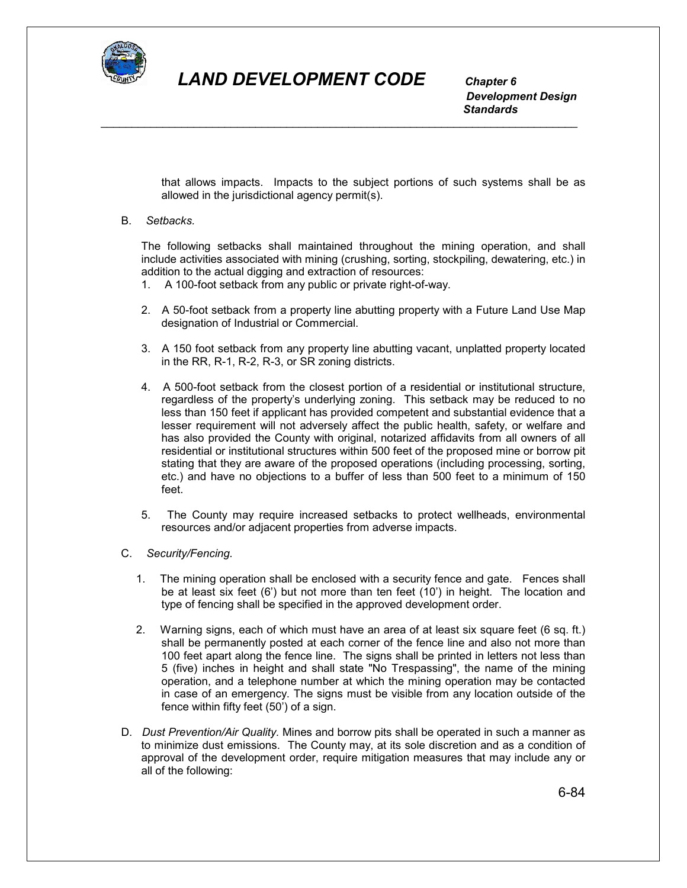

 *Development Design Standards*

> that allows impacts. Impacts to the subject portions of such systems shall be as allowed in the jurisdictional agency permit(s).

\_\_\_\_\_\_\_\_\_\_\_\_\_\_\_\_\_\_\_\_\_\_\_\_\_\_\_\_\_\_\_\_\_\_\_\_\_\_\_\_\_\_\_\_\_\_\_\_\_\_\_\_\_\_\_\_\_\_\_\_\_\_\_\_\_\_\_\_\_\_\_\_\_\_\_\_\_

### B. *Setbacks.*

The following setbacks shall maintained throughout the mining operation, and shall include activities associated with mining (crushing, sorting, stockpiling, dewatering, etc.) in addition to the actual digging and extraction of resources:

- 1. A 100-foot setback from any public or private right-of-way.
- 2. A 50-foot setback from a property line abutting property with a Future Land Use Map designation of Industrial or Commercial.
- 3. A 150 foot setback from any property line abutting vacant, unplatted property located in the RR, R-1, R-2, R-3, or SR zoning districts.
- 4. A 500-foot setback from the closest portion of a residential or institutional structure, regardless of the property's underlying zoning. This setback may be reduced to no less than 150 feet if applicant has provided competent and substantial evidence that a lesser requirement will not adversely affect the public health, safety, or welfare and has also provided the County with original, notarized affidavits from all owners of all residential or institutional structures within 500 feet of the proposed mine or borrow pit stating that they are aware of the proposed operations (including processing, sorting, etc.) and have no objections to a buffer of less than 500 feet to a minimum of 150 feet.
- 5. The County may require increased setbacks to protect wellheads, environmental resources and/or adjacent properties from adverse impacts.

### C. *Security/Fencing.*

- 1. The mining operation shall be enclosed with a security fence and gate. Fences shall be at least six feet (6') but not more than ten feet (10') in height. The location and type of fencing shall be specified in the approved development order.
- 2. Warning signs, each of which must have an area of at least six square feet (6 sq. ft.) shall be permanently posted at each corner of the fence line and also not more than 100 feet apart along the fence line. The signs shall be printed in letters not less than 5 (five) inches in height and shall state "No Trespassing", the name of the mining operation, and a telephone number at which the mining operation may be contacted in case of an emergency. The signs must be visible from any location outside of the fence within fifty feet (50') of a sign.
- D. *Dust Prevention/Air Quality.* Mines and borrow pits shall be operated in such a manner as to minimize dust emissions. The County may, at its sole discretion and as a condition of approval of the development order, require mitigation measures that may include any or all of the following: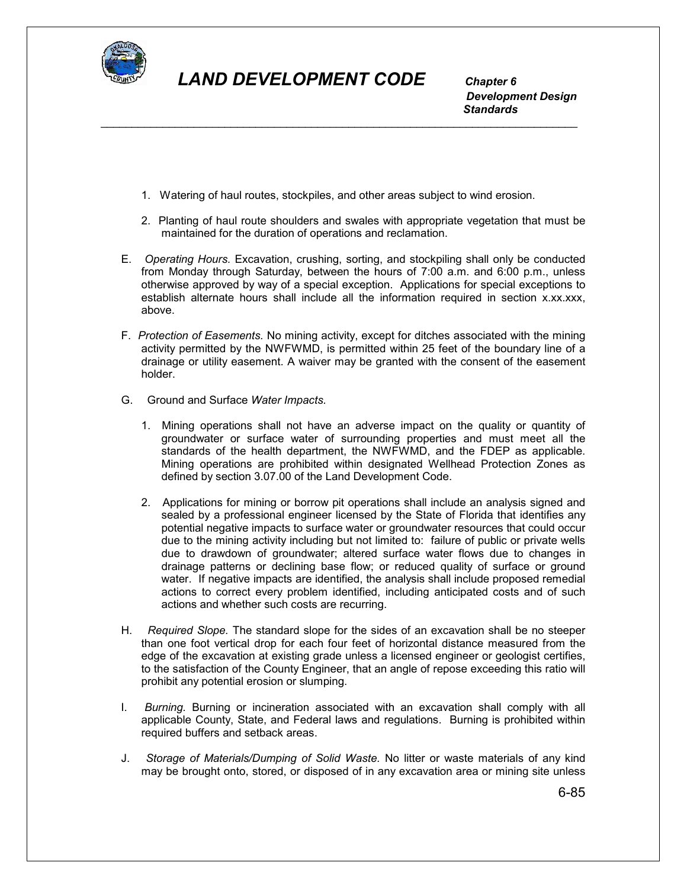

 *Development Design Standards* \_\_\_\_\_\_\_\_\_\_\_\_\_\_\_\_\_\_\_\_\_\_\_\_\_\_\_\_\_\_\_\_\_\_\_\_\_\_\_\_\_\_\_\_\_\_\_\_\_\_\_\_\_\_\_\_\_\_\_\_\_\_\_\_\_\_\_\_\_\_\_\_\_\_\_\_\_

- 1. Watering of haul routes, stockpiles, and other areas subject to wind erosion.
- 2. Planting of haul route shoulders and swales with appropriate vegetation that must be maintained for the duration of operations and reclamation.
- E. *Operating Hours.* Excavation, crushing, sorting, and stockpiling shall only be conducted from Monday through Saturday, between the hours of 7:00 a.m. and 6:00 p.m., unless otherwise approved by way of a special exception. Applications for special exceptions to establish alternate hours shall include all the information required in section x.xx.xxx, above.
- F. *Protection of Easements.* No mining activity, except for ditches associated with the mining activity permitted by the NWFWMD, is permitted within 25 feet of the boundary line of a drainage or utility easement. A waiver may be granted with the consent of the easement holder.
- G. Ground and Surface *Water Impacts.*
	- 1. Mining operations shall not have an adverse impact on the quality or quantity of groundwater or surface water of surrounding properties and must meet all the standards of the health department, the NWFWMD, and the FDEP as applicable. Mining operations are prohibited within designated Wellhead Protection Zones as defined by section 3.07.00 of the Land Development Code.
	- 2. Applications for mining or borrow pit operations shall include an analysis signed and sealed by a professional engineer licensed by the State of Florida that identifies any potential negative impacts to surface water or groundwater resources that could occur due to the mining activity including but not limited to: failure of public or private wells due to drawdown of groundwater; altered surface water flows due to changes in drainage patterns or declining base flow; or reduced quality of surface or ground water. If negative impacts are identified, the analysis shall include proposed remedial actions to correct every problem identified, including anticipated costs and of such actions and whether such costs are recurring.
- H. *Required Slope.* The standard slope for the sides of an excavation shall be no steeper than one foot vertical drop for each four feet of horizontal distance measured from the edge of the excavation at existing grade unless a licensed engineer or geologist certifies, to the satisfaction of the County Engineer, that an angle of repose exceeding this ratio will prohibit any potential erosion or slumping.
- I. *Burning.* Burning or incineration associated with an excavation shall comply with all applicable County, State, and Federal laws and regulations. Burning is prohibited within required buffers and setback areas.
- J. *Storage of Materials/Dumping of Solid Waste.* No litter or waste materials of any kind may be brought onto, stored, or disposed of in any excavation area or mining site unless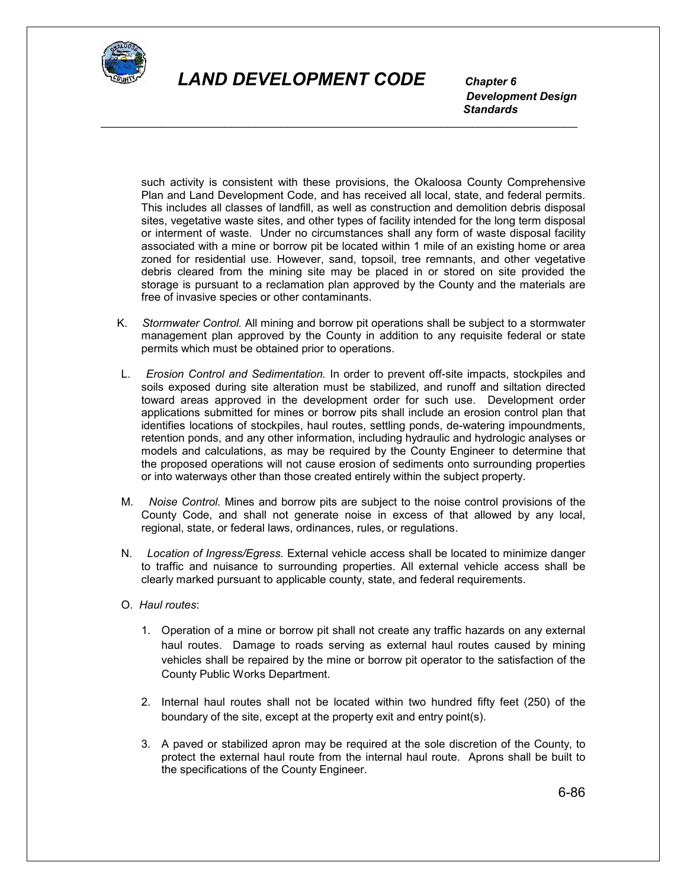

 *Development Design Standards*

such activity is consistent with these provisions, the Okaloosa County Comprehensive Plan and Land Development Code, and has received all local, state, and federal permits. This includes all classes of landfill, as well as construction and demolition debris disposal sites, vegetative waste sites, and other types of facility intended for the long term disposal or interment of waste. Under no circumstances shall any form of waste disposal facility associated with a mine or borrow pit be located within 1 mile of an existing home or area zoned for residential use. However, sand, topsoil, tree remnants, and other vegetative debris cleared from the mining site may be placed in or stored on site provided the storage is pursuant to a reclamation plan approved by the County and the materials are free of invasive species or other contaminants.

\_\_\_\_\_\_\_\_\_\_\_\_\_\_\_\_\_\_\_\_\_\_\_\_\_\_\_\_\_\_\_\_\_\_\_\_\_\_\_\_\_\_\_\_\_\_\_\_\_\_\_\_\_\_\_\_\_\_\_\_\_\_\_\_\_\_\_\_\_\_\_\_\_\_\_\_\_

- K. *Stormwater Control.* All mining and borrow pit operations shall be subject to a stormwater management plan approved by the County in addition to any requisite federal or state permits which must be obtained prior to operations.
- L. *Erosion Control and Sedimentation.* In order to prevent off-site impacts, stockpiles and soils exposed during site alteration must be stabilized, and runoff and siltation directed toward areas approved in the development order for such use. Development order applications submitted for mines or borrow pits shall include an erosion control plan that identifies locations of stockpiles, haul routes, settling ponds, de-watering impoundments, retention ponds, and any other information, including hydraulic and hydrologic analyses or models and calculations, as may be required by the County Engineer to determine that the proposed operations will not cause erosion of sediments onto surrounding properties or into waterways other than those created entirely within the subject property.
- M. *Noise Control.* Mines and borrow pits are subject to the noise control provisions of the County Code, and shall not generate noise in excess of that allowed by any local, regional, state, or federal laws, ordinances, rules, or regulations.
- N. *Location of Ingress/Egress.* External vehicle access shall be located to minimize danger to traffic and nuisance to surrounding properties. All external vehicle access shall be clearly marked pursuant to applicable county, state, and federal requirements.
- O. *Haul routes*:
	- 1. Operation of a mine or borrow pit shall not create any traffic hazards on any external haul routes. Damage to roads serving as external haul routes caused by mining vehicles shall be repaired by the mine or borrow pit operator to the satisfaction of the County Public Works Department.
	- 2. Internal haul routes shall not be located within two hundred fifty feet (250) of the boundary of the site, except at the property exit and entry point(s).
	- 3. A paved or stabilized apron may be required at the sole discretion of the County, to protect the external haul route from the internal haul route. Aprons shall be built to the specifications of the County Engineer.

6-86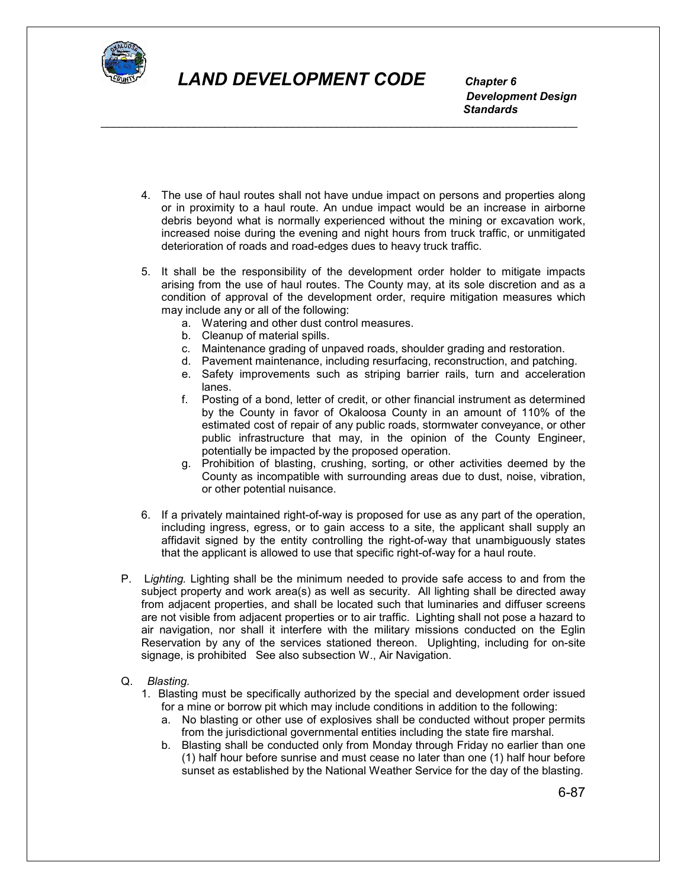

 *Development Design Standards*

4. The use of haul routes shall not have undue impact on persons and properties along or in proximity to a haul route. An undue impact would be an increase in airborne debris beyond what is normally experienced without the mining or excavation work, increased noise during the evening and night hours from truck traffic, or unmitigated deterioration of roads and road-edges dues to heavy truck traffic.

\_\_\_\_\_\_\_\_\_\_\_\_\_\_\_\_\_\_\_\_\_\_\_\_\_\_\_\_\_\_\_\_\_\_\_\_\_\_\_\_\_\_\_\_\_\_\_\_\_\_\_\_\_\_\_\_\_\_\_\_\_\_\_\_\_\_\_\_\_\_\_\_\_\_\_\_\_

- 5. It shall be the responsibility of the development order holder to mitigate impacts arising from the use of haul routes. The County may, at its sole discretion and as a condition of approval of the development order, require mitigation measures which may include any or all of the following:
	- a. Watering and other dust control measures.
	- b. Cleanup of material spills.
	- c. Maintenance grading of unpaved roads, shoulder grading and restoration.
	- d. Pavement maintenance, including resurfacing, reconstruction, and patching.
	- e. Safety improvements such as striping barrier rails, turn and acceleration lanes.
	- f. Posting of a bond, letter of credit, or other financial instrument as determined by the County in favor of Okaloosa County in an amount of 110% of the estimated cost of repair of any public roads, stormwater conveyance, or other public infrastructure that may, in the opinion of the County Engineer, potentially be impacted by the proposed operation.
	- g. Prohibition of blasting, crushing, sorting, or other activities deemed by the County as incompatible with surrounding areas due to dust, noise, vibration, or other potential nuisance.
- 6. If a privately maintained right-of-way is proposed for use as any part of the operation, including ingress, egress, or to gain access to a site, the applicant shall supply an affidavit signed by the entity controlling the right-of-way that unambiguously states that the applicant is allowed to use that specific right-of-way for a haul route.
- P. L*ighting.* Lighting shall be the minimum needed to provide safe access to and from the subject property and work area(s) as well as security. All lighting shall be directed away from adjacent properties, and shall be located such that luminaries and diffuser screens are not visible from adjacent properties or to air traffic. Lighting shall not pose a hazard to air navigation, nor shall it interfere with the military missions conducted on the Eglin Reservation by any of the services stationed thereon. Uplighting, including for on-site signage, is prohibited See also subsection W., Air Navigation.

### Q. *Blasting.*

- 1. Blasting must be specifically authorized by the special and development order issued for a mine or borrow pit which may include conditions in addition to the following:
	- a. No blasting or other use of explosives shall be conducted without proper permits from the jurisdictional governmental entities including the state fire marshal.
	- b. Blasting shall be conducted only from Monday through Friday no earlier than one (1) half hour before sunrise and must cease no later than one (1) half hour before sunset as established by the National Weather Service for the day of the blasting.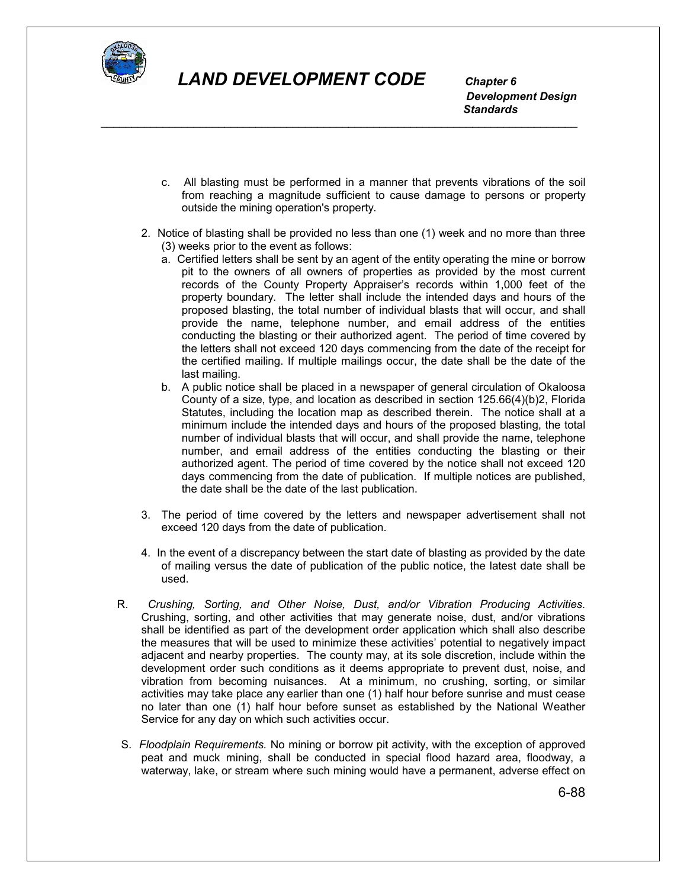

 *Development Design Standards*

- c. All blasting must be performed in a manner that prevents vibrations of the soil from reaching a magnitude sufficient to cause damage to persons or property outside the mining operation's property.
- 2. Notice of blasting shall be provided no less than one (1) week and no more than three (3) weeks prior to the event as follows:

\_\_\_\_\_\_\_\_\_\_\_\_\_\_\_\_\_\_\_\_\_\_\_\_\_\_\_\_\_\_\_\_\_\_\_\_\_\_\_\_\_\_\_\_\_\_\_\_\_\_\_\_\_\_\_\_\_\_\_\_\_\_\_\_\_\_\_\_\_\_\_\_\_\_\_\_\_

- a. Certified letters shall be sent by an agent of the entity operating the mine or borrow pit to the owners of all owners of properties as provided by the most current records of the County Property Appraiser's records within 1,000 feet of the property boundary. The letter shall include the intended days and hours of the proposed blasting, the total number of individual blasts that will occur, and shall provide the name, telephone number, and email address of the entities conducting the blasting or their authorized agent. The period of time covered by the letters shall not exceed 120 days commencing from the date of the receipt for the certified mailing. If multiple mailings occur, the date shall be the date of the last mailing.
- b. A public notice shall be placed in a newspaper of general circulation of Okaloosa County of a size, type, and location as described in section 125.66(4)(b)2, Florida Statutes, including the location map as described therein. The notice shall at a minimum include the intended days and hours of the proposed blasting, the total number of individual blasts that will occur, and shall provide the name, telephone number, and email address of the entities conducting the blasting or their authorized agent. The period of time covered by the notice shall not exceed 120 days commencing from the date of publication. If multiple notices are published, the date shall be the date of the last publication.
- 3. The period of time covered by the letters and newspaper advertisement shall not exceed 120 days from the date of publication.
- 4. In the event of a discrepancy between the start date of blasting as provided by the date of mailing versus the date of publication of the public notice, the latest date shall be used.
- R. *Crushing, Sorting, and Other Noise, Dust, and/or Vibration Producing Activities.* Crushing, sorting, and other activities that may generate noise, dust, and/or vibrations shall be identified as part of the development order application which shall also describe the measures that will be used to minimize these activities' potential to negatively impact adjacent and nearby properties. The county may, at its sole discretion, include within the development order such conditions as it deems appropriate to prevent dust, noise, and vibration from becoming nuisances. At a minimum, no crushing, sorting, or similar activities may take place any earlier than one (1) half hour before sunrise and must cease no later than one (1) half hour before sunset as established by the National Weather Service for any day on which such activities occur.
- S. *Floodplain Requirements.* No mining or borrow pit activity, with the exception of approved peat and muck mining, shall be conducted in special flood hazard area, floodway, a waterway, lake, or stream where such mining would have a permanent, adverse effect on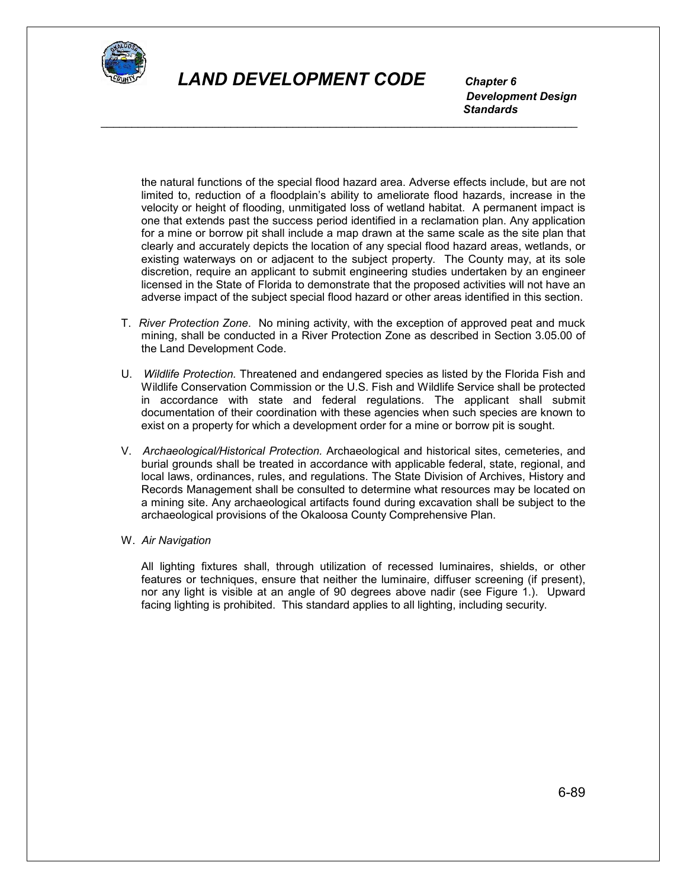

 *Development Design Standards*

the natural functions of the special flood hazard area. Adverse effects include, but are not limited to, reduction of a floodplain's ability to ameliorate flood hazards, increase in the velocity or height of flooding, unmitigated loss of wetland habitat. A permanent impact is one that extends past the success period identified in a reclamation plan. Any application for a mine or borrow pit shall include a map drawn at the same scale as the site plan that clearly and accurately depicts the location of any special flood hazard areas, wetlands, or existing waterways on or adjacent to the subject property. The County may, at its sole discretion, require an applicant to submit engineering studies undertaken by an engineer licensed in the State of Florida to demonstrate that the proposed activities will not have an adverse impact of the subject special flood hazard or other areas identified in this section.

\_\_\_\_\_\_\_\_\_\_\_\_\_\_\_\_\_\_\_\_\_\_\_\_\_\_\_\_\_\_\_\_\_\_\_\_\_\_\_\_\_\_\_\_\_\_\_\_\_\_\_\_\_\_\_\_\_\_\_\_\_\_\_\_\_\_\_\_\_\_\_\_\_\_\_\_\_

- T. *River Protection Zone*. No mining activity, with the exception of approved peat and muck mining, shall be conducted in a River Protection Zone as described in Section 3.05.00 of the Land Development Code.
- U. *Wildlife Protection.* Threatened and endangered species as listed by the Florida Fish and Wildlife Conservation Commission or the U.S. Fish and Wildlife Service shall be protected in accordance with state and federal regulations. The applicant shall submit documentation of their coordination with these agencies when such species are known to exist on a property for which a development order for a mine or borrow pit is sought.
- V. *Archaeological/Historical Protection.* Archaeological and historical sites, cemeteries, and burial grounds shall be treated in accordance with applicable federal, state, regional, and local laws, ordinances, rules, and regulations. The State Division of Archives, History and Records Management shall be consulted to determine what resources may be located on a mining site. Any archaeological artifacts found during excavation shall be subject to the archaeological provisions of the Okaloosa County Comprehensive Plan.
- W. *Air Navigation*

All lighting fixtures shall, through utilization of recessed luminaires, shields, or other features or techniques, ensure that neither the luminaire, diffuser screening (if present), nor any light is visible at an angle of 90 degrees above nadir (see Figure 1.). Upward facing lighting is prohibited. This standard applies to all lighting, including security.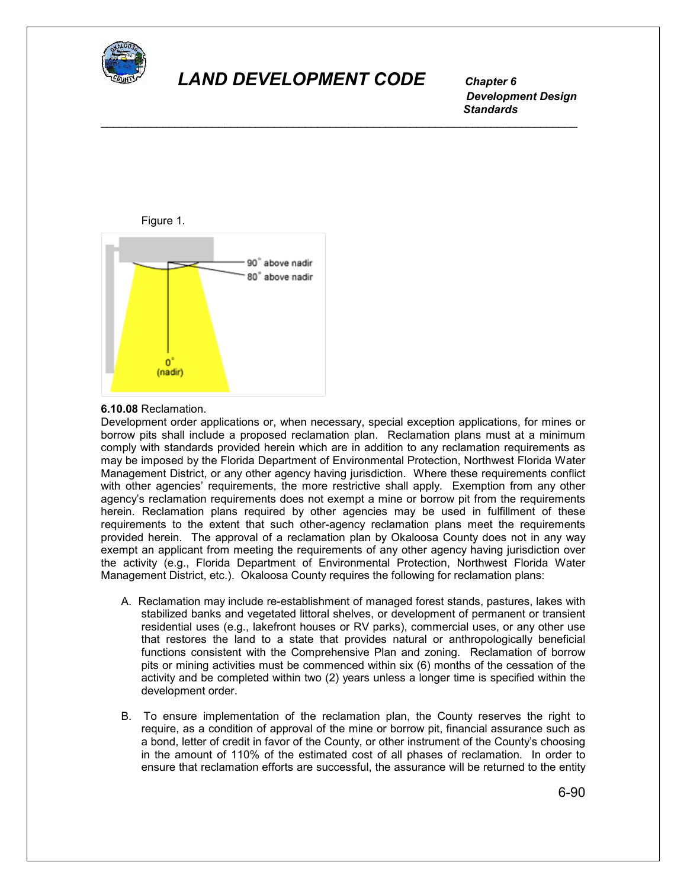

 *Development Design Standards* \_\_\_\_\_\_\_\_\_\_\_\_\_\_\_\_\_\_\_\_\_\_\_\_\_\_\_\_\_\_\_\_\_\_\_\_\_\_\_\_\_\_\_\_\_\_\_\_\_\_\_\_\_\_\_\_\_\_\_\_\_\_\_\_\_\_\_\_\_\_\_\_\_\_\_\_\_



### **6.10.08** Reclamation.

Development order applications or, when necessary, special exception applications, for mines or borrow pits shall include a proposed reclamation plan. Reclamation plans must at a minimum comply with standards provided herein which are in addition to any reclamation requirements as may be imposed by the Florida Department of Environmental Protection, Northwest Florida Water Management District, or any other agency having jurisdiction. Where these requirements conflict with other agencies' requirements, the more restrictive shall apply. Exemption from any other agency's reclamation requirements does not exempt a mine or borrow pit from the requirements herein. Reclamation plans required by other agencies may be used in fulfillment of these requirements to the extent that such other-agency reclamation plans meet the requirements provided herein. The approval of a reclamation plan by Okaloosa County does not in any way exempt an applicant from meeting the requirements of any other agency having jurisdiction over the activity (e.g., Florida Department of Environmental Protection, Northwest Florida Water Management District, etc.). Okaloosa County requires the following for reclamation plans:

- A. Reclamation may include re-establishment of managed forest stands, pastures, lakes with stabilized banks and vegetated littoral shelves, or development of permanent or transient residential uses (e.g., lakefront houses or RV parks), commercial uses, or any other use that restores the land to a state that provides natural or anthropologically beneficial functions consistent with the Comprehensive Plan and zoning. Reclamation of borrow pits or mining activities must be commenced within six (6) months of the cessation of the activity and be completed within two (2) years unless a longer time is specified within the development order.
- B. To ensure implementation of the reclamation plan, the County reserves the right to require, as a condition of approval of the mine or borrow pit, financial assurance such as a bond, letter of credit in favor of the County, or other instrument of the County's choosing in the amount of 110% of the estimated cost of all phases of reclamation. In order to ensure that reclamation efforts are successful, the assurance will be returned to the entity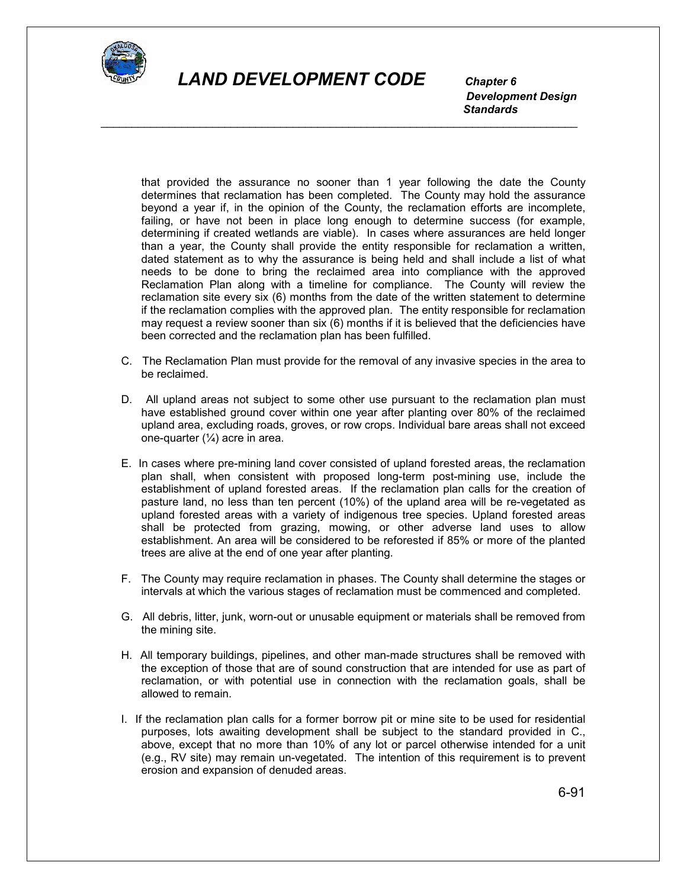

\_\_\_\_\_\_\_\_\_\_\_\_\_\_\_\_\_\_\_\_\_\_\_\_\_\_\_\_\_\_\_\_\_\_\_\_\_\_\_\_\_\_\_\_\_\_\_\_\_\_\_\_\_\_\_\_\_\_\_\_\_\_\_\_\_\_\_\_\_\_\_\_\_\_\_\_\_

 *Development Design Standards*

that provided the assurance no sooner than 1 year following the date the County determines that reclamation has been completed. The County may hold the assurance beyond a year if, in the opinion of the County, the reclamation efforts are incomplete, failing, or have not been in place long enough to determine success (for example, determining if created wetlands are viable). In cases where assurances are held longer than a year, the County shall provide the entity responsible for reclamation a written, dated statement as to why the assurance is being held and shall include a list of what needs to be done to bring the reclaimed area into compliance with the approved Reclamation Plan along with a timeline for compliance. The County will review the reclamation site every six (6) months from the date of the written statement to determine if the reclamation complies with the approved plan. The entity responsible for reclamation may request a review sooner than six (6) months if it is believed that the deficiencies have been corrected and the reclamation plan has been fulfilled.

- C. The Reclamation Plan must provide for the removal of any invasive species in the area to be reclaimed.
- D. All upland areas not subject to some other use pursuant to the reclamation plan must have established ground cover within one year after planting over 80% of the reclaimed upland area, excluding roads, groves, or row crops. Individual bare areas shall not exceed one-quarter  $(\frac{1}{4})$  acre in area.
- E. In cases where pre-mining land cover consisted of upland forested areas, the reclamation plan shall, when consistent with proposed long-term post-mining use, include the establishment of upland forested areas. If the reclamation plan calls for the creation of pasture land, no less than ten percent (10%) of the upland area will be re-vegetated as upland forested areas with a variety of indigenous tree species. Upland forested areas shall be protected from grazing, mowing, or other adverse land uses to allow establishment. An area will be considered to be reforested if 85% or more of the planted trees are alive at the end of one year after planting.
- F. The County may require reclamation in phases. The County shall determine the stages or intervals at which the various stages of reclamation must be commenced and completed.
- G. All debris, litter, junk, worn-out or unusable equipment or materials shall be removed from the mining site.
- H. All temporary buildings, pipelines, and other man-made structures shall be removed with the exception of those that are of sound construction that are intended for use as part of reclamation, or with potential use in connection with the reclamation goals, shall be allowed to remain.
- I. If the reclamation plan calls for a former borrow pit or mine site to be used for residential purposes, lots awaiting development shall be subject to the standard provided in C., above, except that no more than 10% of any lot or parcel otherwise intended for a unit (e.g., RV site) may remain un-vegetated. The intention of this requirement is to prevent erosion and expansion of denuded areas.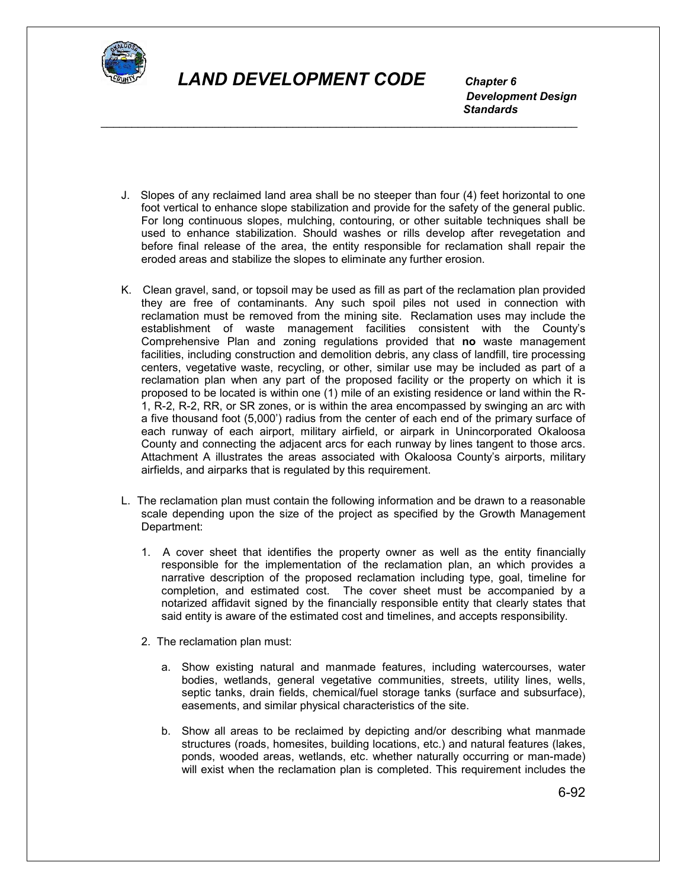

 *Development Design Standards*

J. Slopes of any reclaimed land area shall be no steeper than four (4) feet horizontal to one foot vertical to enhance slope stabilization and provide for the safety of the general public. For long continuous slopes, mulching, contouring, or other suitable techniques shall be used to enhance stabilization. Should washes or rills develop after revegetation and before final release of the area, the entity responsible for reclamation shall repair the eroded areas and stabilize the slopes to eliminate any further erosion.

\_\_\_\_\_\_\_\_\_\_\_\_\_\_\_\_\_\_\_\_\_\_\_\_\_\_\_\_\_\_\_\_\_\_\_\_\_\_\_\_\_\_\_\_\_\_\_\_\_\_\_\_\_\_\_\_\_\_\_\_\_\_\_\_\_\_\_\_\_\_\_\_\_\_\_\_\_

- K. Clean gravel, sand, or topsoil may be used as fill as part of the reclamation plan provided they are free of contaminants. Any such spoil piles not used in connection with reclamation must be removed from the mining site. Reclamation uses may include the establishment of waste management facilities consistent with the County's Comprehensive Plan and zoning regulations provided that **no** waste management facilities, including construction and demolition debris, any class of landfill, tire processing centers, vegetative waste, recycling, or other, similar use may be included as part of a reclamation plan when any part of the proposed facility or the property on which it is proposed to be located is within one (1) mile of an existing residence or land within the R-1, R-2, R-2, RR, or SR zones, or is within the area encompassed by swinging an arc with a five thousand foot (5,000') radius from the center of each end of the primary surface of each runway of each airport, military airfield, or airpark in Unincorporated Okaloosa County and connecting the adjacent arcs for each runway by lines tangent to those arcs. Attachment A illustrates the areas associated with Okaloosa County's airports, military airfields, and airparks that is regulated by this requirement.
- L. The reclamation plan must contain the following information and be drawn to a reasonable scale depending upon the size of the project as specified by the Growth Management Department:
	- 1. A cover sheet that identifies the property owner as well as the entity financially responsible for the implementation of the reclamation plan, an which provides a narrative description of the proposed reclamation including type, goal, timeline for completion, and estimated cost. The cover sheet must be accompanied by a notarized affidavit signed by the financially responsible entity that clearly states that said entity is aware of the estimated cost and timelines, and accepts responsibility.
	- 2. The reclamation plan must:
		- a. Show existing natural and manmade features, including watercourses, water bodies, wetlands, general vegetative communities, streets, utility lines, wells, septic tanks, drain fields, chemical/fuel storage tanks (surface and subsurface), easements, and similar physical characteristics of the site.
		- b. Show all areas to be reclaimed by depicting and/or describing what manmade structures (roads, homesites, building locations, etc.) and natural features (lakes, ponds, wooded areas, wetlands, etc. whether naturally occurring or man-made) will exist when the reclamation plan is completed. This requirement includes the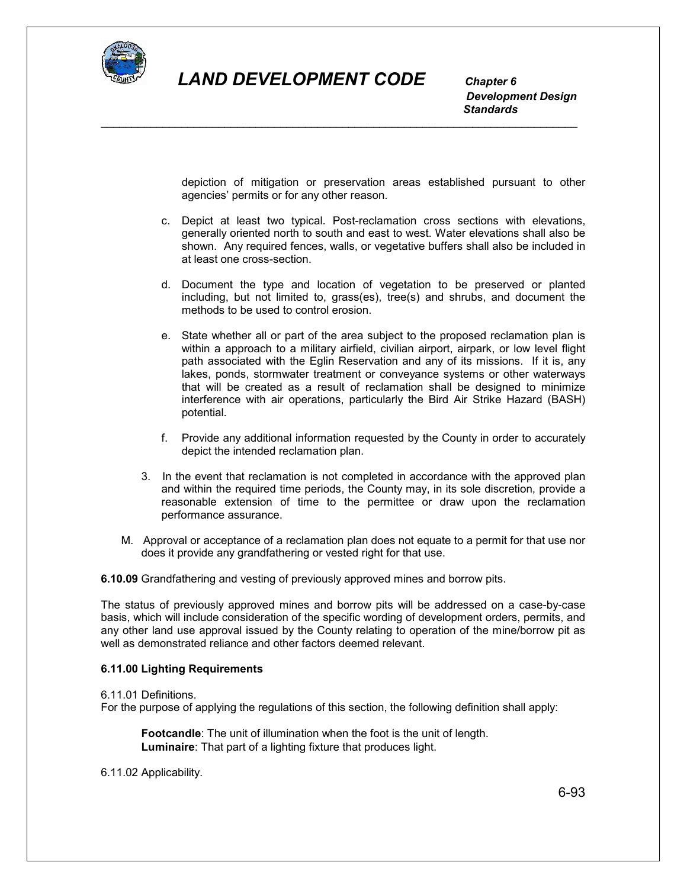

\_\_\_\_\_\_\_\_\_\_\_\_\_\_\_\_\_\_\_\_\_\_\_\_\_\_\_\_\_\_\_\_\_\_\_\_\_\_\_\_\_\_\_\_\_\_\_\_\_\_\_\_\_\_\_\_\_\_\_\_\_\_\_\_\_\_\_\_\_\_\_\_\_\_\_\_\_

 *Development Design Standards*

> depiction of mitigation or preservation areas established pursuant to other agencies' permits or for any other reason.

- c. Depict at least two typical. Post-reclamation cross sections with elevations, generally oriented north to south and east to west. Water elevations shall also be shown. Any required fences, walls, or vegetative buffers shall also be included in at least one cross-section.
- d. Document the type and location of vegetation to be preserved or planted including, but not limited to, grass(es), tree(s) and shrubs, and document the methods to be used to control erosion.
- e. State whether all or part of the area subject to the proposed reclamation plan is within a approach to a military airfield, civilian airport, airpark, or low level flight path associated with the Eglin Reservation and any of its missions. If it is, any lakes, ponds, stormwater treatment or conveyance systems or other waterways that will be created as a result of reclamation shall be designed to minimize interference with air operations, particularly the Bird Air Strike Hazard (BASH) potential.
- f. Provide any additional information requested by the County in order to accurately depict the intended reclamation plan.
- 3. In the event that reclamation is not completed in accordance with the approved plan and within the required time periods, the County may, in its sole discretion, provide a reasonable extension of time to the permittee or draw upon the reclamation performance assurance.
- M. Approval or acceptance of a reclamation plan does not equate to a permit for that use nor does it provide any grandfathering or vested right for that use.

**6.10.09** Grandfathering and vesting of previously approved mines and borrow pits.

The status of previously approved mines and borrow pits will be addressed on a case-by-case basis, which will include consideration of the specific wording of development orders, permits, and any other land use approval issued by the County relating to operation of the mine/borrow pit as well as demonstrated reliance and other factors deemed relevant.

### **6.11.00 Lighting Requirements**

6.11.01 Definitions.

For the purpose of applying the regulations of this section, the following definition shall apply:

**Footcandle**: The unit of illumination when the foot is the unit of length. **Luminaire**: That part of a lighting fixture that produces light.

6.11.02 Applicability.